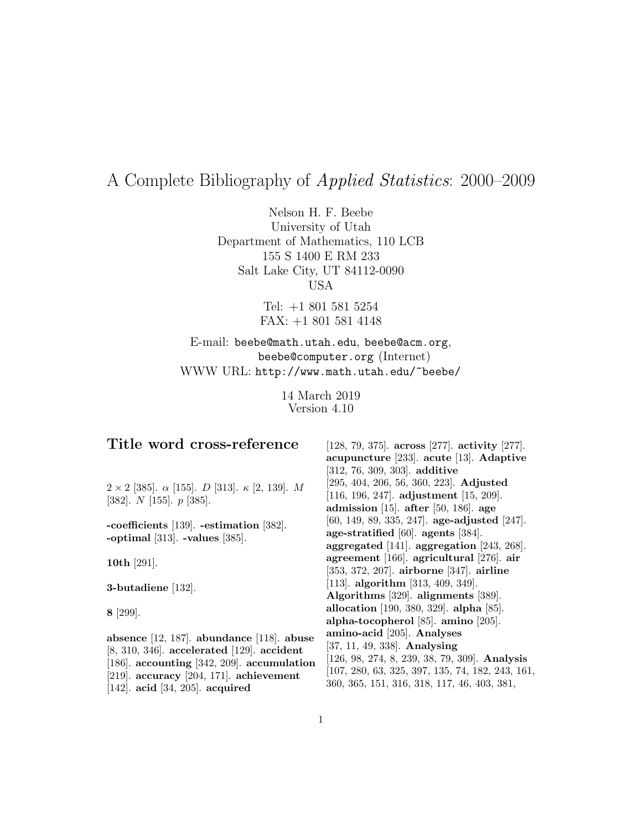# A Complete Bibliography of Applied Statistics: 2000–2009

Nelson H. F. Beebe University of Utah Department of Mathematics, 110 LCB 155 S 1400 E RM 233 Salt Lake City, UT 84112-0090 USA

> Tel: +1 801 581 5254 FAX: +1 801 581 4148

# E-mail: beebe@math.utah.edu, beebe@acm.org, beebe@computer.org (Internet) WWW URL: http://www.math.utah.edu/~beebe/

14 March 2019 Version 4.10

# **Title word cross-reference**

 $2 \times 2$  [385].  $\alpha$  [155]. D [313].  $\kappa$  [2, 139]. M [382]. N [155]. p [385].

**-coefficients** [139]. **-estimation** [382]. **-optimal** [313]. **-values** [385].

**10th** [291].

**3-butadiene** [132].

**8** [299].

**absence** [12, 187]. **abundance** [118]. **abuse** [8, 310, 346]. **accelerated** [129]. **accident** [186]. **accounting** [342, 209]. **accumulation** [219]. **accuracy** [204, 171]. **achievement** [142]. **acid** [34, 205]. **acquired**

[128, 79, 375]. **across** [277]. **activity** [277]. **acupuncture** [233]. **acute** [13]. **Adaptive** [312, 76, 309, 303]. **additive** [295, 404, 206, 56, 360, 223]. **Adjusted** [116, 196, 247]. **adjustment** [15, 209]. **admission** [15]. **after** [50, 186]. **age** [60, 149, 89, 335, 247]. **age-adjusted** [247]. **age-stratified** [60]. **agents** [384]. **aggregated** [141]. **aggregation** [243, 268]. **agreement** [166]. **agricultural** [276]. **air** [353, 372, 207]. **airborne** [347]. **airline** [113]. **algorithm** [313, 409, 349]. **Algorithms** [329]. **alignments** [389]. **allocation** [190, 380, 329]. **alpha** [85]. **alpha-tocopherol** [85]. **amino** [205]. **amino-acid** [205]. **Analyses** [37, 11, 49, 338]. **Analysing** [126, 98, 274, 8, 239, 38, 79, 309]. **Analysis** [107, 280, 63, 325, 397, 135, 74, 182, 243, 161, 360, 365, 151, 316, 318, 117, 46, 403, 381,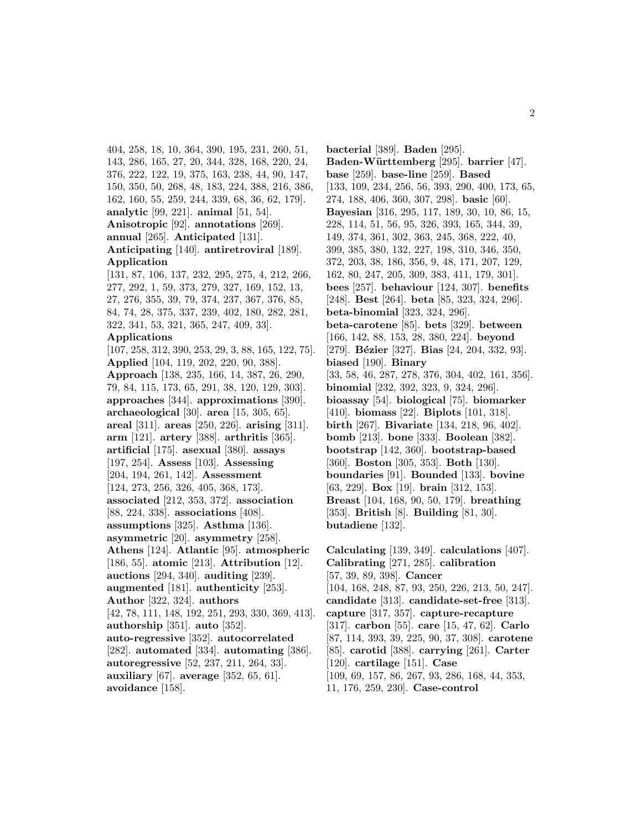404, 258, 18, 10, 364, 390, 195, 231, 260, 51, 143, 286, 165, 27, 20, 344, 328, 168, 220, 24, 376, 222, 122, 19, 375, 163, 238, 44, 90, 147, 150, 350, 50, 268, 48, 183, 224, 388, 216, 386, 162, 160, 55, 259, 244, 339, 68, 36, 62, 179]. **analytic** [99, 221]. **animal** [51, 54]. **Anisotropic** [92]. **annotations** [269]. **annual** [265]. **Anticipated** [131]. **Anticipating** [140]. **antiretroviral** [189]. **Application** [131, 87, 106, 137, 232, 295, 275, 4, 212, 266,

277, 292, 1, 59, 373, 279, 327, 169, 152, 13, 27, 276, 355, 39, 79, 374, 237, 367, 376, 85, 84, 74, 28, 375, 337, 239, 402, 180, 282, 281, 322, 341, 53, 321, 365, 247, 409, 33].

### **Applications**

[107, 258, 312, 390, 253, 29, 3, 88, 165, 122, 75]. **Applied** [104, 119, 202, 220, 90, 388]. **Approach** [138, 235, 166, 14, 387, 26, 290, 79, 84, 115, 173, 65, 291, 38, 120, 129, 303]. **approaches** [344]. **approximations** [390]. **archaeological** [30]. **area** [15, 305, 65]. **areal** [311]. **areas** [250, 226]. **arising** [311]. **arm** [121]. **artery** [388]. **arthritis** [365]. **artificial** [175]. **asexual** [380]. **assays** [197, 254]. **Assess** [103]. **Assessing** [204, 194, 261, 142]. **Assessment** [124, 273, 256, 326, 405, 368, 173]. **associated** [212, 353, 372]. **association** [88, 224, 338]. **associations** [408]. **assumptions** [325]. **Asthma** [136]. **asymmetric** [20]. **asymmetry** [258]. **Athens** [124]. **Atlantic** [95]. **atmospheric** [186, 55]. **atomic** [213]. **Attribution** [12]. **auctions** [294, 340]. **auditing** [239]. **augmented** [181]. **authenticity** [253]. **Author** [322, 324]. **authors** [42, 78, 111, 148, 192, 251, 293, 330, 369, 413]. **authorship** [351]. **auto** [352]. **auto-regressive** [352]. **autocorrelated** [282]. **automated** [334]. **automating** [386]. **autoregressive** [52, 237, 211, 264, 33]. **auxiliary** [67]. **average** [352, 65, 61]. **avoidance** [158].

**bacterial** [389]. **Baden** [295]. **Baden-W¨urttemberg** [295]. **barrier** [47]. **base** [259]. **base-line** [259]. **Based** [133, 109, 234, 256, 56, 393, 290, 400, 173, 65, 274, 188, 406, 360, 307, 298]. **basic** [60]. **Bayesian** [316, 295, 117, 189, 30, 10, 86, 15, 228, 114, 51, 56, 95, 326, 393, 165, 344, 39, 149, 374, 361, 302, 363, 245, 368, 222, 40, 399, 385, 380, 132, 227, 198, 310, 346, 350, 372, 203, 38, 186, 356, 9, 48, 171, 207, 129, 162, 80, 247, 205, 309, 383, 411, 179, 301]. **bees** [257]. **behaviour** [124, 307]. **benefits** [248]. **Best** [264]. **beta** [85, 323, 324, 296]. **beta-binomial** [323, 324, 296]. **beta-carotene** [85]. **bets** [329]. **between** [166, 142, 88, 153, 28, 380, 224]. **beyond** [279]. **B´ezier** [327]. **Bias** [24, 204, 332, 93]. **biased** [190]. **Binary** [33, 58, 46, 287, 278, 376, 304, 402, 161, 356]. **binomial** [232, 392, 323, 9, 324, 296]. **bioassay** [54]. **biological** [75]. **biomarker** [410]. **biomass** [22]. **Biplots** [101, 318]. **birth** [267]. **Bivariate** [134, 218, 96, 402]. **bomb** [213]. **bone** [333]. **Boolean** [382]. **bootstrap** [142, 360]. **bootstrap-based** [360]. **Boston** [305, 353]. **Both** [130]. **boundaries** [91]. **Bounded** [133]. **bovine** [63, 229]. **Box** [19]. **brain** [312, 153]. **Breast** [104, 168, 90, 50, 179]. **breathing** [353]. **British** [8]. **Building** [81, 30]. **butadiene** [132].

**Calculating** [139, 349]. **calculations** [407]. **Calibrating** [271, 285]. **calibration** [57, 39, 89, 398]. **Cancer** [104, 168, 248, 87, 93, 250, 226, 213, 50, 247]. **candidate** [313]. **candidate-set-free** [313]. **capture** [317, 357]. **capture-recapture** [317]. **carbon** [55]. **care** [15, 47, 62]. **Carlo** [87, 114, 393, 39, 225, 90, 37, 308]. **carotene** [85]. **carotid** [388]. **carrying** [261]. **Carter** [120]. **cartilage** [151]. **Case** [109, 69, 157, 86, 267, 93, 286, 168, 44, 353, 11, 176, 259, 230]. **Case-control**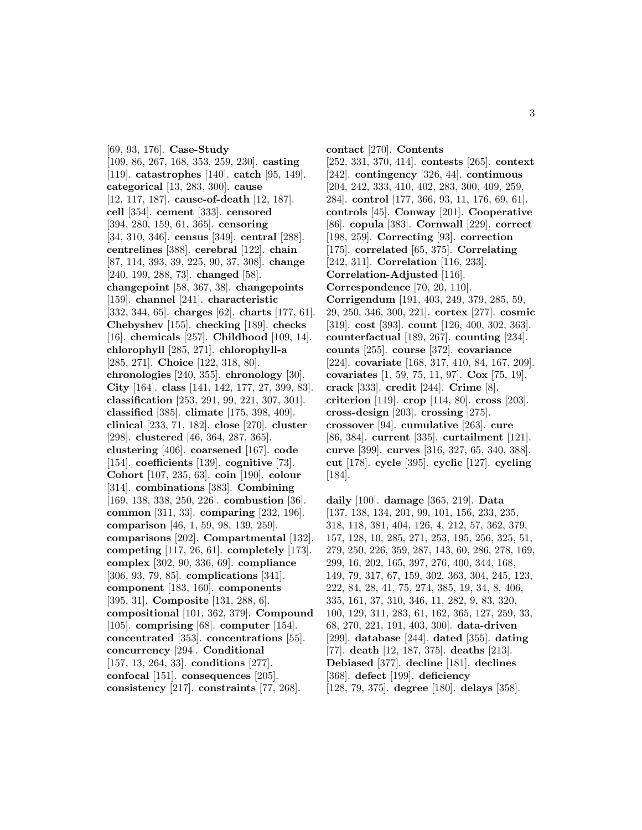[69, 93, 176]. **Case-Study** [109, 86, 267, 168, 353, 259, 230]. **casting** [119]. **catastrophes** [140]. **catch** [95, 149]. **categorical** [13, 283, 300]. **cause** [12, 117, 187]. **cause-of-death** [12, 187]. **cell** [354]. **cement** [333]. **censored** [394, 280, 159, 61, 365]. **censoring** [34, 310, 346]. **census** [349]. **central** [288]. **centrelines** [388]. **cerebral** [122]. **chain** [87, 114, 393, 39, 225, 90, 37, 308]. **change** [240, 199, 288, 73]. **changed** [58]. **changepoint** [58, 367, 38]. **changepoints** [159]. **channel** [241]. **characteristic** [332, 344, 65]. **charges** [62]. **charts** [177, 61]. **Chebyshev** [155]. **checking** [189]. **checks** [16]. **chemicals** [257]. **Childhood** [109, 14]. **chlorophyll** [285, 271]. **chlorophyll-a** [285, 271]. **Choice** [122, 318, 80]. **chronologies** [240, 355]. **chronology** [30]. **City** [164]. **class** [141, 142, 177, 27, 399, 83]. **classification** [253, 291, 99, 221, 307, 301]. **classified** [385]. **climate** [175, 398, 409]. **clinical** [233, 71, 182]. **close** [270]. **cluster** [298]. **clustered** [46, 364, 287, 365]. **clustering** [406]. **coarsened** [167]. **code** [154]. **coefficients** [139]. **cognitive** [73]. **Cohort** [107, 235, 63]. **coin** [190]. **colour** [314]. **combinations** [383]. **Combining** [169, 138, 338, 250, 226]. **combustion** [36]. **common** [311, 33]. **comparing** [232, 196]. **comparison** [46, 1, 59, 98, 139, 259]. **comparisons** [202]. **Compartmental** [132]. **competing** [117, 26, 61]. **completely** [173]. **complex** [302, 90, 336, 69]. **compliance** [306, 93, 79, 85]. **complications** [341]. **component** [183, 160]. **components** [395, 31]. **Composite** [131, 288, 6]. **compositional** [101, 362, 379]. **Compound** [105]. **comprising** [68]. **computer** [154]. **concentrated** [353]. **concentrations** [55]. **concurrency** [294]. **Conditional** [157, 13, 264, 33]. **conditions** [277]. **confocal** [151]. **consequences** [205]. **consistency** [217]. **constraints** [77, 268].

**contact** [270]. **Contents** [252, 331, 370, 414]. **contests** [265]. **context** [242]. **contingency** [326, 44]. **continuous** [204, 242, 333, 410, 402, 283, 300, 409, 259, 284]. **control** [177, 366, 93, 11, 176, 69, 61]. **controls** [45]. **Conway** [201]. **Cooperative** [86]. **copula** [383]. **Cornwall** [229]. **correct** [198, 259]. **Correcting** [93]. **correction** [175]. **correlated** [65, 375]. **Correlating** [242, 311]. **Correlation** [116, 233]. **Correlation-Adjusted** [116]. **Correspondence** [70, 20, 110]. **Corrigendum** [191, 403, 249, 379, 285, 59, 29, 250, 346, 300, 221]. **cortex** [277]. **cosmic** [319]. **cost** [393]. **count** [126, 400, 302, 363]. **counterfactual** [189, 267]. **counting** [234]. **counts** [255]. **course** [372]. **covariance** [224]. **covariate** [168, 317, 410, 84, 167, 209]. **covariates** [1, 59, 75, 11, 97]. **Cox** [75, 19]. **crack** [333]. **credit** [244]. **Crime** [8]. **criterion** [119]. **crop** [114, 80]. **cross** [203]. **cross-design** [203]. **crossing** [275]. **crossover** [94]. **cumulative** [263]. **cure** [86, 384]. **current** [335]. **curtailment** [121]. **curve** [399]. **curves** [316, 327, 65, 340, 388]. **cut** [178]. **cycle** [395]. **cyclic** [127]. **cycling** [184].

**daily** [100]. **damage** [365, 219]. **Data** [137, 138, 134, 201, 99, 101, 156, 233, 235, 318, 118, 381, 404, 126, 4, 212, 57, 362, 379, 157, 128, 10, 285, 271, 253, 195, 256, 325, 51, 279, 250, 226, 359, 287, 143, 60, 286, 278, 169, 299, 16, 202, 165, 397, 276, 400, 344, 168, 149, 79, 317, 67, 159, 302, 363, 304, 245, 123, 222, 84, 28, 41, 75, 274, 385, 19, 34, 8, 406, 335, 161, 37, 310, 346, 11, 282, 9, 83, 320, 100, 129, 311, 283, 61, 162, 365, 127, 259, 33, 68, 270, 221, 191, 403, 300]. **data-driven** [299]. **database** [244]. **dated** [355]. **dating** [77]. **death** [12, 187, 375]. **deaths** [213]. **Debiased** [377]. **decline** [181]. **declines** [368]. **defect** [199]. **deficiency** [128, 79, 375]. **degree** [180]. **delays** [358].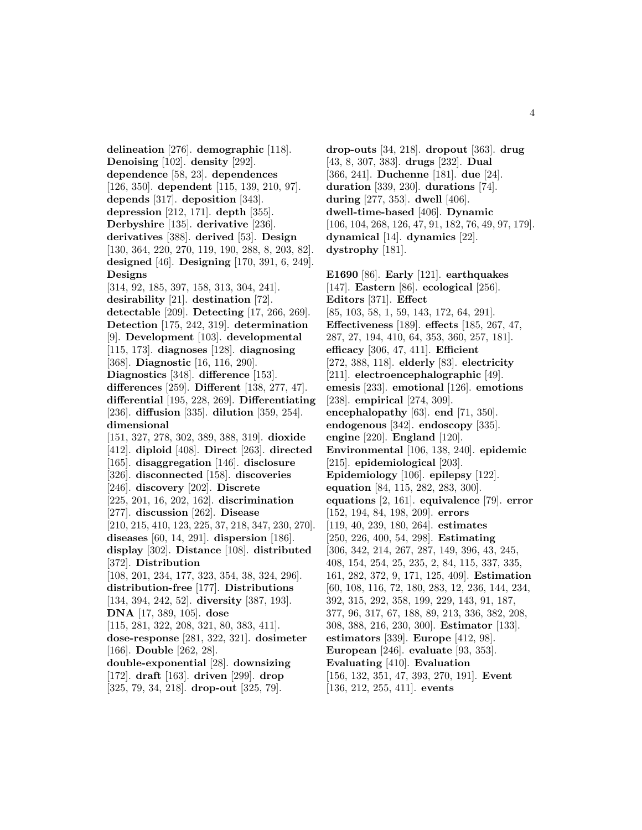**delineation** [276]. **demographic** [118]. **Denoising** [102]. **density** [292]. **dependence** [58, 23]. **dependences** [126, 350]. **dependent** [115, 139, 210, 97]. **depends** [317]. **deposition** [343]. **depression** [212, 171]. **depth** [355]. **Derbyshire** [135]. **derivative** [236]. **derivatives** [388]. **derived** [53]. **Design** [130, 364, 220, 270, 119, 190, 288, 8, 203, 82]. **designed** [46]. **Designing** [170, 391, 6, 249]. **Designs** [314, 92, 185, 397, 158, 313, 304, 241]. **desirability** [21]. **destination** [72]. **detectable** [209]. **Detecting** [17, 266, 269]. **Detection** [175, 242, 319]. **determination** [9]. **Development** [103]. **developmental** [115, 173]. **diagnoses** [128]. **diagnosing** [368]. **Diagnostic** [16, 116, 290]. **Diagnostics** [348]. **difference** [153]. **differences** [259]. **Different** [138, 277, 47]. **differential** [195, 228, 269]. **Differentiating** [236]. **diffusion** [335]. **dilution** [359, 254]. **dimensional** [151, 327, 278, 302, 389, 388, 319]. **dioxide** [412]. **diploid** [408]. **Direct** [263]. **directed** [165]. **disaggregation** [146]. **disclosure** [326]. **disconnected** [158]. **discoveries** [246]. **discovery** [202]. **Discrete** [225, 201, 16, 202, 162]. **discrimination** [277]. **discussion** [262]. **Disease** [210, 215, 410, 123, 225, 37, 218, 347, 230, 270]. **diseases** [60, 14, 291]. **dispersion** [186]. **display** [302]. **Distance** [108]. **distributed** [372]. **Distribution** [108, 201, 234, 177, 323, 354, 38, 324, 296]. **distribution-free** [177]. **Distributions** [134, 394, 242, 52]. **diversity** [387, 193]. **DNA** [17, 389, 105]. **dose** [115, 281, 322, 208, 321, 80, 383, 411]. **dose-response** [281, 322, 321]. **dosimeter** [166]. **Double** [262, 28]. **double-exponential** [28]. **downsizing** [172]. **draft** [163]. **driven** [299]. **drop** [325, 79, 34, 218]. **drop-out** [325, 79].

**drop-outs** [34, 218]. **dropout** [363]. **drug** [43, 8, 307, 383]. **drugs** [232]. **Dual** [366, 241]. **Duchenne** [181]. **due** [24]. **duration** [339, 230]. **durations** [74]. **during** [277, 353]. **dwell** [406]. **dwell-time-based** [406]. **Dynamic** [106, 104, 268, 126, 47, 91, 182, 76, 49, 97, 179]. **dynamical** [14]. **dynamics** [22]. **dystrophy** [181].

**E1690** [86]. **Early** [121]. **earthquakes** [147]. **Eastern** [86]. **ecological** [256]. **Editors** [371]. **Effect** [85, 103, 58, 1, 59, 143, 172, 64, 291]. **Effectiveness** [189]. **effects** [185, 267, 47, 287, 27, 194, 410, 64, 353, 360, 257, 181]. **efficacy** [306, 47, 411]. **Efficient** [272, 388, 118]. **elderly** [83]. **electricity** [211]. **electroencephalographic** [49]. **emesis** [233]. **emotional** [126]. **emotions** [238]. **empirical** [274, 309]. **encephalopathy** [63]. **end** [71, 350]. **endogenous** [342]. **endoscopy** [335]. **engine** [220]. **England** [120]. **Environmental** [106, 138, 240]. **epidemic** [215]. **epidemiological** [203]. **Epidemiology** [106]. **epilepsy** [122]. **equation** [84, 115, 282, 283, 300]. **equations** [2, 161]. **equivalence** [79]. **error** [152, 194, 84, 198, 209]. **errors** [119, 40, 239, 180, 264]. **estimates** [250, 226, 400, 54, 298]. **Estimating** [306, 342, 214, 267, 287, 149, 396, 43, 245, 408, 154, 254, 25, 235, 2, 84, 115, 337, 335, 161, 282, 372, 9, 171, 125, 409]. **Estimation** [60, 108, 116, 72, 180, 283, 12, 236, 144, 234, 392, 315, 292, 358, 199, 229, 143, 91, 187, 377, 96, 317, 67, 188, 89, 213, 336, 382, 208, 308, 388, 216, 230, 300]. **Estimator** [133]. **estimators** [339]. **Europe** [412, 98]. **European** [246]. **evaluate** [93, 353]. **Evaluating** [410]. **Evaluation** [156, 132, 351, 47, 393, 270, 191]. **Event**

[136, 212, 255, 411]. **events**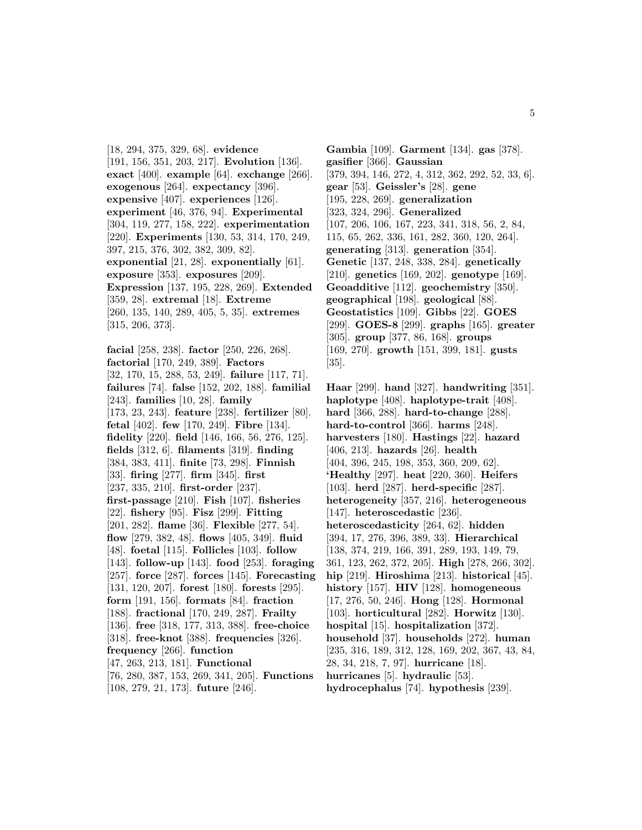[18, 294, 375, 329, 68]. **evidence** [191, 156, 351, 203, 217]. **Evolution** [136]. **exact** [400]. **example** [64]. **exchange** [266]. **exogenous** [264]. **expectancy** [396]. **expensive** [407]. **experiences** [126]. **experiment** [46, 376, 94]. **Experimental** [304, 119, 277, 158, 222]. **experimentation** [220]. **Experiments** [130, 53, 314, 170, 249, 397, 215, 376, 302, 382, 309, 82]. **exponential** [21, 28]. **exponentially** [61]. **exposure** [353]. **exposures** [209]. **Expression** [137, 195, 228, 269]. **Extended** [359, 28]. **extremal** [18]. **Extreme** [260, 135, 140, 289, 405, 5, 35]. **extremes** [315, 206, 373].

**facial** [258, 238]. **factor** [250, 226, 268]. **factorial** [170, 249, 389]. **Factors** [32, 170, 15, 288, 53, 249]. **failure** [117, 71]. **failures** [74]. **false** [152, 202, 188]. **familial** [243]. **families** [10, 28]. **family** [173, 23, 243]. **feature** [238]. **fertilizer** [80]. **fetal** [402]. **few** [170, 249]. **Fibre** [134]. **fidelity** [220]. **field** [146, 166, 56, 276, 125]. **fields** [312, 6]. **filaments** [319]. **finding** [384, 383, 411]. **finite** [73, 298]. **Finnish** [33]. **firing** [277]. **firm** [345]. **first** [237, 335, 210]. **first-order** [237]. **first-passage** [210]. **Fish** [107]. **fisheries** [22]. **fishery** [95]. **Fisz** [299]. **Fitting** [201, 282]. **flame** [36]. **Flexible** [277, 54]. **flow** [279, 382, 48]. **flows** [405, 349]. **fluid** [48]. **foetal** [115]. **Follicles** [103]. **follow** [143]. **follow-up** [143]. **food** [253]. **foraging** [257]. **force** [287]. **forces** [145]. **Forecasting** [131, 120, 207]. **forest** [180]. **forests** [295]. **form** [191, 156]. **formats** [84]. **fraction** [188]. **fractional** [170, 249, 287]. **Frailty** [136]. **free** [318, 177, 313, 388]. **free-choice** [318]. **free-knot** [388]. **frequencies** [326]. **frequency** [266]. **function** [47, 263, 213, 181]. **Functional** [76, 280, 387, 153, 269, 341, 205]. **Functions**

[108, 279, 21, 173]. **future** [246].

**Gambia** [109]. **Garment** [134]. **gas** [378]. **gasifier** [366]. **Gaussian** [379, 394, 146, 272, 4, 312, 362, 292, 52, 33, 6]. **gear** [53]. **Geissler's** [28]. **gene** [195, 228, 269]. **generalization** [323, 324, 296]. **Generalized** [107, 206, 106, 167, 223, 341, 318, 56, 2, 84, 115, 65, 262, 336, 161, 282, 360, 120, 264]. **generating** [313]. **generation** [354]. **Genetic** [137, 248, 338, 284]. **genetically** [210]. **genetics** [169, 202]. **genotype** [169]. **Geoadditive** [112]. **geochemistry** [350]. **geographical** [198]. **geological** [88]. **Geostatistics** [109]. **Gibbs** [22]. **GOES** [299]. **GOES-8** [299]. **graphs** [165]. **greater** [305]. **group** [377, 86, 168]. **groups** [169, 270]. **growth** [151, 399, 181]. **gusts** [35].

**Haar** [299]. **hand** [327]. **handwriting** [351]. **haplotype** [408]. **haplotype-trait** [408]. **hard** [366, 288]. **hard-to-change** [288]. **hard-to-control** [366]. **harms** [248]. **harvesters** [180]. **Hastings** [22]. **hazard** [406, 213]. **hazards** [26]. **health** [404, 396, 245, 198, 353, 360, 209, 62]. **'Healthy** [297]. **heat** [220, 360]. **Heifers** [103]. **herd** [287]. **herd-specific** [287]. **heterogeneity** [357, 216]. **heterogeneous** [147]. **heteroscedastic** [236]. **heteroscedasticity** [264, 62]. **hidden** [394, 17, 276, 396, 389, 33]. **Hierarchical** [138, 374, 219, 166, 391, 289, 193, 149, 79, 361, 123, 262, 372, 205]. **High** [278, 266, 302]. **hip** [219]. **Hiroshima** [213]. **historical** [45]. **history** [157]. **HIV** [128]. **homogeneous** [17, 276, 50, 246]. **Hong** [128]. **Hormonal** [103]. **horticultural** [282]. **Horwitz** [130]. **hospital** [15]. **hospitalization** [372]. **household** [37]. **households** [272]. **human** [235, 316, 189, 312, 128, 169, 202, 367, 43, 84, 28, 34, 218, 7, 97]. **hurricane** [18]. **hurricanes** [5]. **hydraulic** [53]. **hydrocephalus** [74]. **hypothesis** [239].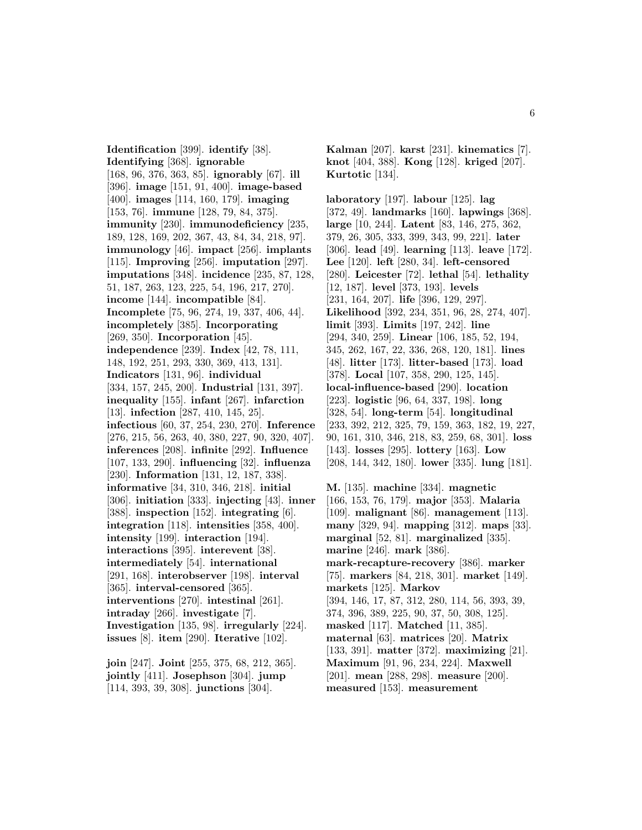**Identification** [399]. **identify** [38]. **Identifying** [368]. **ignorable** [168, 96, 376, 363, 85]. **ignorably** [67]. **ill** [396]. **image** [151, 91, 400]. **image-based** [400]. **images** [114, 160, 179]. **imaging** [153, 76]. **immune** [128, 79, 84, 375]. **immunity** [230]. **immunodeficiency** [235, 189, 128, 169, 202, 367, 43, 84, 34, 218, 97]. **immunology** [46]. **impact** [256]. **implants** [115]. **Improving** [256]. **imputation** [297]. **imputations** [348]. **incidence** [235, 87, 128, 51, 187, 263, 123, 225, 54, 196, 217, 270]. **income** [144]. **incompatible** [84]. **Incomplete** [75, 96, 274, 19, 337, 406, 44]. **incompletely** [385]. **Incorporating** [269, 350]. **Incorporation** [45]. **independence** [239]. **Index** [42, 78, 111, 148, 192, 251, 293, 330, 369, 413, 131]. **Indicators** [131, 96]. **individual** [334, 157, 245, 200]. **Industrial** [131, 397]. **inequality** [155]. **infant** [267]. **infarction** [13]. **infection** [287, 410, 145, 25]. **infectious** [60, 37, 254, 230, 270]. **Inference** [276, 215, 56, 263, 40, 380, 227, 90, 320, 407]. **inferences** [208]. **infinite** [292]. **Influence** [107, 133, 290]. **influencing** [32]. **influenza** [230]. **Information** [131, 12, 187, 338]. **informative** [34, 310, 346, 218]. **initial** [306]. **initiation** [333]. **injecting** [43]. **inner** [388]. **inspection** [152]. **integrating** [6]. **integration** [118]. **intensities** [358, 400]. **intensity** [199]. **interaction** [194]. **interactions** [395]. **interevent** [38]. **intermediately** [54]. **international** [291, 168]. **interobserver** [198]. **interval** [365]. **interval-censored** [365]. **interventions** [270]. **intestinal** [261]. **intraday** [266]. **investigate** [7]. **Investigation** [135, 98]. **irregularly** [224]. **issues** [8]. **item** [290]. **Iterative** [102].

**join** [247]. **Joint** [255, 375, 68, 212, 365]. **jointly** [411]. **Josephson** [304]. **jump** [114, 393, 39, 308]. **junctions** [304].

**Kalman** [207]. **karst** [231]. **kinematics** [7]. **knot** [404, 388]. **Kong** [128]. **kriged** [207]. **Kurtotic** [134].

**laboratory** [197]. **labour** [125]. **lag** [372, 49]. **landmarks** [160]. **lapwings** [368]. **large** [10, 244]. **Latent** [83, 146, 275, 362, 379, 26, 305, 333, 399, 343, 99, 221]. **later** [306]. **lead** [49]. **learning** [113]. **leave** [172]. **Lee** [120]. **left** [280, 34]. **left-censored** [280]. **Leicester** [72]. **lethal** [54]. **lethality** [12, 187]. **level** [373, 193]. **levels** [231, 164, 207]. **life** [396, 129, 297]. **Likelihood** [392, 234, 351, 96, 28, 274, 407]. **limit** [393]. **Limits** [197, 242]. **line** [294, 340, 259]. **Linear** [106, 185, 52, 194, 345, 262, 167, 22, 336, 268, 120, 181]. **lines** [48]. **litter** [173]. **litter-based** [173]. **load** [378]. **Local** [107, 358, 290, 125, 145]. **local-influence-based** [290]. **location** [223]. **logistic** [96, 64, 337, 198]. **long** [328, 54]. **long-term** [54]. **longitudinal** [233, 392, 212, 325, 79, 159, 363, 182, 19, 227, 90, 161, 310, 346, 218, 83, 259, 68, 301]. **loss** [143]. **losses** [295]. **lottery** [163]. **Low** [208, 144, 342, 180]. **lower** [335]. **lung** [181].

**M.** [135]. **machine** [334]. **magnetic** [166, 153, 76, 179]. **major** [353]. **Malaria** [109]. **malignant** [86]. **management** [113]. **many** [329, 94]. **mapping** [312]. **maps** [33]. **marginal** [52, 81]. **marginalized** [335]. **marine** [246]. **mark** [386]. **mark-recapture-recovery** [386]. **marker** [75]. **markers** [84, 218, 301]. **market** [149]. **markets** [125]. **Markov** [394, 146, 17, 87, 312, 280, 114, 56, 393, 39, 374, 396, 389, 225, 90, 37, 50, 308, 125]. **masked** [117]. **Matched** [11, 385]. **maternal** [63]. **matrices** [20]. **Matrix** [133, 391]. **matter** [372]. **maximizing** [21]. **Maximum** [91, 96, 234, 224]. **Maxwell** [201]. **mean** [288, 298]. **measure** [200]. **measured** [153]. **measurement**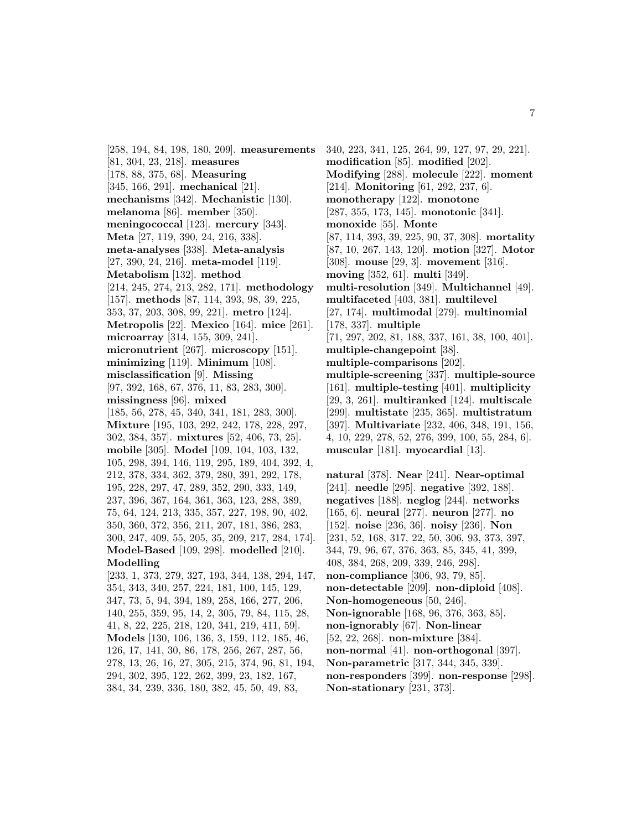[258, 194, 84, 198, 180, 209]. **measurements** [81, 304, 23, 218]. **measures** [178, 88, 375, 68]. **Measuring** [345, 166, 291]. **mechanical** [21]. **mechanisms** [342]. **Mechanistic** [130]. **melanoma** [86]. **member** [350]. **meningococcal** [123]. **mercury** [343]. **Meta** [27, 119, 390, 24, 216, 338]. **meta-analyses** [338]. **Meta-analysis** [27, 390, 24, 216]. **meta-model** [119]. **Metabolism** [132]. **method** [214, 245, 274, 213, 282, 171]. **methodology** [157]. **methods** [87, 114, 393, 98, 39, 225, 353, 37, 203, 308, 99, 221]. **metro** [124]. **Metropolis** [22]. **Mexico** [164]. **mice** [261]. **microarray** [314, 155, 309, 241]. **micronutrient** [267]. **microscopy** [151]. **minimizing** [119]. **Minimum** [108]. **misclassification** [9]. **Missing** [97, 392, 168, 67, 376, 11, 83, 283, 300]. **missingness** [96]. **mixed** [185, 56, 278, 45, 340, 341, 181, 283, 300]. **Mixture** [195, 103, 292, 242, 178, 228, 297, 302, 384, 357]. **mixtures** [52, 406, 73, 25]. **mobile** [305]. **Model** [109, 104, 103, 132, 105, 298, 394, 146, 119, 295, 189, 404, 392, 4, 212, 378, 334, 362, 379, 280, 391, 292, 178, 195, 228, 297, 47, 289, 352, 290, 333, 149, 237, 396, 367, 164, 361, 363, 123, 288, 389, 75, 64, 124, 213, 335, 357, 227, 198, 90, 402, 350, 360, 372, 356, 211, 207, 181, 386, 283, 300, 247, 409, 55, 205, 35, 209, 217, 284, 174]. **Model-Based** [109, 298]. **modelled** [210]. **Modelling** [233, 1, 373, 279, 327, 193, 344, 138, 294, 147, 354, 343, 340, 257, 224, 181, 100, 145, 129, 347, 73, 5, 94, 394, 189, 258, 166, 277, 206, 140, 255, 359, 95, 14, 2, 305, 79, 84, 115, 28, 41, 8, 22, 225, 218, 120, 341, 219, 411, 59].

**Models** [130, 106, 136, 3, 159, 112, 185, 46, 126, 17, 141, 30, 86, 178, 256, 267, 287, 56, 278, 13, 26, 16, 27, 305, 215, 374, 96, 81, 194, 294, 302, 395, 122, 262, 399, 23, 182, 167, 384, 34, 239, 336, 180, 382, 45, 50, 49, 83,

340, 223, 341, 125, 264, 99, 127, 97, 29, 221]. **modification** [85]. **modified** [202]. **Modifying** [288]. **molecule** [222]. **moment** [214]. **Monitoring** [61, 292, 237, 6]. **monotherapy** [122]. **monotone** [287, 355, 173, 145]. **monotonic** [341]. **monoxide** [55]. **Monte** [87, 114, 393, 39, 225, 90, 37, 308]. **mortality** [87, 10, 267, 143, 120]. **motion** [327]. **Motor** [308]. **mouse** [29, 3]. **movement** [316]. **moving** [352, 61]. **multi** [349]. **multi-resolution** [349]. **Multichannel** [49]. **multifaceted** [403, 381]. **multilevel** [27, 174]. **multimodal** [279]. **multinomial** [178, 337]. **multiple** [71, 297, 202, 81, 188, 337, 161, 38, 100, 401]. **multiple-changepoint** [38]. **multiple-comparisons** [202]. **multiple-screening** [337]. **multiple-source** [161]. **multiple-testing** [401]. **multiplicity** [29, 3, 261]. **multiranked** [124]. **multiscale** [299]. **multistate** [235, 365]. **multistratum** [397]. **Multivariate** [232, 406, 348, 191, 156, 4, 10, 229, 278, 52, 276, 399, 100, 55, 284, 6]. **muscular** [181]. **myocardial** [13].

**natural** [378]. **Near** [241]. **Near-optimal** [241]. **needle** [295]. **negative** [392, 188]. **negatives** [188]. **neglog** [244]. **networks** [165, 6]. **neural** [277]. **neuron** [277]. **no** [152]. **noise** [236, 36]. **noisy** [236]. **Non** [231, 52, 168, 317, 22, 50, 306, 93, 373, 397, 344, 79, 96, 67, 376, 363, 85, 345, 41, 399, 408, 384, 268, 209, 339, 246, 298]. **non-compliance** [306, 93, 79, 85]. **non-detectable** [209]. **non-diploid** [408]. **Non-homogeneous** [50, 246]. **Non-ignorable** [168, 96, 376, 363, 85]. **non-ignorably** [67]. **Non-linear** [52, 22, 268]. **non-mixture** [384]. **non-normal** [41]. **non-orthogonal** [397]. **Non-parametric** [317, 344, 345, 339]. **non-responders** [399]. **non-response** [298]. **Non-stationary** [231, 373].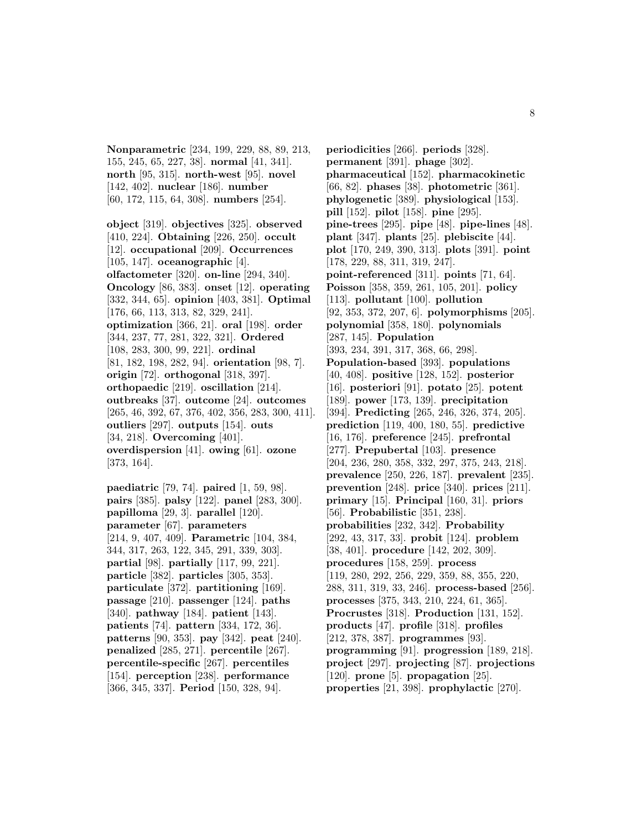**Nonparametric** [234, 199, 229, 88, 89, 213, 155, 245, 65, 227, 38]. **normal** [41, 341]. **north** [95, 315]. **north-west** [95]. **novel** [142, 402]. **nuclear** [186]. **number** [60, 172, 115, 64, 308]. **numbers** [254].

**object** [319]. **objectives** [325]. **observed** [410, 224]. **Obtaining** [226, 250]. **occult** [12]. **occupational** [209]. **Occurrences** [105, 147]. **oceanographic** [4]. **olfactometer** [320]. **on-line** [294, 340]. **Oncology** [86, 383]. **onset** [12]. **operating** [332, 344, 65]. **opinion** [403, 381]. **Optimal** [176, 66, 113, 313, 82, 329, 241]. **optimization** [366, 21]. **oral** [198]. **order** [344, 237, 77, 281, 322, 321]. **Ordered** [108, 283, 300, 99, 221]. **ordinal** [81, 182, 198, 282, 94]. **orientation** [98, 7]. **origin** [72]. **orthogonal** [318, 397]. **orthopaedic** [219]. **oscillation** [214]. **outbreaks** [37]. **outcome** [24]. **outcomes** [265, 46, 392, 67, 376, 402, 356, 283, 300, 411]. **outliers** [297]. **outputs** [154]. **outs** [34, 218]. **Overcoming** [401]. **overdispersion** [41]. **owing** [61]. **ozone** [373, 164].

**paediatric** [79, 74]. **paired** [1, 59, 98]. **pairs** [385]. **palsy** [122]. **panel** [283, 300]. **papilloma** [29, 3]. **parallel** [120]. **parameter** [67]. **parameters** [214, 9, 407, 409]. **Parametric** [104, 384, 344, 317, 263, 122, 345, 291, 339, 303]. **partial** [98]. **partially** [117, 99, 221]. **particle** [382]. **particles** [305, 353]. **particulate** [372]. **partitioning** [169]. **passage** [210]. **passenger** [124]. **paths** [340]. **pathway** [184]. **patient** [143]. **patients** [74]. **pattern** [334, 172, 36]. **patterns** [90, 353]. **pay** [342]. **peat** [240]. **penalized** [285, 271]. **percentile** [267]. **percentile-specific** [267]. **percentiles** [154]. **perception** [238]. **performance** [366, 345, 337]. **Period** [150, 328, 94].

**periodicities** [266]. **periods** [328]. **permanent** [391]. **phage** [302]. **pharmaceutical** [152]. **pharmacokinetic** [66, 82]. **phases** [38]. **photometric** [361]. **phylogenetic** [389]. **physiological** [153]. **pill** [152]. **pilot** [158]. **pine** [295]. **pine-trees** [295]. **pipe** [48]. **pipe-lines** [48]. **plant** [347]. **plants** [25]. **plebiscite** [44]. **plot** [170, 249, 390, 313]. **plots** [391]. **point** [178, 229, 88, 311, 319, 247]. **point-referenced** [311]. **points** [71, 64]. **Poisson** [358, 359, 261, 105, 201]. **policy** [113]. **pollutant** [100]. **pollution** [92, 353, 372, 207, 6]. **polymorphisms** [205]. **polynomial** [358, 180]. **polynomials** [287, 145]. **Population** [393, 234, 391, 317, 368, 66, 298]. **Population-based** [393]. **populations** [40, 408]. **positive** [128, 152]. **posterior** [16]. **posteriori** [91]. **potato** [25]. **potent** [189]. **power** [173, 139]. **precipitation** [394]. **Predicting** [265, 246, 326, 374, 205]. **prediction** [119, 400, 180, 55]. **predictive** [16, 176]. **preference** [245]. **prefrontal** [277]. **Prepubertal** [103]. **presence** [204, 236, 280, 358, 332, 297, 375, 243, 218]. **prevalence** [250, 226, 187]. **prevalent** [235]. **prevention** [248]. **price** [340]. **prices** [211]. **primary** [15]. **Principal** [160, 31]. **priors** [56]. **Probabilistic** [351, 238]. **probabilities** [232, 342]. **Probability** [292, 43, 317, 33]. **probit** [124]. **problem** [38, 401]. **procedure** [142, 202, 309]. **procedures** [158, 259]. **process** [119, 280, 292, 256, 229, 359, 88, 355, 220, 288, 311, 319, 33, 246]. **process-based** [256]. **processes** [375, 343, 210, 224, 61, 365]. **Procrustes** [318]. **Production** [131, 152]. **products** [47]. **profile** [318]. **profiles** [212, 378, 387]. **programmes** [93]. **programming** [91]. **progression** [189, 218]. **project** [297]. **projecting** [87]. **projections** [120]. **prone** [5]. **propagation** [25]. **properties** [21, 398]. **prophylactic** [270].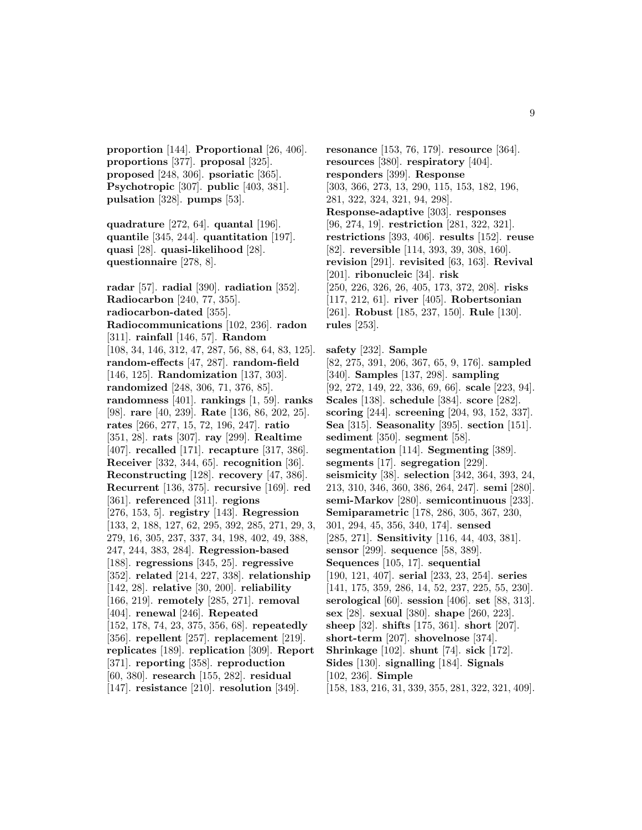**proportion** [144]. **Proportional** [26, 406]. **proportions** [377]. **proposal** [325]. **proposed** [248, 306]. **psoriatic** [365]. **Psychotropic** [307]. **public** [403, 381]. **pulsation** [328]. **pumps** [53].

**quadrature** [272, 64]. **quantal** [196]. **quantile** [345, 244]. **quantitation** [197]. **quasi** [28]. **quasi-likelihood** [28]. **questionnaire** [278, 8].

**radar** [57]. **radial** [390]. **radiation** [352]. **Radiocarbon** [240, 77, 355]. **radiocarbon-dated** [355]. **Radiocommunications** [102, 236]. **radon** [311]. **rainfall** [146, 57]. **Random** [108, 34, 146, 312, 47, 287, 56, 88, 64, 83, 125]. **random-effects** [47, 287]. **random-field** [146, 125]. **Randomization** [137, 303]. **randomized** [248, 306, 71, 376, 85]. **randomness** [401]. **rankings** [1, 59]. **ranks** [98]. **rare** [40, 239]. **Rate** [136, 86, 202, 25]. **rates** [266, 277, 15, 72, 196, 247]. **ratio** [351, 28]. **rats** [307]. **ray** [299]. **Realtime** [407]. **recalled** [171]. **recapture** [317, 386]. **Receiver** [332, 344, 65]. **recognition** [36]. **Reconstructing** [128]. **recovery** [47, 386]. **Recurrent** [136, 375]. **recursive** [169]. **red** [361]. **referenced** [311]. **regions** [276, 153, 5]. **registry** [143]. **Regression** [133, 2, 188, 127, 62, 295, 392, 285, 271, 29, 3, 279, 16, 305, 237, 337, 34, 198, 402, 49, 388, 247, 244, 383, 284]. **Regression-based** [188]. **regressions** [345, 25]. **regressive** [352]. **related** [214, 227, 338]. **relationship** [142, 28]. **relative** [30, 200]. **reliability** [166, 219]. **remotely** [285, 271]. **removal** [404]. **renewal** [246]. **Repeated** [152, 178, 74, 23, 375, 356, 68]. **repeatedly** [356]. **repellent** [257]. **replacement** [219]. **replicates** [189]. **replication** [309]. **Report** [371]. **reporting** [358]. **reproduction** [60, 380]. **research** [155, 282]. **residual** [147]. **resistance** [210]. **resolution** [349].

**resonance** [153, 76, 179]. **resource** [364]. **resources** [380]. **respiratory** [404]. **responders** [399]. **Response** [303, 366, 273, 13, 290, 115, 153, 182, 196, 281, 322, 324, 321, 94, 298]. **Response-adaptive** [303]. **responses** [96, 274, 19]. **restriction** [281, 322, 321]. **restrictions** [393, 406]. **results** [152]. **reuse** [82]. **reversible** [114, 393, 39, 308, 160]. **revision** [291]. **revisited** [63, 163]. **Revival** [201]. **ribonucleic** [34]. **risk** [250, 226, 326, 26, 405, 173, 372, 208]. **risks** [117, 212, 61]. **river** [405]. **Robertsonian** [261]. **Robust** [185, 237, 150]. **Rule** [130]. **rules** [253].

**safety** [232]. **Sample** [82, 275, 391, 206, 367, 65, 9, 176]. **sampled** [340]. **Samples** [137, 298]. **sampling** [92, 272, 149, 22, 336, 69, 66]. **scale** [223, 94]. **Scales** [138]. **schedule** [384]. **score** [282]. **scoring** [244]. **screening** [204, 93, 152, 337]. **Sea** [315]. **Seasonality** [395]. **section** [151]. **sediment** [350]. **segment** [58]. **segmentation** [114]. **Segmenting** [389]. **segments** [17]. **segregation** [229]. **seismicity** [38]. **selection** [342, 364, 393, 24, 213, 310, 346, 360, 386, 264, 247]. **semi** [280]. **semi-Markov** [280]. **semicontinuous** [233]. **Semiparametric** [178, 286, 305, 367, 230, 301, 294, 45, 356, 340, 174]. **sensed** [285, 271]. **Sensitivity** [116, 44, 403, 381]. **sensor** [299]. **sequence** [58, 389]. **Sequences** [105, 17]. **sequential** [190, 121, 407]. **serial** [233, 23, 254]. **series** [141, 175, 359, 286, 14, 52, 237, 225, 55, 230]. **serological** [60]. **session** [406]. **set** [88, 313]. **sex** [28]. **sexual** [380]. **shape** [260, 223]. **sheep** [32]. **shifts** [175, 361]. **short** [207]. **short-term** [207]. **shovelnose** [374]. **Shrinkage** [102]. **shunt** [74]. **sick** [172]. **Sides** [130]. **signalling** [184]. **Signals** [102, 236]. **Simple** [158, 183, 216, 31, 339, 355, 281, 322, 321, 409].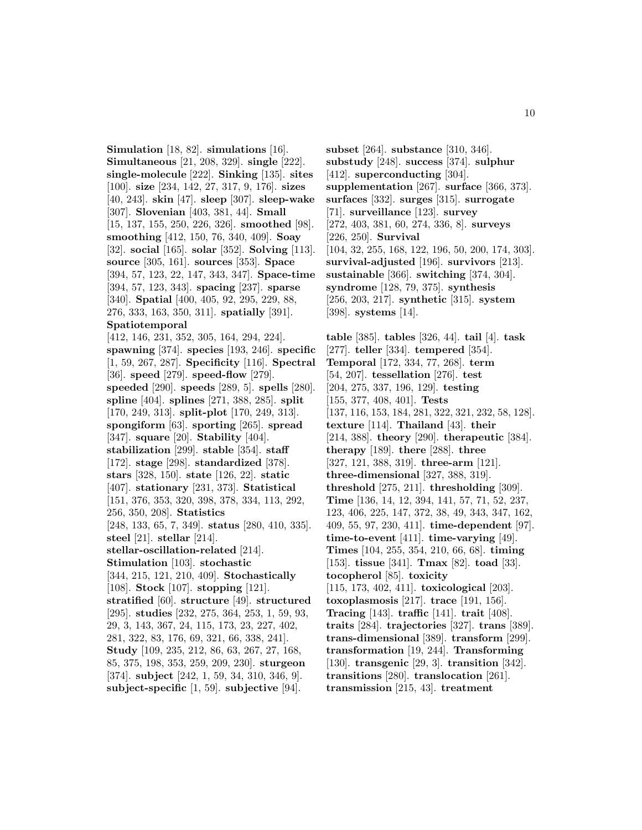**Simulation** [18, 82]. **simulations** [16]. **Simultaneous** [21, 208, 329]. **single** [222]. **single-molecule** [222]. **Sinking** [135]. **sites** [100]. **size** [234, 142, 27, 317, 9, 176]. **sizes** [40, 243]. **skin** [47]. **sleep** [307]. **sleep-wake** [307]. **Slovenian** [403, 381, 44]. **Small** [15, 137, 155, 250, 226, 326]. **smoothed** [98]. **smoothing** [412, 150, 76, 340, 409]. **Soay** [32]. **social** [165]. **solar** [352]. **Solving** [113]. **source** [305, 161]. **sources** [353]. **Space** [394, 57, 123, 22, 147, 343, 347]. **Space-time** [394, 57, 123, 343]. **spacing** [237]. **sparse** [340]. **Spatial** [400, 405, 92, 295, 229, 88, 276, 333, 163, 350, 311]. **spatially** [391]. **Spatiotemporal** [412, 146, 231, 352, 305, 164, 294, 224]. **spawning** [374]. **species** [193, 246]. **specific** [1, 59, 267, 287]. **Specificity** [116]. **Spectral** [36]. **speed** [279]. **speed-flow** [279]. **speeded** [290]. **speeds** [289, 5]. **spells** [280]. **spline** [404]. **splines** [271, 388, 285]. **split** [170, 249, 313]. **split-plot** [170, 249, 313]. **spongiform** [63]. **sporting** [265]. **spread** [347]. **square** [20]. **Stability** [404]. **stabilization** [299]. **stable** [354]. **staff** [172]. **stage** [298]. **standardized** [378]. **stars** [328, 150]. **state** [126, 22]. **static** [407]. **stationary** [231, 373]. **Statistical** [151, 376, 353, 320, 398, 378, 334, 113, 292, 256, 350, 208]. **Statistics** [248, 133, 65, 7, 349]. **status** [280, 410, 335]. **steel** [21]. **stellar** [214]. **stellar-oscillation-related** [214]. **Stimulation** [103]. **stochastic** [344, 215, 121, 210, 409]. **Stochastically** [108]. **Stock** [107]. **stopping** [121]. **stratified** [60]. **structure** [49]. **structured** [295]. **studies** [232, 275, 364, 253, 1, 59, 93, 29, 3, 143, 367, 24, 115, 173, 23, 227, 402, 281, 322, 83, 176, 69, 321, 66, 338, 241]. **Study** [109, 235, 212, 86, 63, 267, 27, 168, 85, 375, 198, 353, 259, 209, 230]. **sturgeon** [374]. **subject** [242, 1, 59, 34, 310, 346, 9]. **subject-specific** [1, 59]. **subjective** [94].

**subset** [264]. **substance** [310, 346]. **substudy** [248]. **success** [374]. **sulphur** [412]. **superconducting** [304]. **supplementation** [267]. **surface** [366, 373]. **surfaces** [332]. **surges** [315]. **surrogate** [71]. **surveillance** [123]. **survey** [272, 403, 381, 60, 274, 336, 8]. **surveys** [226, 250]. **Survival** [104, 32, 255, 168, 122, 196, 50, 200, 174, 303]. **survival-adjusted** [196]. **survivors** [213]. **sustainable** [366]. **switching** [374, 304]. **syndrome** [128, 79, 375]. **synthesis** [256, 203, 217]. **synthetic** [315]. **system** [398]. **systems** [14].

**table** [385]. **tables** [326, 44]. **tail** [4]. **task** [277]. **teller** [334]. **tempered** [354]. **Temporal** [172, 334, 77, 268]. **term** [54, 207]. **tessellation** [276]. **test** [204, 275, 337, 196, 129]. **testing** [155, 377, 408, 401]. **Tests** [137, 116, 153, 184, 281, 322, 321, 232, 58, 128]. **texture** [114]. **Thailand** [43]. **their** [214, 388]. **theory** [290]. **therapeutic** [384]. **therapy** [189]. **there** [288]. **three** [327, 121, 388, 319]. **three-arm** [121]. **three-dimensional** [327, 388, 319]. **threshold** [275, 211]. **thresholding** [309]. **Time** [136, 14, 12, 394, 141, 57, 71, 52, 237, 123, 406, 225, 147, 372, 38, 49, 343, 347, 162, 409, 55, 97, 230, 411]. **time-dependent** [97]. **time-to-event** [411]. **time-varying** [49]. **Times** [104, 255, 354, 210, 66, 68]. **timing** [153]. **tissue** [341]. **Tmax** [82]. **toad** [33]. **tocopherol** [85]. **toxicity** [115, 173, 402, 411]. **toxicological** [203]. **toxoplasmosis** [217]. **trace** [191, 156]. **Tracing** [143]. **traffic** [141]. **trait** [408]. **traits** [284]. **trajectories** [327]. **trans** [389]. **trans-dimensional** [389]. **transform** [299]. **transformation** [19, 244]. **Transforming** [130]. **transgenic** [29, 3]. **transition** [342]. **transitions** [280]. **translocation** [261]. **transmission** [215, 43]. **treatment**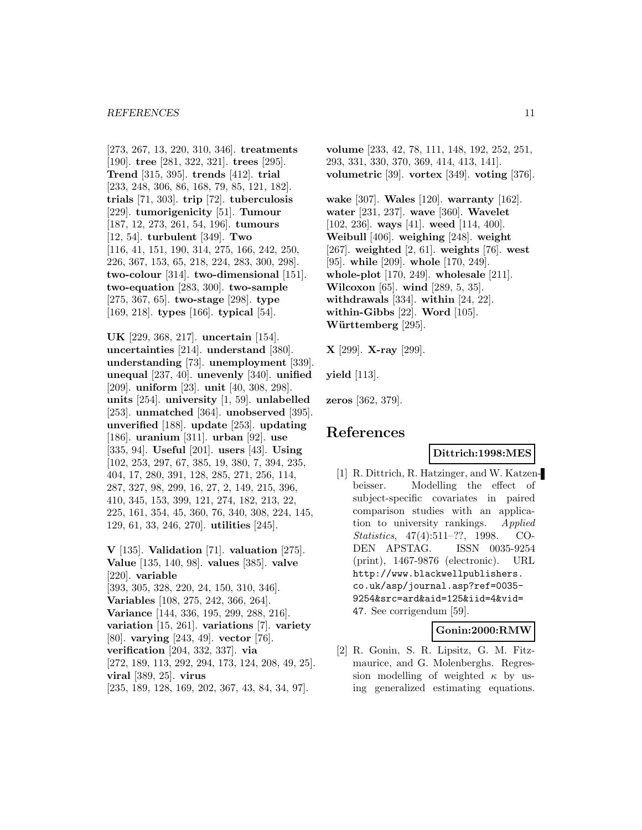#### *REFERENCES* 11

[273, 267, 13, 220, 310, 346]. **treatments** [190]. **tree** [281, 322, 321]. **trees** [295]. **Trend** [315, 395]. **trends** [412]. **trial** [233, 248, 306, 86, 168, 79, 85, 121, 182]. **trials** [71, 303]. **trip** [72]. **tuberculosis** [229]. **tumorigenicity** [51]. **Tumour** [187, 12, 273, 261, 54, 196]. **tumours** [12, 54]. **turbulent** [349]. **Two** [116, 41, 151, 190, 314, 275, 166, 242, 250, 226, 367, 153, 65, 218, 224, 283, 300, 298]. **two-colour** [314]. **two-dimensional** [151]. **two-equation** [283, 300]. **two-sample** [275, 367, 65]. **two-stage** [298]. **type** [169, 218]. **types** [166]. **typical** [54].

**UK** [229, 368, 217]. **uncertain** [154]. **uncertainties** [214]. **understand** [380]. **understanding** [73]. **unemployment** [339]. **unequal** [237, 40]. **unevenly** [340]. **unified** [209]. **uniform** [23]. **unit** [40, 308, 298]. **units** [254]. **university** [1, 59]. **unlabelled** [253]. **unmatched** [364]. **unobserved** [395]. **unverified** [188]. **update** [253]. **updating** [186]. **uranium** [311]. **urban** [92]. **use** [335, 94]. **Useful** [201]. **users** [43]. **Using** [102, 253, 297, 67, 385, 19, 380, 7, 394, 235, 404, 17, 280, 391, 128, 285, 271, 256, 114, 287, 327, 98, 299, 16, 27, 2, 149, 215, 396, 410, 345, 153, 399, 121, 274, 182, 213, 22, 225, 161, 354, 45, 360, 76, 340, 308, 224, 145, 129, 61, 33, 246, 270]. **utilities** [245].

**V** [135]. **Validation** [71]. **valuation** [275]. **Value** [135, 140, 98]. **values** [385]. **valve** [220]. **variable** [393, 305, 328, 220, 24, 150, 310, 346]. **Variables** [108, 275, 242, 366, 264]. **Variance** [144, 336, 195, 299, 288, 216]. **variation** [15, 261]. **variations** [7]. **variety** [80]. **varying** [243, 49]. **vector** [76]. **verification** [204, 332, 337]. **via** [272, 189, 113, 292, 294, 173, 124, 208, 49, 25]. **viral** [389, 25]. **virus** [235, 189, 128, 169, 202, 367, 43, 84, 34, 97].

**volume** [233, 42, 78, 111, 148, 192, 252, 251, 293, 331, 330, 370, 369, 414, 413, 141]. **volumetric** [39]. **vortex** [349]. **voting** [376].

**wake** [307]. **Wales** [120]. **warranty** [162]. **water** [231, 237]. **wave** [360]. **Wavelet** [102, 236]. **ways** [41]. **weed** [114, 400]. **Weibull** [406]. **weighing** [248]. **weight** [267]. **weighted** [2, 61]. **weights** [76]. **west** [95]. **while** [209]. **whole** [170, 249]. **whole-plot** [170, 249]. **wholesale** [211]. **Wilcoxon** [65]. **wind** [289, 5, 35]. **withdrawals** [334]. **within** [24, 22]. **within-Gibbs** [22]. **Word** [105]. Württemberg<sup>[295]</sup>.

**X** [299]. **X-ray** [299].

**yield** [113].

**zeros** [362, 379].

# **References**

#### **Dittrich:1998:MES**

[1] R. Dittrich, R. Hatzinger, and W. Katzenbeisser. Modelling the effect of subject-specific covariates in paired comparison studies with an application to university rankings. Applied Statistics, 47(4):511–??, 1998. CO-DEN APSTAG. ISSN 0035-9254 (print), 1467-9876 (electronic). URL http://www.blackwellpublishers. co.uk/asp/journal.asp?ref=0035- 9254&src=ard&aid=125&iid=4&vid= 47. See corrigendum [59].

#### **Gonin:2000:RMW**

[2] R. Gonin, S. R. Lipsitz, G. M. Fitzmaurice, and G. Molenberghs. Regression modelling of weighted  $\kappa$  by using generalized estimating equations.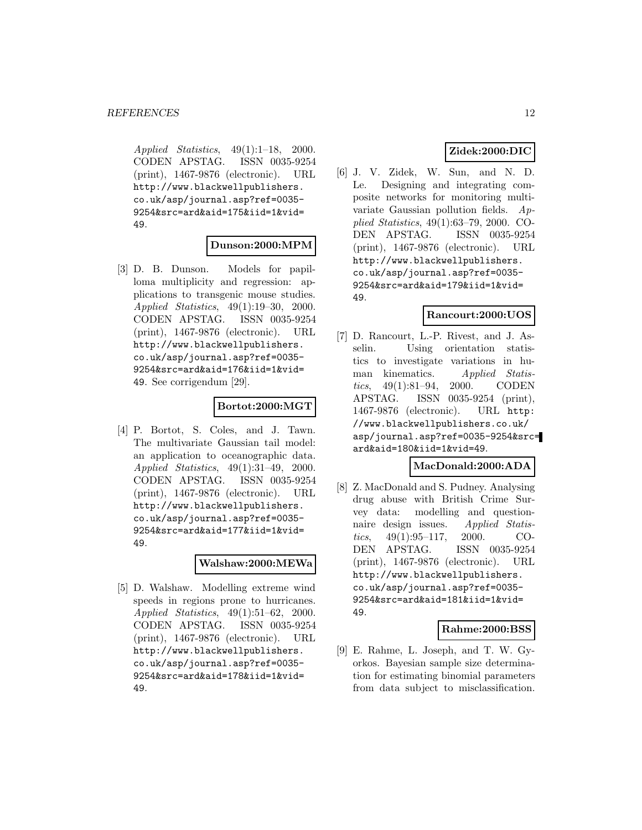Applied Statistics, 49(1):1–18, 2000. CODEN APSTAG. ISSN 0035-9254 (print), 1467-9876 (electronic). URL http://www.blackwellpublishers. co.uk/asp/journal.asp?ref=0035- 9254&src=ard&aid=175&iid=1&vid= 49.

### **Dunson:2000:MPM**

[3] D. B. Dunson. Models for papilloma multiplicity and regression: applications to transgenic mouse studies. Applied Statistics, 49(1):19–30, 2000. CODEN APSTAG. ISSN 0035-9254 (print), 1467-9876 (electronic). URL http://www.blackwellpublishers. co.uk/asp/journal.asp?ref=0035- 9254&src=ard&aid=176&iid=1&vid= 49. See corrigendum [29].

### **Bortot:2000:MGT**

[4] P. Bortot, S. Coles, and J. Tawn. The multivariate Gaussian tail model: an application to oceanographic data. Applied Statistics, 49(1):31–49, 2000. CODEN APSTAG. ISSN 0035-9254 (print), 1467-9876 (electronic). URL http://www.blackwellpublishers. co.uk/asp/journal.asp?ref=0035- 9254&src=ard&aid=177&iid=1&vid= 49.

### **Walshaw:2000:MEWa**

[5] D. Walshaw. Modelling extreme wind speeds in regions prone to hurricanes. Applied Statistics, 49(1):51–62, 2000. CODEN APSTAG. ISSN 0035-9254 (print), 1467-9876 (electronic). URL http://www.blackwellpublishers. co.uk/asp/journal.asp?ref=0035- 9254&src=ard&aid=178&iid=1&vid= 49.

# **Zidek:2000:DIC**

[6] J. V. Zidek, W. Sun, and N. D. Le. Designing and integrating composite networks for monitoring multivariate Gaussian pollution fields. Applied Statistics, 49(1):63–79, 2000. CO-DEN APSTAG. ISSN 0035-9254 (print), 1467-9876 (electronic). URL http://www.blackwellpublishers. co.uk/asp/journal.asp?ref=0035- 9254&src=ard&aid=179&iid=1&vid= 49.

#### **Rancourt:2000:UOS**

[7] D. Rancourt, L.-P. Rivest, and J. Asselin. Using orientation statistics to investigate variations in human kinematics. Applied Statistics, 49(1):81–94, 2000. CODEN APSTAG. ISSN 0035-9254 (print), 1467-9876 (electronic). URL http: //www.blackwellpublishers.co.uk/ asp/journal.asp?ref=0035-9254&src= ard&aid=180&iid=1&vid=49.

# **MacDonald:2000:ADA**

[8] Z. MacDonald and S. Pudney. Analysing drug abuse with British Crime Survey data: modelling and questionnaire design issues. Applied Statistics,  $49(1):95-117$ ,  $2000$ . CO-DEN APSTAG. ISSN 0035-9254 (print), 1467-9876 (electronic). URL http://www.blackwellpublishers. co.uk/asp/journal.asp?ref=0035- 9254&src=ard&aid=181&iid=1&vid= 49.

# **Rahme:2000:BSS**

[9] E. Rahme, L. Joseph, and T. W. Gyorkos. Bayesian sample size determination for estimating binomial parameters from data subject to misclassification.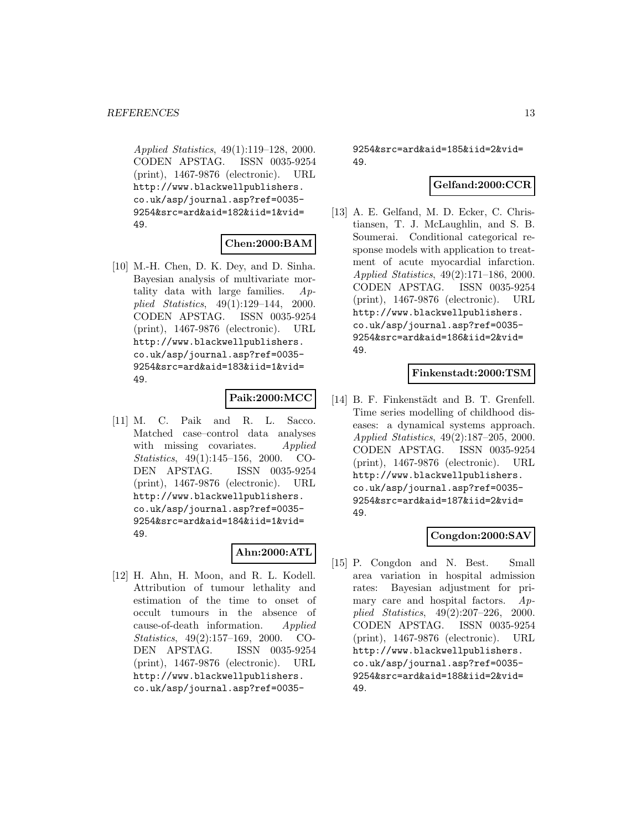Applied Statistics, 49(1):119–128, 2000. CODEN APSTAG. ISSN 0035-9254 (print), 1467-9876 (electronic). URL http://www.blackwellpublishers. co.uk/asp/journal.asp?ref=0035- 9254&src=ard&aid=182&iid=1&vid= 49.

### **Chen:2000:BAM**

[10] M.-H. Chen, D. K. Dey, and D. Sinha. Bayesian analysis of multivariate mortality data with large families. Applied Statistics, 49(1):129–144, 2000. CODEN APSTAG. ISSN 0035-9254 (print), 1467-9876 (electronic). URL http://www.blackwellpublishers. co.uk/asp/journal.asp?ref=0035- 9254&src=ard&aid=183&iid=1&vid= 49.

### **Paik:2000:MCC**

[11] M. C. Paik and R. L. Sacco. Matched case–control data analyses with missing covariates. Applied Statistics, 49(1):145–156, 2000. CO-DEN APSTAG. ISSN 0035-9254 (print), 1467-9876 (electronic). URL http://www.blackwellpublishers. co.uk/asp/journal.asp?ref=0035- 9254&src=ard&aid=184&iid=1&vid= 49.

# **Ahn:2000:ATL**

[12] H. Ahn, H. Moon, and R. L. Kodell. Attribution of tumour lethality and estimation of the time to onset of occult tumours in the absence of cause-of-death information. Applied Statistics, 49(2):157–169, 2000. CO-DEN APSTAG. ISSN 0035-9254 (print), 1467-9876 (electronic). URL http://www.blackwellpublishers. co.uk/asp/journal.asp?ref=00359254&src=ard&aid=185&iid=2&vid= 49.

# **Gelfand:2000:CCR**

[13] A. E. Gelfand, M. D. Ecker, C. Christiansen, T. J. McLaughlin, and S. B. Soumerai. Conditional categorical response models with application to treatment of acute myocardial infarction. Applied Statistics, 49(2):171–186, 2000. CODEN APSTAG. ISSN 0035-9254 (print), 1467-9876 (electronic). URL http://www.blackwellpublishers. co.uk/asp/journal.asp?ref=0035- 9254&src=ard&aid=186&iid=2&vid= 49.

#### **Finkenstadt:2000:TSM**

[14] B. F. Finkenstädt and B. T. Grenfell. Time series modelling of childhood diseases: a dynamical systems approach. Applied Statistics, 49(2):187–205, 2000. CODEN APSTAG. ISSN 0035-9254 (print), 1467-9876 (electronic). URL http://www.blackwellpublishers. co.uk/asp/journal.asp?ref=0035- 9254&src=ard&aid=187&iid=2&vid= 49.

### **Congdon:2000:SAV**

[15] P. Congdon and N. Best. Small area variation in hospital admission rates: Bayesian adjustment for primary care and hospital factors.  $Ap$ plied Statistics, 49(2):207–226, 2000. CODEN APSTAG. ISSN 0035-9254 (print), 1467-9876 (electronic). URL http://www.blackwellpublishers. co.uk/asp/journal.asp?ref=0035- 9254&src=ard&aid=188&iid=2&vid= 49.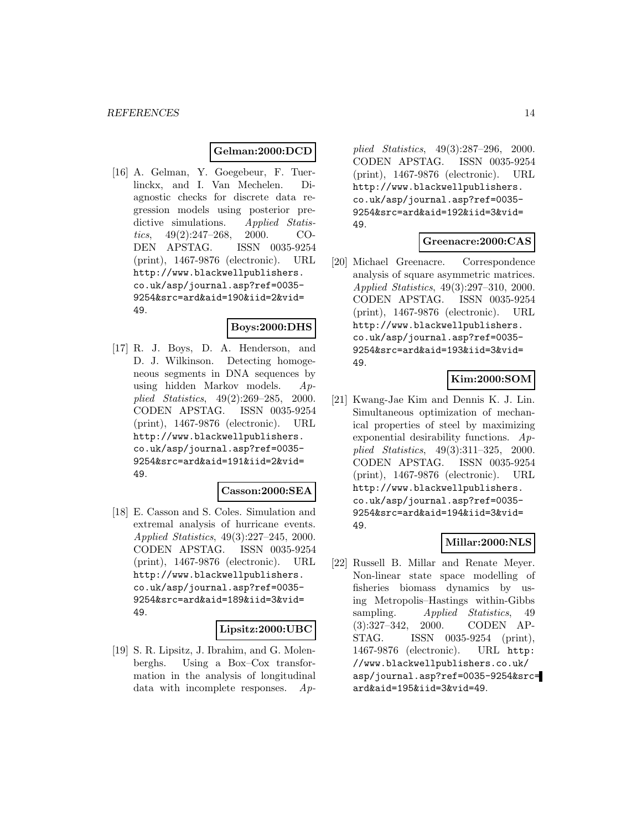### **Gelman:2000:DCD**

[16] A. Gelman, Y. Goegebeur, F. Tuerlinckx, and I. Van Mechelen. Diagnostic checks for discrete data regression models using posterior predictive simulations. Applied Statistics, 49(2):247–268, 2000. CO-DEN APSTAG. ISSN 0035-9254 (print), 1467-9876 (electronic). URL http://www.blackwellpublishers. co.uk/asp/journal.asp?ref=0035- 9254&src=ard&aid=190&iid=2&vid= 49.

# **Boys:2000:DHS**

[17] R. J. Boys, D. A. Henderson, and D. J. Wilkinson. Detecting homogeneous segments in DNA sequences by using hidden Markov models. Applied Statistics, 49(2):269–285, 2000. CODEN APSTAG. ISSN 0035-9254 (print), 1467-9876 (electronic). URL http://www.blackwellpublishers. co.uk/asp/journal.asp?ref=0035- 9254&src=ard&aid=191&iid=2&vid= 49.

#### **Casson:2000:SEA**

[18] E. Casson and S. Coles. Simulation and extremal analysis of hurricane events. Applied Statistics, 49(3):227–245, 2000. CODEN APSTAG. ISSN 0035-9254 (print), 1467-9876 (electronic). URL http://www.blackwellpublishers. co.uk/asp/journal.asp?ref=0035- 9254&src=ard&aid=189&iid=3&vid= 49.

#### **Lipsitz:2000:UBC**

[19] S. R. Lipsitz, J. Ibrahim, and G. Molenberghs. Using a Box–Cox transformation in the analysis of longitudinal data with incomplete responses. Ap-

plied Statistics, 49(3):287–296, 2000. CODEN APSTAG. ISSN 0035-9254 (print), 1467-9876 (electronic). URL http://www.blackwellpublishers. co.uk/asp/journal.asp?ref=0035- 9254&src=ard&aid=192&iid=3&vid= 49.

#### **Greenacre:2000:CAS**

[20] Michael Greenacre. Correspondence analysis of square asymmetric matrices. Applied Statistics, 49(3):297–310, 2000. CODEN APSTAG. ISSN 0035-9254 (print), 1467-9876 (electronic). URL http://www.blackwellpublishers. co.uk/asp/journal.asp?ref=0035- 9254&src=ard&aid=193&iid=3&vid= 49.

# **Kim:2000:SOM**

[21] Kwang-Jae Kim and Dennis K. J. Lin. Simultaneous optimization of mechanical properties of steel by maximizing exponential desirability functions.  $Ap$ plied Statistics, 49(3):311–325, 2000. CODEN APSTAG. ISSN 0035-9254 (print), 1467-9876 (electronic). URL http://www.blackwellpublishers. co.uk/asp/journal.asp?ref=0035- 9254&src=ard&aid=194&iid=3&vid= 49.

# **Millar:2000:NLS**

[22] Russell B. Millar and Renate Meyer. Non-linear state space modelling of fisheries biomass dynamics by using Metropolis–Hastings within-Gibbs sampling. Applied Statistics, 49 (3):327–342, 2000. CODEN AP-STAG. ISSN 0035-9254 (print), 1467-9876 (electronic). URL http: //www.blackwellpublishers.co.uk/ asp/journal.asp?ref=0035-9254&src= ard&aid=195&iid=3&vid=49.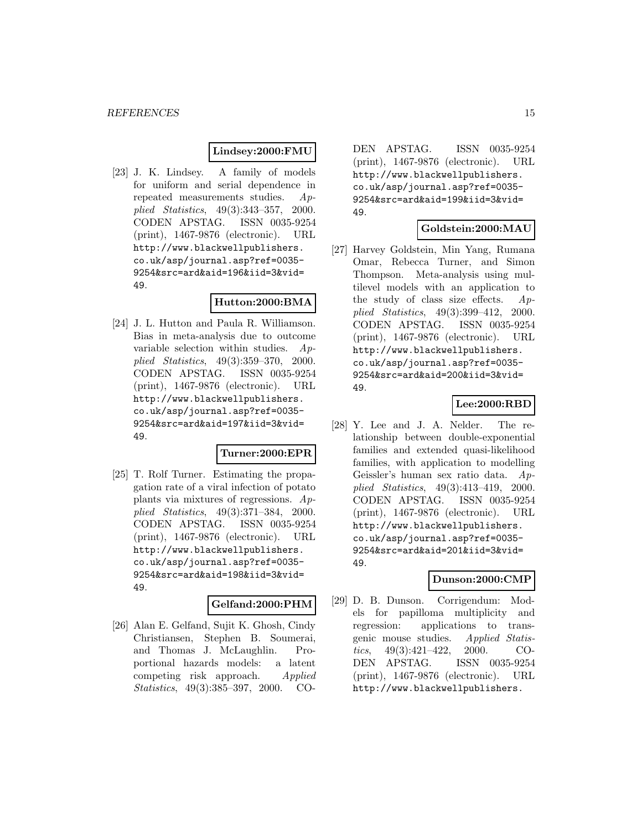### **Lindsey:2000:FMU**

[23] J. K. Lindsey. A family of models for uniform and serial dependence in repeated measurements studies. Applied Statistics, 49(3):343–357, 2000. CODEN APSTAG. ISSN 0035-9254 (print), 1467-9876 (electronic). URL http://www.blackwellpublishers. co.uk/asp/journal.asp?ref=0035- 9254&src=ard&aid=196&iid=3&vid= 49.

# **Hutton:2000:BMA**

[24] J. L. Hutton and Paula R. Williamson. Bias in meta-analysis due to outcome variable selection within studies. Applied Statistics, 49(3):359–370, 2000. CODEN APSTAG. ISSN 0035-9254 (print), 1467-9876 (electronic). URL http://www.blackwellpublishers. co.uk/asp/journal.asp?ref=0035- 9254&src=ard&aid=197&iid=3&vid= 49.

### **Turner:2000:EPR**

[25] T. Rolf Turner. Estimating the propagation rate of a viral infection of potato plants via mixtures of regressions. Applied Statistics, 49(3):371–384, 2000. CODEN APSTAG. ISSN 0035-9254 (print), 1467-9876 (electronic). URL http://www.blackwellpublishers. co.uk/asp/journal.asp?ref=0035- 9254&src=ard&aid=198&iid=3&vid= 49.

### **Gelfand:2000:PHM**

[26] Alan E. Gelfand, Sujit K. Ghosh, Cindy Christiansen, Stephen B. Soumerai, and Thomas J. McLaughlin. Proportional hazards models: a latent competing risk approach. Applied Statistics, 49(3):385–397, 2000. CO-

DEN APSTAG. ISSN 0035-9254 (print), 1467-9876 (electronic). URL http://www.blackwellpublishers. co.uk/asp/journal.asp?ref=0035- 9254&src=ard&aid=199&iid=3&vid= 49.

#### **Goldstein:2000:MAU**

[27] Harvey Goldstein, Min Yang, Rumana Omar, Rebecca Turner, and Simon Thompson. Meta-analysis using multilevel models with an application to the study of class size effects.  $Ap$ plied Statistics, 49(3):399–412, 2000. CODEN APSTAG. ISSN 0035-9254 (print), 1467-9876 (electronic). URL http://www.blackwellpublishers. co.uk/asp/journal.asp?ref=0035- 9254&src=ard&aid=200&iid=3&vid= 49.

# **Lee:2000:RBD**

[28] Y. Lee and J. A. Nelder. The relationship between double-exponential families and extended quasi-likelihood families, with application to modelling Geissler's human sex ratio data. Applied Statistics, 49(3):413–419, 2000. CODEN APSTAG. ISSN 0035-9254 (print), 1467-9876 (electronic). URL http://www.blackwellpublishers. co.uk/asp/journal.asp?ref=0035- 9254&src=ard&aid=201&iid=3&vid= 49.

#### **Dunson:2000:CMP**

[29] D. B. Dunson. Corrigendum: Models for papilloma multiplicity and regression: applications to transgenic mouse studies. Applied Statistics, 49(3):421–422, 2000. CO-DEN APSTAG. ISSN 0035-9254 (print), 1467-9876 (electronic). URL http://www.blackwellpublishers.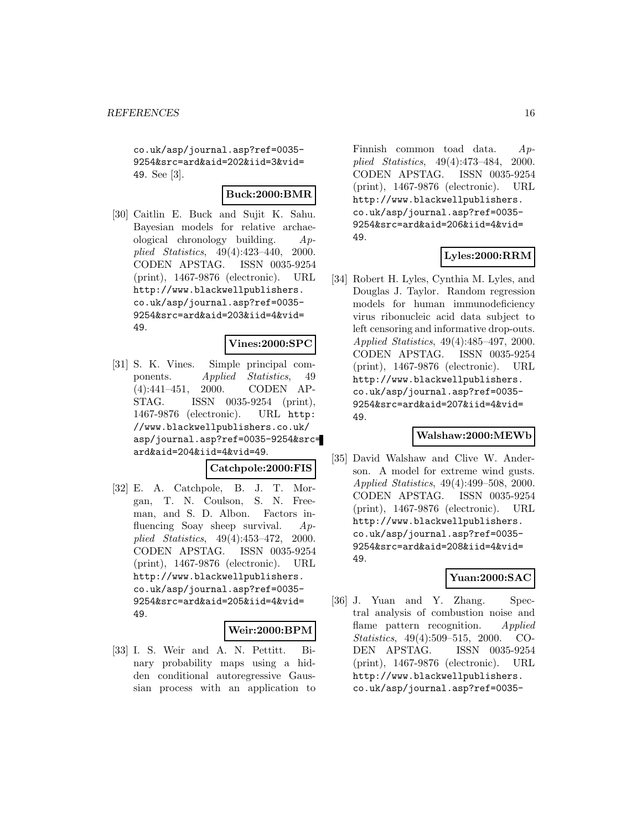co.uk/asp/journal.asp?ref=0035- 9254&src=ard&aid=202&iid=3&vid= 49. See [3].

### **Buck:2000:BMR**

[30] Caitlin E. Buck and Sujit K. Sahu. Bayesian models for relative archaeological chronology building. Applied Statistics, 49(4):423–440, 2000. CODEN APSTAG. ISSN 0035-9254 (print), 1467-9876 (electronic). URL http://www.blackwellpublishers. co.uk/asp/journal.asp?ref=0035- 9254&src=ard&aid=203&iid=4&vid= 49.

### **Vines:2000:SPC**

[31] S. K. Vines. Simple principal components. Applied Statistics, 49 (4):441–451, 2000. CODEN AP-STAG. ISSN 0035-9254 (print), 1467-9876 (electronic). URL http: //www.blackwellpublishers.co.uk/ asp/journal.asp?ref=0035-9254&src= ard&aid=204&iid=4&vid=49.

### **Catchpole:2000:FIS**

[32] E. A. Catchpole, B. J. T. Morgan, T. N. Coulson, S. N. Freeman, and S. D. Albon. Factors influencing Soay sheep survival. Applied Statistics, 49(4):453–472, 2000. CODEN APSTAG. ISSN 0035-9254 (print), 1467-9876 (electronic). URL http://www.blackwellpublishers. co.uk/asp/journal.asp?ref=0035- 9254&src=ard&aid=205&iid=4&vid= 49.

#### **Weir:2000:BPM**

[33] I. S. Weir and A. N. Pettitt. Binary probability maps using a hidden conditional autoregressive Gaussian process with an application to

Finnish common toad data. Applied Statistics, 49(4):473–484, 2000. CODEN APSTAG. ISSN 0035-9254 (print), 1467-9876 (electronic). URL http://www.blackwellpublishers. co.uk/asp/journal.asp?ref=0035- 9254&src=ard&aid=206&iid=4&vid= 49.

### **Lyles:2000:RRM**

[34] Robert H. Lyles, Cynthia M. Lyles, and Douglas J. Taylor. Random regression models for human immunodeficiency virus ribonucleic acid data subject to left censoring and informative drop-outs. Applied Statistics, 49(4):485–497, 2000. CODEN APSTAG. ISSN 0035-9254 (print), 1467-9876 (electronic). URL http://www.blackwellpublishers. co.uk/asp/journal.asp?ref=0035- 9254&src=ard&aid=207&iid=4&vid= 49.

#### **Walshaw:2000:MEWb**

[35] David Walshaw and Clive W. Anderson. A model for extreme wind gusts. Applied Statistics, 49(4):499–508, 2000. CODEN APSTAG. ISSN 0035-9254 (print), 1467-9876 (electronic). URL http://www.blackwellpublishers. co.uk/asp/journal.asp?ref=0035- 9254&src=ard&aid=208&iid=4&vid= 49.

# **Yuan:2000:SAC**

[36] J. Yuan and Y. Zhang. Spectral analysis of combustion noise and flame pattern recognition. Applied Statistics, 49(4):509–515, 2000. CO-DEN APSTAG. ISSN 0035-9254 (print), 1467-9876 (electronic). URL http://www.blackwellpublishers. co.uk/asp/journal.asp?ref=0035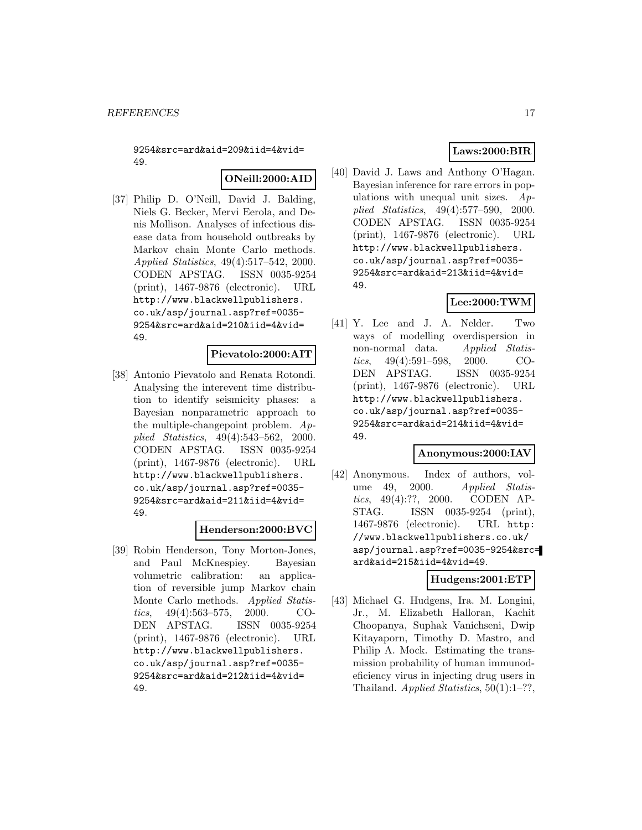9254&src=ard&aid=209&iid=4&vid= 49.

### **ONeill:2000:AID**

[37] Philip D. O'Neill, David J. Balding, Niels G. Becker, Mervi Eerola, and Denis Mollison. Analyses of infectious disease data from household outbreaks by Markov chain Monte Carlo methods. Applied Statistics, 49(4):517–542, 2000. CODEN APSTAG. ISSN 0035-9254 (print), 1467-9876 (electronic). URL http://www.blackwellpublishers. co.uk/asp/journal.asp?ref=0035- 9254&src=ard&aid=210&iid=4&vid= 49.

#### **Pievatolo:2000:AIT**

[38] Antonio Pievatolo and Renata Rotondi. Analysing the interevent time distribution to identify seismicity phases: a Bayesian nonparametric approach to the multiple-changepoint problem.  $Ap$ plied Statistics, 49(4):543–562, 2000. CODEN APSTAG. ISSN 0035-9254 (print), 1467-9876 (electronic). URL http://www.blackwellpublishers. co.uk/asp/journal.asp?ref=0035- 9254&src=ard&aid=211&iid=4&vid= 49.

#### **Henderson:2000:BVC**

[39] Robin Henderson, Tony Morton-Jones, and Paul McKnespiey. Bayesian volumetric calibration: an application of reversible jump Markov chain Monte Carlo methods. Applied Statistics, 49(4):563–575, 2000. CO-DEN APSTAG. ISSN 0035-9254 (print), 1467-9876 (electronic). URL http://www.blackwellpublishers. co.uk/asp/journal.asp?ref=0035- 9254&src=ard&aid=212&iid=4&vid= 49.

# **Laws:2000:BIR**

[40] David J. Laws and Anthony O'Hagan. Bayesian inference for rare errors in populations with unequal unit sizes.  $Ap$ plied Statistics, 49(4):577–590, 2000. CODEN APSTAG. ISSN 0035-9254 (print), 1467-9876 (electronic). URL http://www.blackwellpublishers. co.uk/asp/journal.asp?ref=0035- 9254&src=ard&aid=213&iid=4&vid= 49.

### **Lee:2000:TWM**

[41] Y. Lee and J. A. Nelder. Two ways of modelling overdispersion in non-normal data. Applied Statistics, 49(4):591–598, 2000. CO-DEN APSTAG. ISSN 0035-9254 (print), 1467-9876 (electronic). URL http://www.blackwellpublishers. co.uk/asp/journal.asp?ref=0035- 9254&src=ard&aid=214&iid=4&vid= 49.

#### **Anonymous:2000:IAV**

[42] Anonymous. Index of authors, volume 49, 2000. Applied Statistics, 49(4):??, 2000. CODEN AP-STAG. ISSN 0035-9254 (print), 1467-9876 (electronic). URL http: //www.blackwellpublishers.co.uk/ asp/journal.asp?ref=0035-9254&src= ard&aid=215&iid=4&vid=49.

#### **Hudgens:2001:ETP**

[43] Michael G. Hudgens, Ira. M. Longini, Jr., M. Elizabeth Halloran, Kachit Choopanya, Suphak Vanichseni, Dwip Kitayaporn, Timothy D. Mastro, and Philip A. Mock. Estimating the transmission probability of human immunodeficiency virus in injecting drug users in Thailand. Applied Statistics,  $50(1):1-??$ ,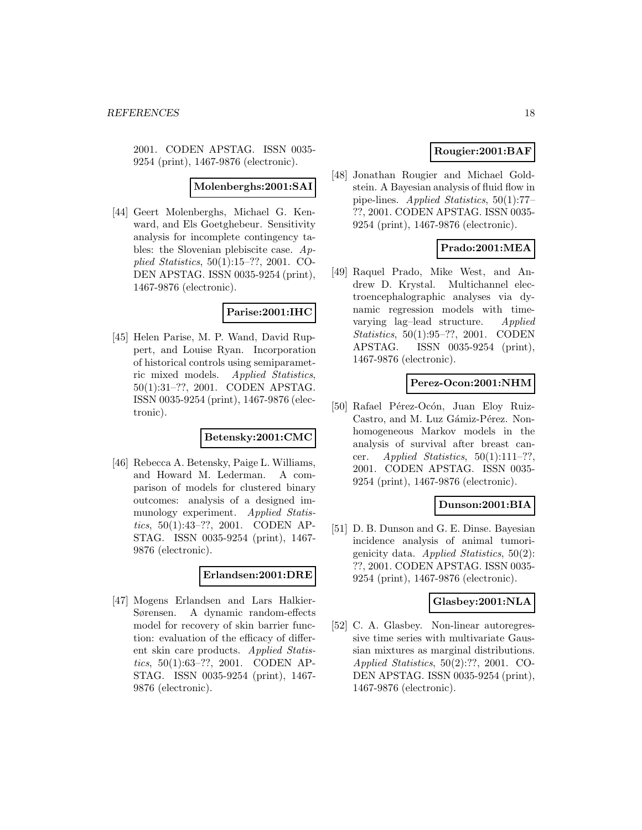2001. CODEN APSTAG. ISSN 0035- 9254 (print), 1467-9876 (electronic).

**Molenberghs:2001:SAI**

[44] Geert Molenberghs, Michael G. Kenward, and Els Goetghebeur. Sensitivity analysis for incomplete contingency tables: the Slovenian plebiscite case. Applied Statistics, 50(1):15–??, 2001. CO-DEN APSTAG. ISSN 0035-9254 (print), 1467-9876 (electronic).

### **Parise:2001:IHC**

[45] Helen Parise, M. P. Wand, David Ruppert, and Louise Ryan. Incorporation of historical controls using semiparametric mixed models. Applied Statistics, 50(1):31–??, 2001. CODEN APSTAG. ISSN 0035-9254 (print), 1467-9876 (electronic).

### **Betensky:2001:CMC**

[46] Rebecca A. Betensky, Paige L. Williams, and Howard M. Lederman. A comparison of models for clustered binary outcomes: analysis of a designed immunology experiment. Applied Statistics, 50(1):43–??, 2001. CODEN AP-STAG. ISSN 0035-9254 (print), 1467- 9876 (electronic).

#### **Erlandsen:2001:DRE**

[47] Mogens Erlandsen and Lars Halkier-Sørensen. A dynamic random-effects model for recovery of skin barrier function: evaluation of the efficacy of different skin care products. Applied Statistics, 50(1):63–??, 2001. CODEN AP-STAG. ISSN 0035-9254 (print), 1467- 9876 (electronic).

# **Rougier:2001:BAF**

[48] Jonathan Rougier and Michael Goldstein. A Bayesian analysis of fluid flow in pipe-lines. Applied Statistics, 50(1):77– ??, 2001. CODEN APSTAG. ISSN 0035- 9254 (print), 1467-9876 (electronic).

### **Prado:2001:MEA**

[49] Raquel Prado, Mike West, and Andrew D. Krystal. Multichannel electroencephalographic analyses via dynamic regression models with timevarying lag–lead structure. Applied Statistics, 50(1):95–??, 2001. CODEN APSTAG. ISSN 0035-9254 (print), 1467-9876 (electronic).

### **Perez-Ocon:2001:NHM**

[50] Rafael Pérez-Ocón, Juan Eloy Ruiz-Castro, and M. Luz Gámiz-Pérez. Nonhomogeneous Markov models in the analysis of survival after breast cancer. *Applied Statistics*,  $50(1):111-??$ , 2001. CODEN APSTAG. ISSN 0035- 9254 (print), 1467-9876 (electronic).

### **Dunson:2001:BIA**

[51] D. B. Dunson and G. E. Dinse. Bayesian incidence analysis of animal tumorigenicity data. Applied Statistics,  $50(2)$ : ??, 2001. CODEN APSTAG. ISSN 0035- 9254 (print), 1467-9876 (electronic).

#### **Glasbey:2001:NLA**

[52] C. A. Glasbey. Non-linear autoregressive time series with multivariate Gaussian mixtures as marginal distributions. Applied Statistics, 50(2):??, 2001. CO-DEN APSTAG. ISSN 0035-9254 (print), 1467-9876 (electronic).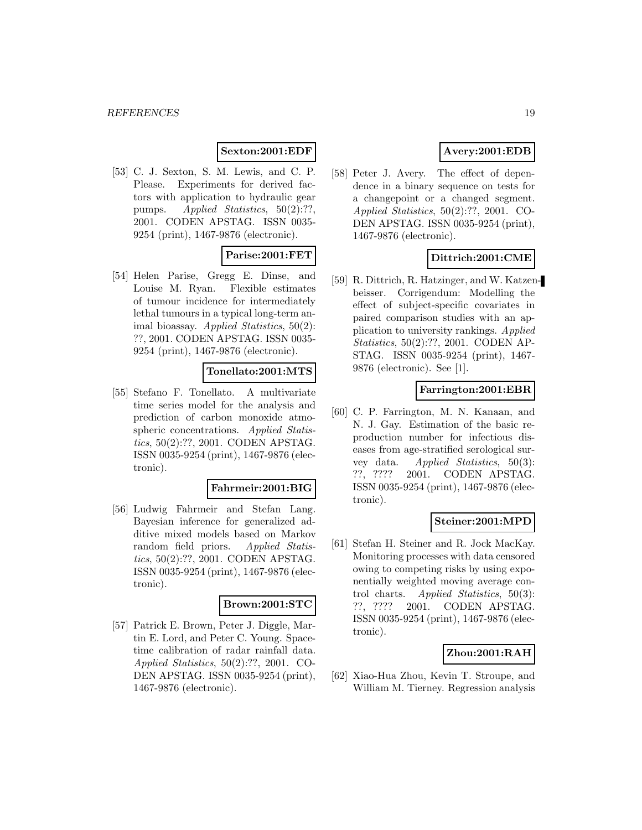# **Sexton:2001:EDF**

[53] C. J. Sexton, S. M. Lewis, and C. P. Please. Experiments for derived factors with application to hydraulic gear pumps. *Applied Statistics*, 50(2):??, 2001. CODEN APSTAG. ISSN 0035- 9254 (print), 1467-9876 (electronic).

# **Parise:2001:FET**

[54] Helen Parise, Gregg E. Dinse, and Louise M. Ryan. Flexible estimates of tumour incidence for intermediately lethal tumours in a typical long-term animal bioassay. Applied Statistics, 50(2): ??, 2001. CODEN APSTAG. ISSN 0035- 9254 (print), 1467-9876 (electronic).

### **Tonellato:2001:MTS**

[55] Stefano F. Tonellato. A multivariate time series model for the analysis and prediction of carbon monoxide atmospheric concentrations. Applied Statistics, 50(2):??, 2001. CODEN APSTAG. ISSN 0035-9254 (print), 1467-9876 (electronic).

#### **Fahrmeir:2001:BIG**

[56] Ludwig Fahrmeir and Stefan Lang. Bayesian inference for generalized additive mixed models based on Markov random field priors. Applied Statistics, 50(2):??, 2001. CODEN APSTAG. ISSN 0035-9254 (print), 1467-9876 (electronic).

## **Brown:2001:STC**

[57] Patrick E. Brown, Peter J. Diggle, Martin E. Lord, and Peter C. Young. Spacetime calibration of radar rainfall data. Applied Statistics, 50(2):??, 2001. CO-DEN APSTAG. ISSN 0035-9254 (print), 1467-9876 (electronic).

# **Avery:2001:EDB**

[58] Peter J. Avery. The effect of dependence in a binary sequence on tests for a changepoint or a changed segment. Applied Statistics, 50(2):??, 2001. CO-DEN APSTAG. ISSN 0035-9254 (print), 1467-9876 (electronic).

# **Dittrich:2001:CME**

[59] R. Dittrich, R. Hatzinger, and W. Katzenbeisser. Corrigendum: Modelling the effect of subject-specific covariates in paired comparison studies with an application to university rankings. Applied Statistics, 50(2):??, 2001. CODEN AP-STAG. ISSN 0035-9254 (print), 1467- 9876 (electronic). See [1].

#### **Farrington:2001:EBR**

[60] C. P. Farrington, M. N. Kanaan, and N. J. Gay. Estimation of the basic reproduction number for infectious diseases from age-stratified serological survey data. Applied Statistics, 50(3): ??, ???? 2001. CODEN APSTAG. ISSN 0035-9254 (print), 1467-9876 (electronic).

### **Steiner:2001:MPD**

[61] Stefan H. Steiner and R. Jock MacKay. Monitoring processes with data censored owing to competing risks by using exponentially weighted moving average control charts. Applied Statistics, 50(3): ??, ???? 2001. CODEN APSTAG. ISSN 0035-9254 (print), 1467-9876 (electronic).

#### **Zhou:2001:RAH**

[62] Xiao-Hua Zhou, Kevin T. Stroupe, and William M. Tierney. Regression analysis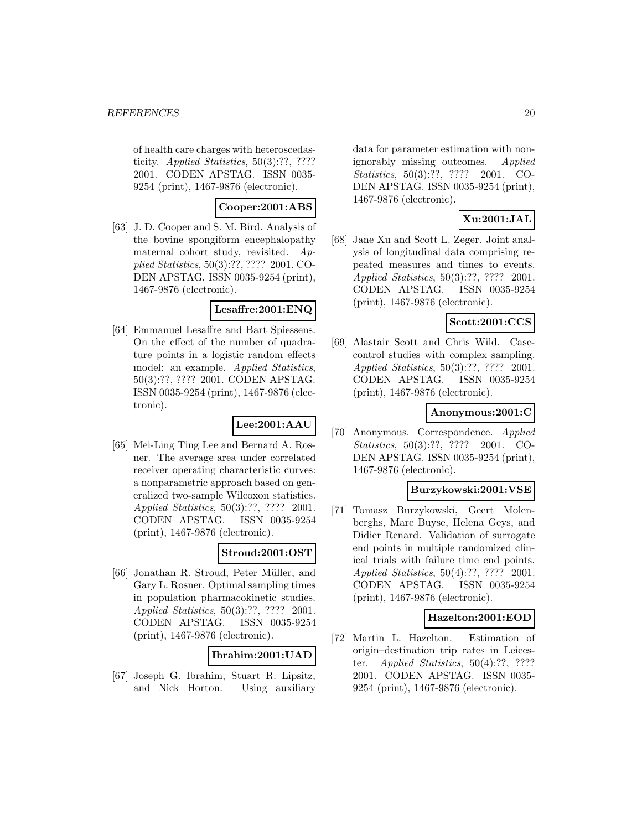of health care charges with heteroscedasticity. Applied Statistics, 50(3):??, ???? 2001. CODEN APSTAG. ISSN 0035- 9254 (print), 1467-9876 (electronic).

# **Cooper:2001:ABS**

[63] J. D. Cooper and S. M. Bird. Analysis of the bovine spongiform encephalopathy maternal cohort study, revisited. Applied Statistics, 50(3):??, ???? 2001. CO-DEN APSTAG. ISSN 0035-9254 (print), 1467-9876 (electronic).

### **Lesaffre:2001:ENQ**

[64] Emmanuel Lesaffre and Bart Spiessens. On the effect of the number of quadrature points in a logistic random effects model: an example. Applied Statistics, 50(3):??, ???? 2001. CODEN APSTAG. ISSN 0035-9254 (print), 1467-9876 (electronic).

# **Lee:2001:AAU**

[65] Mei-Ling Ting Lee and Bernard A. Rosner. The average area under correlated receiver operating characteristic curves: a nonparametric approach based on generalized two-sample Wilcoxon statistics. Applied Statistics, 50(3):??, ???? 2001. CODEN APSTAG. ISSN 0035-9254 (print), 1467-9876 (electronic).

# **Stroud:2001:OST**

[66] Jonathan R. Stroud, Peter Müller, and Gary L. Rosner. Optimal sampling times in population pharmacokinetic studies. Applied Statistics, 50(3):??, ???? 2001. CODEN APSTAG. ISSN 0035-9254 (print), 1467-9876 (electronic).

### **Ibrahim:2001:UAD**

[67] Joseph G. Ibrahim, Stuart R. Lipsitz, and Nick Horton. Using auxiliary data for parameter estimation with nonignorably missing outcomes. Applied Statistics, 50(3):??, ???? 2001. CO-DEN APSTAG. ISSN 0035-9254 (print), 1467-9876 (electronic).

# **Xu:2001:JAL**

[68] Jane Xu and Scott L. Zeger. Joint analysis of longitudinal data comprising repeated measures and times to events. Applied Statistics, 50(3):??, ???? 2001. CODEN APSTAG. ISSN 0035-9254 (print), 1467-9876 (electronic).

# **Scott:2001:CCS**

[69] Alastair Scott and Chris Wild. Casecontrol studies with complex sampling. Applied Statistics, 50(3):??, ???? 2001. CODEN APSTAG. ISSN 0035-9254 (print), 1467-9876 (electronic).

# **Anonymous:2001:C**

[70] Anonymous. Correspondence. Applied Statistics, 50(3):??, ???? 2001. CO-DEN APSTAG. ISSN 0035-9254 (print), 1467-9876 (electronic).

### **Burzykowski:2001:VSE**

[71] Tomasz Burzykowski, Geert Molenberghs, Marc Buyse, Helena Geys, and Didier Renard. Validation of surrogate end points in multiple randomized clinical trials with failure time end points. Applied Statistics, 50(4):??, ???? 2001. CODEN APSTAG. ISSN 0035-9254 (print), 1467-9876 (electronic).

### **Hazelton:2001:EOD**

[72] Martin L. Hazelton. Estimation of origin–destination trip rates in Leicester. Applied Statistics, 50(4):??, ???? 2001. CODEN APSTAG. ISSN 0035- 9254 (print), 1467-9876 (electronic).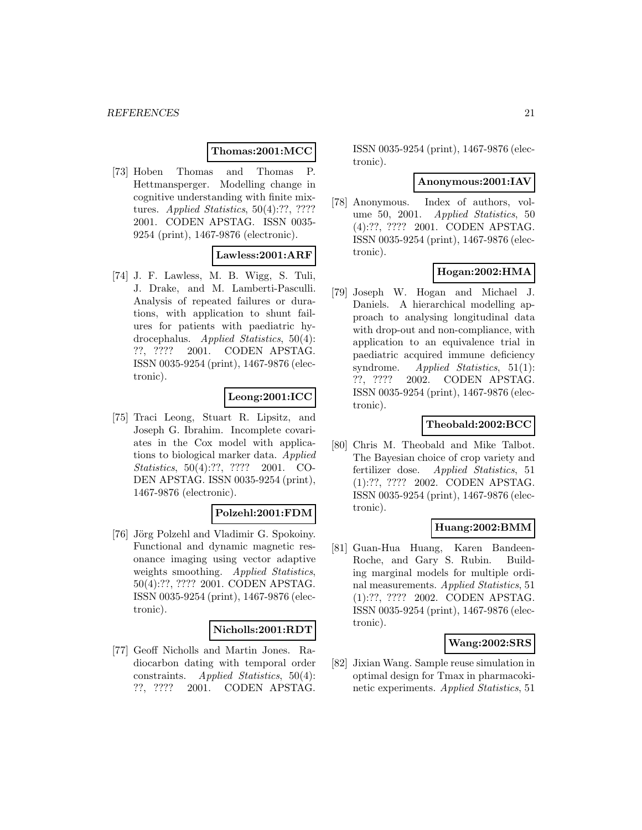### **Thomas:2001:MCC**

[73] Hoben Thomas and Thomas P. Hettmansperger. Modelling change in cognitive understanding with finite mixtures. *Applied Statistics*, 50(4):??, ???? 2001. CODEN APSTAG. ISSN 0035- 9254 (print), 1467-9876 (electronic).

### **Lawless:2001:ARF**

[74] J. F. Lawless, M. B. Wigg, S. Tuli, J. Drake, and M. Lamberti-Pasculli. Analysis of repeated failures or durations, with application to shunt failures for patients with paediatric hydrocephalus. Applied Statistics, 50(4): ??, ???? 2001. CODEN APSTAG. ISSN 0035-9254 (print), 1467-9876 (electronic).

# **Leong:2001:ICC**

[75] Traci Leong, Stuart R. Lipsitz, and Joseph G. Ibrahim. Incomplete covariates in the Cox model with applications to biological marker data. Applied Statistics, 50(4):??, ???? 2001. CO-DEN APSTAG. ISSN 0035-9254 (print), 1467-9876 (electronic).

### **Polzehl:2001:FDM**

[76] Jörg Polzehl and Vladimir G. Spokoiny. Functional and dynamic magnetic resonance imaging using vector adaptive weights smoothing. Applied Statistics, 50(4):??, ???? 2001. CODEN APSTAG. ISSN 0035-9254 (print), 1467-9876 (electronic).

#### **Nicholls:2001:RDT**

[77] Geoff Nicholls and Martin Jones. Radiocarbon dating with temporal order constraints. Applied Statistics, 50(4): ??, ???? 2001. CODEN APSTAG.

ISSN 0035-9254 (print), 1467-9876 (electronic).

#### **Anonymous:2001:IAV**

[78] Anonymous. Index of authors, volume 50, 2001. Applied Statistics, 50 (4):??, ???? 2001. CODEN APSTAG. ISSN 0035-9254 (print), 1467-9876 (electronic).

# **Hogan:2002:HMA**

[79] Joseph W. Hogan and Michael J. Daniels. A hierarchical modelling approach to analysing longitudinal data with drop-out and non-compliance, with application to an equivalence trial in paediatric acquired immune deficiency syndrome. *Applied Statistics*, 51(1): ??, ???? 2002. CODEN APSTAG. ISSN 0035-9254 (print), 1467-9876 (electronic).

### **Theobald:2002:BCC**

[80] Chris M. Theobald and Mike Talbot. The Bayesian choice of crop variety and fertilizer dose. Applied Statistics, 51 (1):??, ???? 2002. CODEN APSTAG. ISSN 0035-9254 (print), 1467-9876 (electronic).

#### **Huang:2002:BMM**

[81] Guan-Hua Huang, Karen Bandeen-Roche, and Gary S. Rubin. Building marginal models for multiple ordinal measurements. Applied Statistics, 51 (1):??, ???? 2002. CODEN APSTAG. ISSN 0035-9254 (print), 1467-9876 (electronic).

### **Wang:2002:SRS**

[82] Jixian Wang. Sample reuse simulation in optimal design for Tmax in pharmacokinetic experiments. Applied Statistics, 51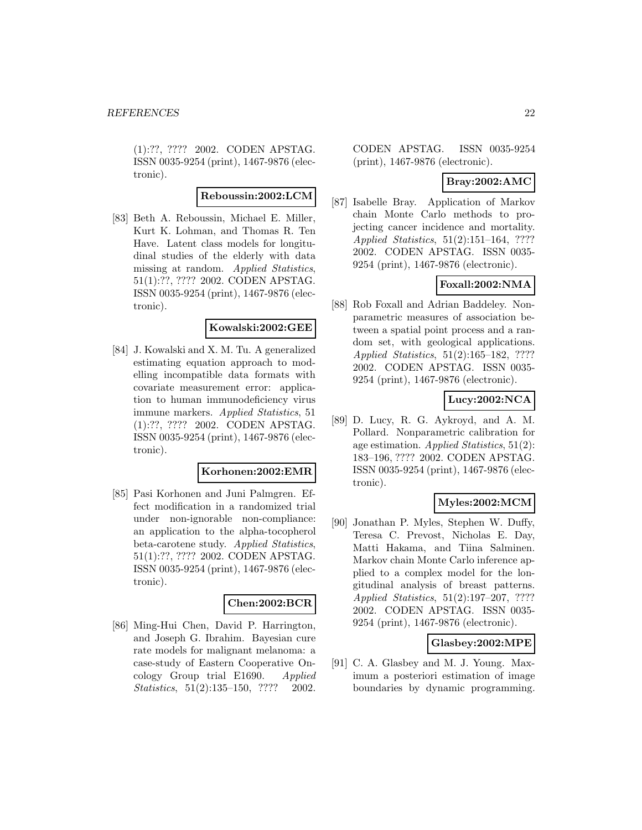(1):??, ???? 2002. CODEN APSTAG. ISSN 0035-9254 (print), 1467-9876 (electronic).

# **Reboussin:2002:LCM**

[83] Beth A. Reboussin, Michael E. Miller, Kurt K. Lohman, and Thomas R. Ten Have. Latent class models for longitudinal studies of the elderly with data missing at random. Applied Statistics, 51(1):??, ???? 2002. CODEN APSTAG. ISSN 0035-9254 (print), 1467-9876 (electronic).

# **Kowalski:2002:GEE**

[84] J. Kowalski and X. M. Tu. A generalized estimating equation approach to modelling incompatible data formats with covariate measurement error: application to human immunodeficiency virus immune markers. Applied Statistics, 51 (1):??, ???? 2002. CODEN APSTAG. ISSN 0035-9254 (print), 1467-9876 (electronic).

#### **Korhonen:2002:EMR**

[85] Pasi Korhonen and Juni Palmgren. Effect modification in a randomized trial under non-ignorable non-compliance: an application to the alpha-tocopherol beta-carotene study. Applied Statistics, 51(1):??, ???? 2002. CODEN APSTAG. ISSN 0035-9254 (print), 1467-9876 (electronic).

#### **Chen:2002:BCR**

[86] Ming-Hui Chen, David P. Harrington, and Joseph G. Ibrahim. Bayesian cure rate models for malignant melanoma: a case-study of Eastern Cooperative Oncology Group trial E1690. Applied Statistics, 51(2):135–150, ???? 2002.

CODEN APSTAG. ISSN 0035-9254 (print), 1467-9876 (electronic).

### **Bray:2002:AMC**

[87] Isabelle Bray. Application of Markov chain Monte Carlo methods to projecting cancer incidence and mortality. Applied Statistics, 51(2):151–164, ???? 2002. CODEN APSTAG. ISSN 0035- 9254 (print), 1467-9876 (electronic).

# **Foxall:2002:NMA**

[88] Rob Foxall and Adrian Baddeley. Nonparametric measures of association between a spatial point process and a random set, with geological applications. Applied Statistics, 51(2):165–182, ???? 2002. CODEN APSTAG. ISSN 0035- 9254 (print), 1467-9876 (electronic).

# **Lucy:2002:NCA**

[89] D. Lucy, R. G. Aykroyd, and A. M. Pollard. Nonparametric calibration for age estimation. Applied Statistics,  $51(2)$ : 183–196, ???? 2002. CODEN APSTAG. ISSN 0035-9254 (print), 1467-9876 (electronic).

### **Myles:2002:MCM**

[90] Jonathan P. Myles, Stephen W. Duffy, Teresa C. Prevost, Nicholas E. Day, Matti Hakama, and Tiina Salminen. Markov chain Monte Carlo inference applied to a complex model for the longitudinal analysis of breast patterns. Applied Statistics, 51(2):197–207, ???? 2002. CODEN APSTAG. ISSN 0035- 9254 (print), 1467-9876 (electronic).

### **Glasbey:2002:MPE**

[91] C. A. Glasbey and M. J. Young. Maximum a posteriori estimation of image boundaries by dynamic programming.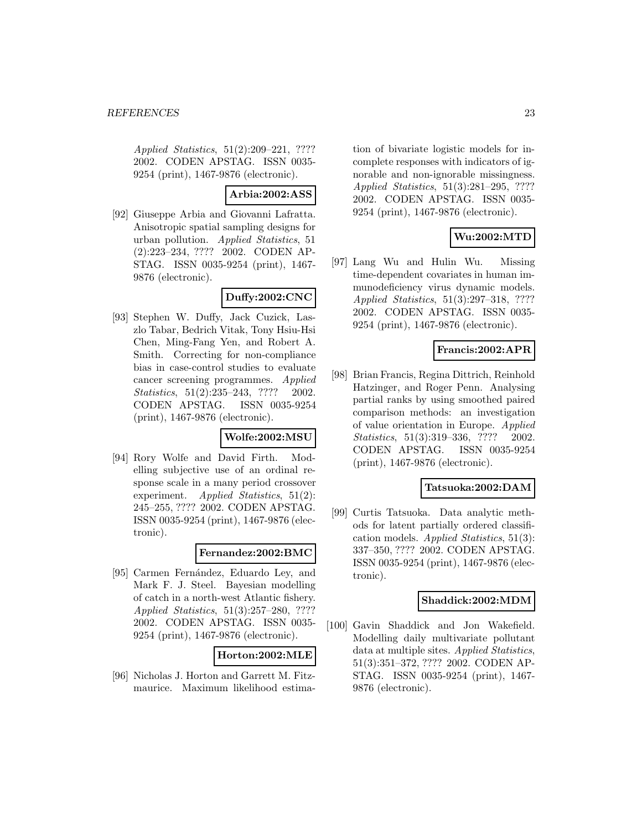Applied Statistics, 51(2):209–221, ???? 2002. CODEN APSTAG. ISSN 0035- 9254 (print), 1467-9876 (electronic).

# **Arbia:2002:ASS**

[92] Giuseppe Arbia and Giovanni Lafratta. Anisotropic spatial sampling designs for urban pollution. Applied Statistics, 51 (2):223–234, ???? 2002. CODEN AP-STAG. ISSN 0035-9254 (print), 1467- 9876 (electronic).

# **Duffy:2002:CNC**

[93] Stephen W. Duffy, Jack Cuzick, Laszlo Tabar, Bedrich Vitak, Tony Hsiu-Hsi Chen, Ming-Fang Yen, and Robert A. Smith. Correcting for non-compliance bias in case-control studies to evaluate cancer screening programmes. Applied Statistics, 51(2):235–243, ???? 2002. CODEN APSTAG. ISSN 0035-9254 (print), 1467-9876 (electronic).

### **Wolfe:2002:MSU**

[94] Rory Wolfe and David Firth. Modelling subjective use of an ordinal response scale in a many period crossover experiment. Applied Statistics, 51(2): 245–255, ???? 2002. CODEN APSTAG. ISSN 0035-9254 (print), 1467-9876 (electronic).

# **Fernandez:2002:BMC**

[95] Carmen Fernández, Eduardo Ley, and Mark F. J. Steel. Bayesian modelling of catch in a north-west Atlantic fishery. Applied Statistics, 51(3):257–280, ???? 2002. CODEN APSTAG. ISSN 0035- 9254 (print), 1467-9876 (electronic).

### **Horton:2002:MLE**

[96] Nicholas J. Horton and Garrett M. Fitzmaurice. Maximum likelihood estimation of bivariate logistic models for incomplete responses with indicators of ignorable and non-ignorable missingness. Applied Statistics, 51(3):281–295, ???? 2002. CODEN APSTAG. ISSN 0035- 9254 (print), 1467-9876 (electronic).

# **Wu:2002:MTD**

[97] Lang Wu and Hulin Wu. Missing time-dependent covariates in human immunodeficiency virus dynamic models. Applied Statistics, 51(3):297–318, ???? 2002. CODEN APSTAG. ISSN 0035- 9254 (print), 1467-9876 (electronic).

### **Francis:2002:APR**

[98] Brian Francis, Regina Dittrich, Reinhold Hatzinger, and Roger Penn. Analysing partial ranks by using smoothed paired comparison methods: an investigation of value orientation in Europe. Applied Statistics, 51(3):319–336, ???? 2002. CODEN APSTAG. ISSN 0035-9254 (print), 1467-9876 (electronic).

#### **Tatsuoka:2002:DAM**

[99] Curtis Tatsuoka. Data analytic methods for latent partially ordered classification models. Applied Statistics, 51(3): 337–350, ???? 2002. CODEN APSTAG. ISSN 0035-9254 (print), 1467-9876 (electronic).

### **Shaddick:2002:MDM**

[100] Gavin Shaddick and Jon Wakefield. Modelling daily multivariate pollutant data at multiple sites. Applied Statistics, 51(3):351–372, ???? 2002. CODEN AP-STAG. ISSN 0035-9254 (print), 1467- 9876 (electronic).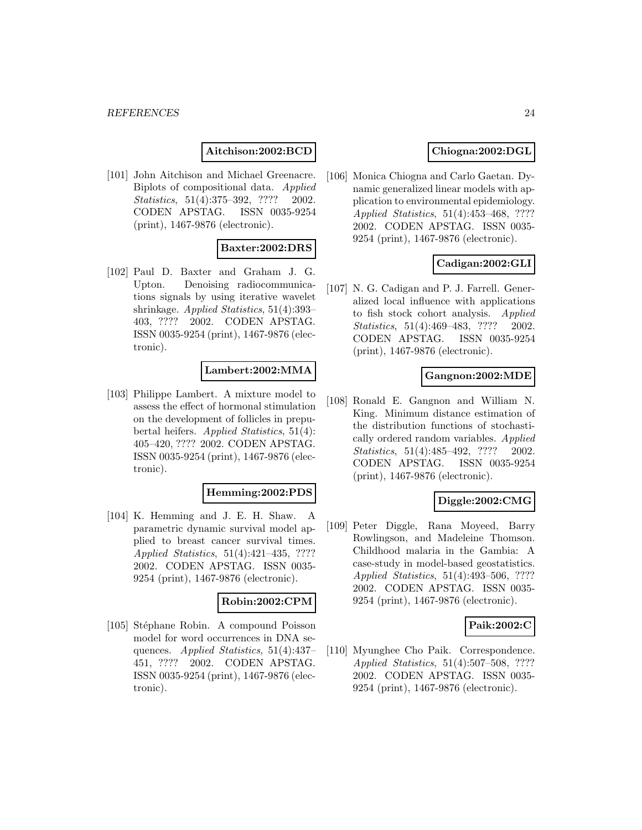# **Aitchison:2002:BCD**

[101] John Aitchison and Michael Greenacre. Biplots of compositional data. Applied Statistics, 51(4):375–392, ???? 2002. CODEN APSTAG. ISSN 0035-9254 (print), 1467-9876 (electronic).

### **Baxter:2002:DRS**

[102] Paul D. Baxter and Graham J. G. Upton. Denoising radiocommunications signals by using iterative wavelet shrinkage. Applied Statistics, 51(4):393– 403, ???? 2002. CODEN APSTAG. ISSN 0035-9254 (print), 1467-9876 (electronic).

#### **Lambert:2002:MMA**

[103] Philippe Lambert. A mixture model to assess the effect of hormonal stimulation on the development of follicles in prepubertal heifers. Applied Statistics, 51(4): 405–420, ???? 2002. CODEN APSTAG. ISSN 0035-9254 (print), 1467-9876 (electronic).

#### **Hemming:2002:PDS**

[104] K. Hemming and J. E. H. Shaw. A parametric dynamic survival model applied to breast cancer survival times. Applied Statistics, 51(4):421–435, ???? 2002. CODEN APSTAG. ISSN 0035- 9254 (print), 1467-9876 (electronic).

#### **Robin:2002:CPM**

[105] Stéphane Robin. A compound Poisson model for word occurrences in DNA sequences. Applied Statistics, 51(4):437– 451, ???? 2002. CODEN APSTAG. ISSN 0035-9254 (print), 1467-9876 (electronic).

# **Chiogna:2002:DGL**

[106] Monica Chiogna and Carlo Gaetan. Dynamic generalized linear models with application to environmental epidemiology. Applied Statistics, 51(4):453–468, ???? 2002. CODEN APSTAG. ISSN 0035- 9254 (print), 1467-9876 (electronic).

# **Cadigan:2002:GLI**

[107] N. G. Cadigan and P. J. Farrell. Generalized local influence with applications to fish stock cohort analysis. Applied Statistics, 51(4):469–483, ???? 2002. CODEN APSTAG. ISSN 0035-9254 (print), 1467-9876 (electronic).

#### **Gangnon:2002:MDE**

[108] Ronald E. Gangnon and William N. King. Minimum distance estimation of the distribution functions of stochastically ordered random variables. Applied Statistics, 51(4):485-492, ???? 2002. CODEN APSTAG. ISSN 0035-9254 (print), 1467-9876 (electronic).

### **Diggle:2002:CMG**

[109] Peter Diggle, Rana Moyeed, Barry Rowlingson, and Madeleine Thomson. Childhood malaria in the Gambia: A case-study in model-based geostatistics. Applied Statistics, 51(4):493–506, ???? 2002. CODEN APSTAG. ISSN 0035- 9254 (print), 1467-9876 (electronic).

#### **Paik:2002:C**

[110] Myunghee Cho Paik. Correspondence. Applied Statistics, 51(4):507–508, ???? 2002. CODEN APSTAG. ISSN 0035- 9254 (print), 1467-9876 (electronic).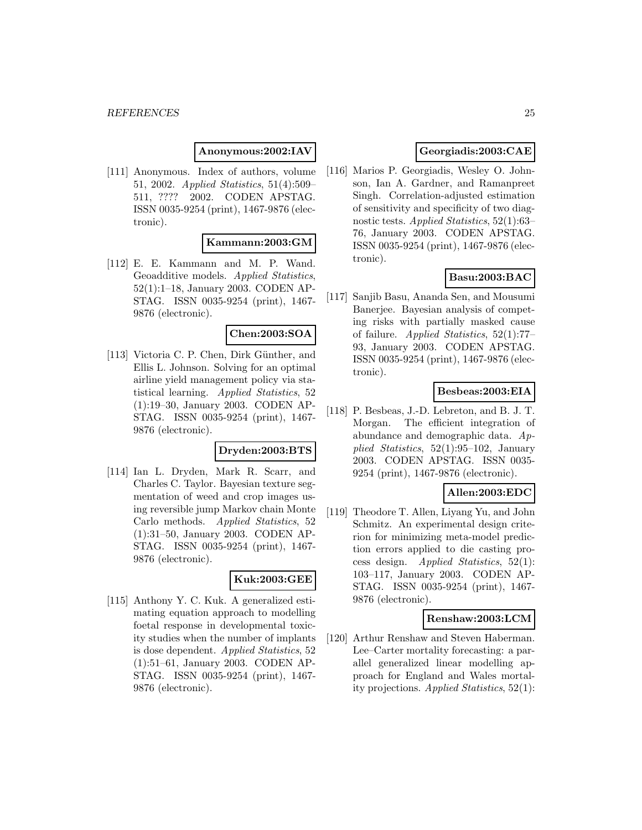### **Anonymous:2002:IAV**

[111] Anonymous. Index of authors, volume 51, 2002. Applied Statistics, 51(4):509– 511, ???? 2002. CODEN APSTAG. ISSN 0035-9254 (print), 1467-9876 (electronic).

### **Kammann:2003:GM**

[112] E. E. Kammann and M. P. Wand. Geoadditive models. Applied Statistics, 52(1):1–18, January 2003. CODEN AP-STAG. ISSN 0035-9254 (print), 1467- 9876 (electronic).

### **Chen:2003:SOA**

[113] Victoria C. P. Chen, Dirk Günther, and Ellis L. Johnson. Solving for an optimal airline yield management policy via statistical learning. Applied Statistics, 52 (1):19–30, January 2003. CODEN AP-STAG. ISSN 0035-9254 (print), 1467- 9876 (electronic).

#### **Dryden:2003:BTS**

[114] Ian L. Dryden, Mark R. Scarr, and Charles C. Taylor. Bayesian texture segmentation of weed and crop images using reversible jump Markov chain Monte Carlo methods. Applied Statistics, 52 (1):31–50, January 2003. CODEN AP-STAG. ISSN 0035-9254 (print), 1467- 9876 (electronic).

### **Kuk:2003:GEE**

[115] Anthony Y. C. Kuk. A generalized estimating equation approach to modelling foetal response in developmental toxicity studies when the number of implants is dose dependent. Applied Statistics, 52 (1):51–61, January 2003. CODEN AP-STAG. ISSN 0035-9254 (print), 1467- 9876 (electronic).

# **Georgiadis:2003:CAE**

[116] Marios P. Georgiadis, Wesley O. Johnson, Ian A. Gardner, and Ramanpreet Singh. Correlation-adjusted estimation of sensitivity and specificity of two diagnostic tests. Applied Statistics, 52(1):63– 76, January 2003. CODEN APSTAG. ISSN 0035-9254 (print), 1467-9876 (electronic).

# **Basu:2003:BAC**

[117] Sanjib Basu, Ananda Sen, and Mousumi Banerjee. Bayesian analysis of competing risks with partially masked cause of failure. Applied Statistics,  $52(1):77-$ 93, January 2003. CODEN APSTAG. ISSN 0035-9254 (print), 1467-9876 (electronic).

### **Besbeas:2003:EIA**

[118] P. Besbeas, J.-D. Lebreton, and B. J. T. Morgan. The efficient integration of abundance and demographic data. Applied Statistics, 52(1):95–102, January 2003. CODEN APSTAG. ISSN 0035- 9254 (print), 1467-9876 (electronic).

### **Allen:2003:EDC**

[119] Theodore T. Allen, Liyang Yu, and John Schmitz. An experimental design criterion for minimizing meta-model prediction errors applied to die casting process design. Applied Statistics,  $52(1)$ : 103–117, January 2003. CODEN AP-STAG. ISSN 0035-9254 (print), 1467- 9876 (electronic).

#### **Renshaw:2003:LCM**

[120] Arthur Renshaw and Steven Haberman. Lee–Carter mortality forecasting: a parallel generalized linear modelling approach for England and Wales mortality projections. Applied Statistics, 52(1):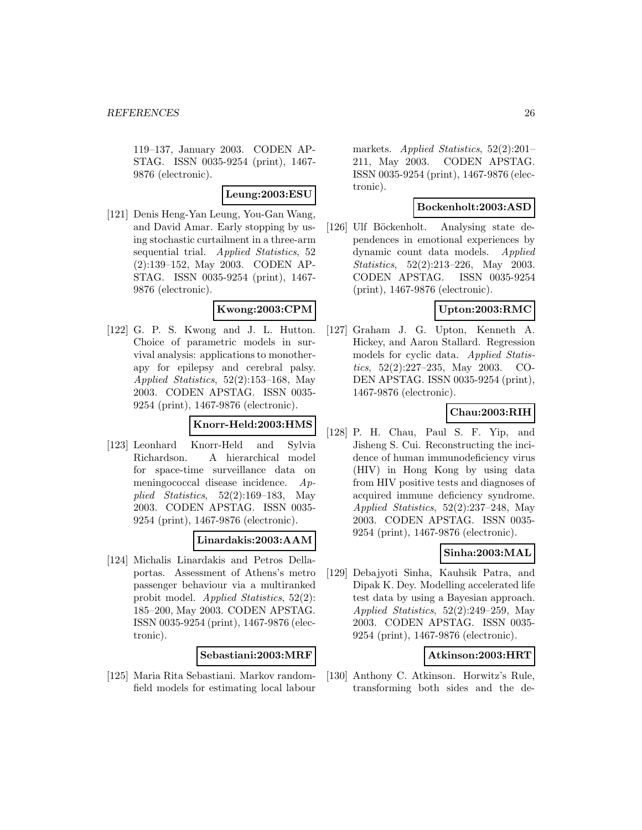119–137, January 2003. CODEN AP-STAG. ISSN 0035-9254 (print), 1467- 9876 (electronic).

**Leung:2003:ESU**

[121] Denis Heng-Yan Leung, You-Gan Wang, and David Amar. Early stopping by using stochastic curtailment in a three-arm sequential trial. Applied Statistics, 52 (2):139–152, May 2003. CODEN AP-STAG. ISSN 0035-9254 (print), 1467- 9876 (electronic).

#### **Kwong:2003:CPM**

[122] G. P. S. Kwong and J. L. Hutton. Choice of parametric models in survival analysis: applications to monotherapy for epilepsy and cerebral palsy. Applied Statistics, 52(2):153–168, May 2003. CODEN APSTAG. ISSN 0035- 9254 (print), 1467-9876 (electronic).

#### **Knorr-Held:2003:HMS**

[123] Leonhard Knorr-Held and Sylvia Richardson. A hierarchical model for space-time surveillance data on meningococcal disease incidence. Applied Statistics, 52(2):169–183, May 2003. CODEN APSTAG. ISSN 0035- 9254 (print), 1467-9876 (electronic).

### **Linardakis:2003:AAM**

[124] Michalis Linardakis and Petros Dellaportas. Assessment of Athens's metro passenger behaviour via a multiranked probit model. Applied Statistics, 52(2): 185–200, May 2003. CODEN APSTAG. ISSN 0035-9254 (print), 1467-9876 (electronic).

#### **Sebastiani:2003:MRF**

[125] Maria Rita Sebastiani. Markov randomfield models for estimating local labour

markets. *Applied Statistics*, 52(2):201– 211, May 2003. CODEN APSTAG. ISSN 0035-9254 (print), 1467-9876 (electronic).

### **Bockenholt:2003:ASD**

[126] Ulf Böckenholt. Analysing state dependences in emotional experiences by dynamic count data models. Applied Statistics, 52(2):213–226, May 2003. CODEN APSTAG. ISSN 0035-9254 (print), 1467-9876 (electronic).

### **Upton:2003:RMC**

[127] Graham J. G. Upton, Kenneth A. Hickey, and Aaron Stallard. Regression models for cyclic data. Applied Statistics, 52(2):227–235, May 2003. CO-DEN APSTAG. ISSN 0035-9254 (print), 1467-9876 (electronic).

# **Chau:2003:RIH**

[128] P. H. Chau, Paul S. F. Yip, and Jisheng S. Cui. Reconstructing the incidence of human immunodeficiency virus (HIV) in Hong Kong by using data from HIV positive tests and diagnoses of acquired immune deficiency syndrome. Applied Statistics, 52(2):237–248, May 2003. CODEN APSTAG. ISSN 0035- 9254 (print), 1467-9876 (electronic).

### **Sinha:2003:MAL**

[129] Debajyoti Sinha, Kauhsik Patra, and Dipak K. Dey. Modelling accelerated life test data by using a Bayesian approach. Applied Statistics, 52(2):249–259, May 2003. CODEN APSTAG. ISSN 0035- 9254 (print), 1467-9876 (electronic).

#### **Atkinson:2003:HRT**

[130] Anthony C. Atkinson. Horwitz's Rule, transforming both sides and the de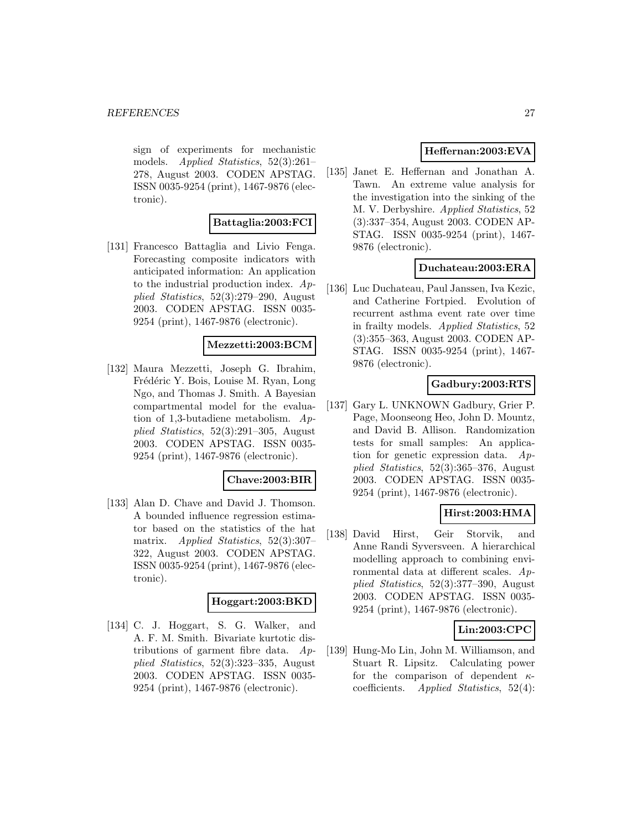sign of experiments for mechanistic models. Applied Statistics, 52(3):261– 278, August 2003. CODEN APSTAG. ISSN 0035-9254 (print), 1467-9876 (electronic).

# **Battaglia:2003:FCI**

[131] Francesco Battaglia and Livio Fenga. Forecasting composite indicators with anticipated information: An application to the industrial production index. Applied Statistics, 52(3):279–290, August 2003. CODEN APSTAG. ISSN 0035- 9254 (print), 1467-9876 (electronic).

# **Mezzetti:2003:BCM**

[132] Maura Mezzetti, Joseph G. Ibrahim, Frédéric Y. Bois, Louise M. Ryan, Long Ngo, and Thomas J. Smith. A Bayesian compartmental model for the evaluation of 1,3-butadiene metabolism. Applied Statistics, 52(3):291–305, August 2003. CODEN APSTAG. ISSN 0035- 9254 (print), 1467-9876 (electronic).

#### **Chave:2003:BIR**

[133] Alan D. Chave and David J. Thomson. A bounded influence regression estimator based on the statistics of the hat matrix. Applied Statistics, 52(3):307– 322, August 2003. CODEN APSTAG. ISSN 0035-9254 (print), 1467-9876 (electronic).

#### **Hoggart:2003:BKD**

[134] C. J. Hoggart, S. G. Walker, and A. F. M. Smith. Bivariate kurtotic distributions of garment fibre data. Applied Statistics, 52(3):323–335, August 2003. CODEN APSTAG. ISSN 0035- 9254 (print), 1467-9876 (electronic).

# **Heffernan:2003:EVA**

[135] Janet E. Heffernan and Jonathan A. Tawn. An extreme value analysis for the investigation into the sinking of the M. V. Derbyshire. Applied Statistics, 52 (3):337–354, August 2003. CODEN AP-STAG. ISSN 0035-9254 (print), 1467- 9876 (electronic).

# **Duchateau:2003:ERA**

[136] Luc Duchateau, Paul Janssen, Iva Kezic, and Catherine Fortpied. Evolution of recurrent asthma event rate over time in frailty models. Applied Statistics, 52 (3):355–363, August 2003. CODEN AP-STAG. ISSN 0035-9254 (print), 1467- 9876 (electronic).

### **Gadbury:2003:RTS**

[137] Gary L. UNKNOWN Gadbury, Grier P. Page, Moonseong Heo, John D. Mountz, and David B. Allison. Randomization tests for small samples: An application for genetic expression data. Applied Statistics, 52(3):365–376, August 2003. CODEN APSTAG. ISSN 0035- 9254 (print), 1467-9876 (electronic).

# **Hirst:2003:HMA**

[138] David Hirst, Geir Storvik, and Anne Randi Syversveen. A hierarchical modelling approach to combining environmental data at different scales. Applied Statistics, 52(3):377–390, August 2003. CODEN APSTAG. ISSN 0035- 9254 (print), 1467-9876 (electronic).

### **Lin:2003:CPC**

[139] Hung-Mo Lin, John M. Williamson, and Stuart R. Lipsitz. Calculating power for the comparison of dependent  $\kappa$ coefficients. Applied Statistics, 52(4):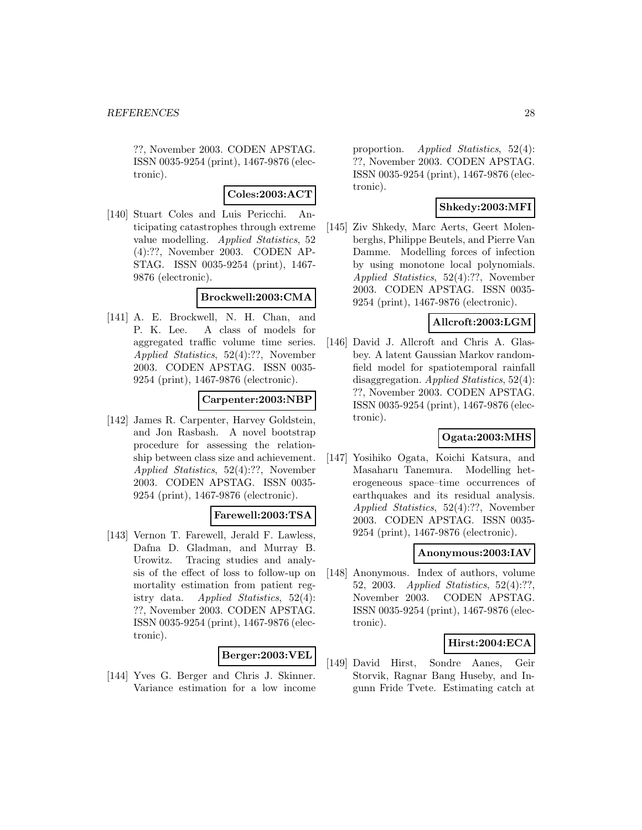??, November 2003. CODEN APSTAG. ISSN 0035-9254 (print), 1467-9876 (electronic).

### **Coles:2003:ACT**

[140] Stuart Coles and Luis Pericchi. Anticipating catastrophes through extreme value modelling. Applied Statistics, 52 (4):??, November 2003. CODEN AP-STAG. ISSN 0035-9254 (print), 1467- 9876 (electronic).

### **Brockwell:2003:CMA**

[141] A. E. Brockwell, N. H. Chan, and P. K. Lee. A class of models for aggregated traffic volume time series. Applied Statistics, 52(4):??, November 2003. CODEN APSTAG. ISSN 0035- 9254 (print), 1467-9876 (electronic).

### **Carpenter:2003:NBP**

[142] James R. Carpenter, Harvey Goldstein, and Jon Rasbash. A novel bootstrap procedure for assessing the relationship between class size and achievement. Applied Statistics, 52(4):??, November 2003. CODEN APSTAG. ISSN 0035- 9254 (print), 1467-9876 (electronic).

#### **Farewell:2003:TSA**

[143] Vernon T. Farewell, Jerald F. Lawless, Dafna D. Gladman, and Murray B. Urowitz. Tracing studies and analysis of the effect of loss to follow-up on mortality estimation from patient registry data. Applied Statistics, 52(4): ??, November 2003. CODEN APSTAG. ISSN 0035-9254 (print), 1467-9876 (electronic).

#### **Berger:2003:VEL**

[144] Yves G. Berger and Chris J. Skinner. Variance estimation for a low income proportion. Applied Statistics, 52(4): ??, November 2003. CODEN APSTAG. ISSN 0035-9254 (print), 1467-9876 (electronic).

# **Shkedy:2003:MFI**

[145] Ziv Shkedy, Marc Aerts, Geert Molenberghs, Philippe Beutels, and Pierre Van Damme. Modelling forces of infection by using monotone local polynomials. Applied Statistics, 52(4):??, November 2003. CODEN APSTAG. ISSN 0035- 9254 (print), 1467-9876 (electronic).

### **Allcroft:2003:LGM**

[146] David J. Allcroft and Chris A. Glasbey. A latent Gaussian Markov randomfield model for spatiotemporal rainfall disaggregation. Applied Statistics, 52(4): ??, November 2003. CODEN APSTAG. ISSN 0035-9254 (print), 1467-9876 (electronic).

# **Ogata:2003:MHS**

[147] Yosihiko Ogata, Koichi Katsura, and Masaharu Tanemura. Modelling heterogeneous space–time occurrences of earthquakes and its residual analysis. Applied Statistics, 52(4):??, November 2003. CODEN APSTAG. ISSN 0035- 9254 (print), 1467-9876 (electronic).

### **Anonymous:2003:IAV**

[148] Anonymous. Index of authors, volume 52, 2003. Applied Statistics, 52(4):??, November 2003. CODEN APSTAG. ISSN 0035-9254 (print), 1467-9876 (electronic).

### **Hirst:2004:ECA**

[149] David Hirst, Sondre Aanes, Geir Storvik, Ragnar Bang Huseby, and Ingunn Fride Tvete. Estimating catch at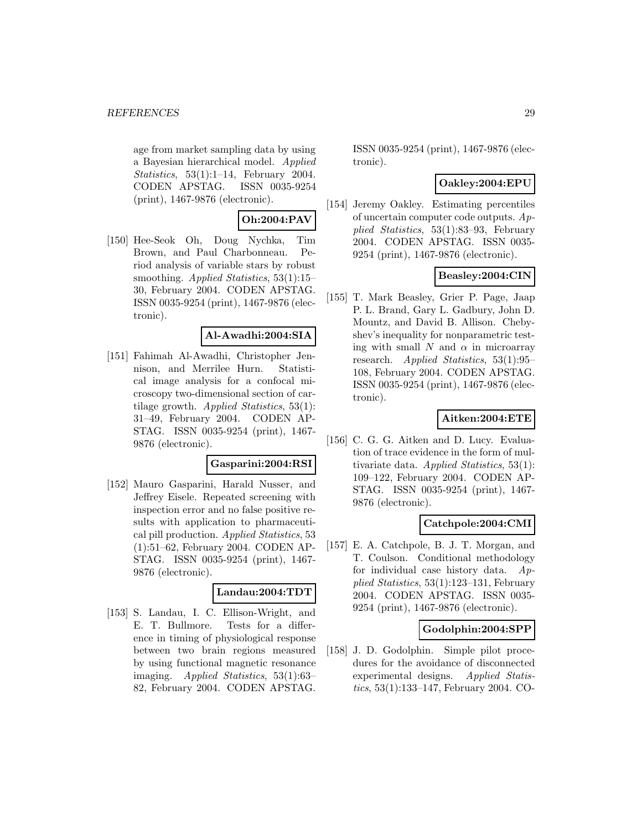age from market sampling data by using a Bayesian hierarchical model. Applied Statistics, 53(1):1–14, February 2004. CODEN APSTAG. ISSN 0035-9254 (print), 1467-9876 (electronic).

# **Oh:2004:PAV**

[150] Hee-Seok Oh, Doug Nychka, Tim Brown, and Paul Charbonneau. Period analysis of variable stars by robust smoothing. Applied Statistics, 53(1):15– 30, February 2004. CODEN APSTAG. ISSN 0035-9254 (print), 1467-9876 (electronic).

### **Al-Awadhi:2004:SIA**

[151] Fahimah Al-Awadhi, Christopher Jennison, and Merrilee Hurn. Statistical image analysis for a confocal microscopy two-dimensional section of cartilage growth. Applied Statistics, 53(1): 31–49, February 2004. CODEN AP-STAG. ISSN 0035-9254 (print), 1467- 9876 (electronic).

#### **Gasparini:2004:RSI**

[152] Mauro Gasparini, Harald Nusser, and Jeffrey Eisele. Repeated screening with inspection error and no false positive results with application to pharmaceutical pill production. Applied Statistics, 53 (1):51–62, February 2004. CODEN AP-STAG. ISSN 0035-9254 (print), 1467- 9876 (electronic).

#### **Landau:2004:TDT**

[153] S. Landau, I. C. Ellison-Wright, and E. T. Bullmore. Tests for a difference in timing of physiological response between two brain regions measured by using functional magnetic resonance imaging. Applied Statistics, 53(1):63– 82, February 2004. CODEN APSTAG.

ISSN 0035-9254 (print), 1467-9876 (electronic).

### **Oakley:2004:EPU**

[154] Jeremy Oakley. Estimating percentiles of uncertain computer code outputs. Applied Statistics, 53(1):83–93, February 2004. CODEN APSTAG. ISSN 0035- 9254 (print), 1467-9876 (electronic).

# **Beasley:2004:CIN**

[155] T. Mark Beasley, Grier P. Page, Jaap P. L. Brand, Gary L. Gadbury, John D. Mountz, and David B. Allison. Chebyshev's inequality for nonparametric testing with small N and  $\alpha$  in microarray research. Applied Statistics, 53(1):95– 108, February 2004. CODEN APSTAG. ISSN 0035-9254 (print), 1467-9876 (electronic).

### **Aitken:2004:ETE**

[156] C. G. G. Aitken and D. Lucy. Evaluation of trace evidence in the form of multivariate data. Applied Statistics, 53(1): 109–122, February 2004. CODEN AP-STAG. ISSN 0035-9254 (print), 1467- 9876 (electronic).

### **Catchpole:2004:CMI**

[157] E. A. Catchpole, B. J. T. Morgan, and T. Coulson. Conditional methodology for individual case history data. Applied Statistics, 53(1):123–131, February 2004. CODEN APSTAG. ISSN 0035- 9254 (print), 1467-9876 (electronic).

### **Godolphin:2004:SPP**

[158] J. D. Godolphin. Simple pilot procedures for the avoidance of disconnected experimental designs. Applied Statistics, 53(1):133–147, February 2004. CO-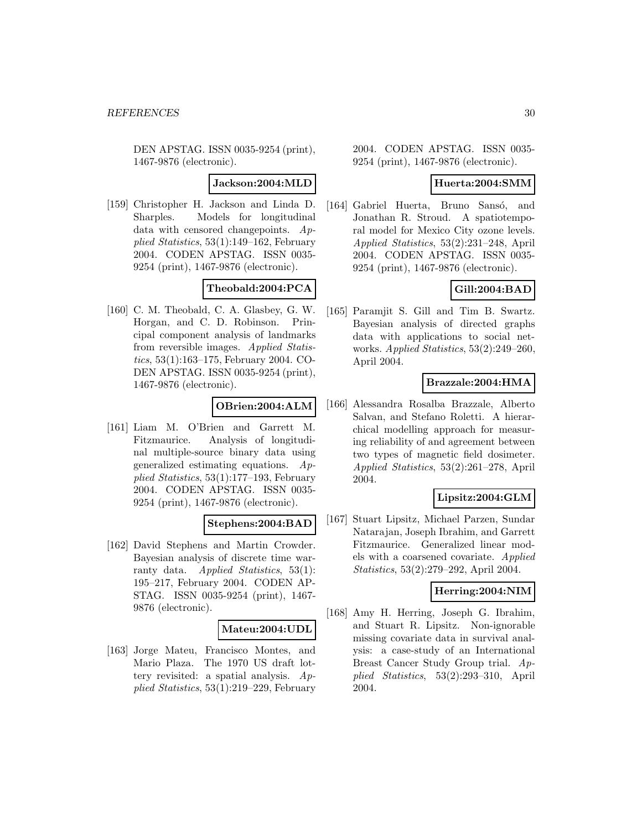DEN APSTAG. ISSN 0035-9254 (print), 1467-9876 (electronic).

#### **Jackson:2004:MLD**

[159] Christopher H. Jackson and Linda D. Sharples. Models for longitudinal data with censored changepoints. Applied Statistics, 53(1):149–162, February 2004. CODEN APSTAG. ISSN 0035- 9254 (print), 1467-9876 (electronic).

# **Theobald:2004:PCA**

[160] C. M. Theobald, C. A. Glasbey, G. W. Horgan, and C. D. Robinson. Principal component analysis of landmarks from reversible images. Applied Statistics, 53(1):163–175, February 2004. CO-DEN APSTAG. ISSN 0035-9254 (print), 1467-9876 (electronic).

### **OBrien:2004:ALM**

[161] Liam M. O'Brien and Garrett M. Fitzmaurice. Analysis of longitudinal multiple-source binary data using generalized estimating equations. Applied Statistics, 53(1):177–193, February 2004. CODEN APSTAG. ISSN 0035- 9254 (print), 1467-9876 (electronic).

### **Stephens:2004:BAD**

[162] David Stephens and Martin Crowder. Bayesian analysis of discrete time warranty data. Applied Statistics, 53(1): 195–217, February 2004. CODEN AP-STAG. ISSN 0035-9254 (print), 1467- 9876 (electronic).

#### **Mateu:2004:UDL**

[163] Jorge Mateu, Francisco Montes, and Mario Plaza. The 1970 US draft lottery revisited: a spatial analysis. Applied Statistics, 53(1):219–229, February

2004. CODEN APSTAG. ISSN 0035- 9254 (print), 1467-9876 (electronic).

# **Huerta:2004:SMM**

[164] Gabriel Huerta, Bruno Sansó, and Jonathan R. Stroud. A spatiotemporal model for Mexico City ozone levels. Applied Statistics, 53(2):231–248, April 2004. CODEN APSTAG. ISSN 0035- 9254 (print), 1467-9876 (electronic).

# **Gill:2004:BAD**

[165] Paramjit S. Gill and Tim B. Swartz. Bayesian analysis of directed graphs data with applications to social networks. Applied Statistics, 53(2):249–260, April 2004.

# **Brazzale:2004:HMA**

[166] Alessandra Rosalba Brazzale, Alberto Salvan, and Stefano Roletti. A hierarchical modelling approach for measuring reliability of and agreement between two types of magnetic field dosimeter. Applied Statistics, 53(2):261–278, April 2004.

### **Lipsitz:2004:GLM**

[167] Stuart Lipsitz, Michael Parzen, Sundar Natarajan, Joseph Ibrahim, and Garrett Fitzmaurice. Generalized linear models with a coarsened covariate. Applied Statistics, 53(2):279–292, April 2004.

#### **Herring:2004:NIM**

[168] Amy H. Herring, Joseph G. Ibrahim, and Stuart R. Lipsitz. Non-ignorable missing covariate data in survival analysis: a case-study of an International Breast Cancer Study Group trial. Applied Statistics, 53(2):293–310, April 2004.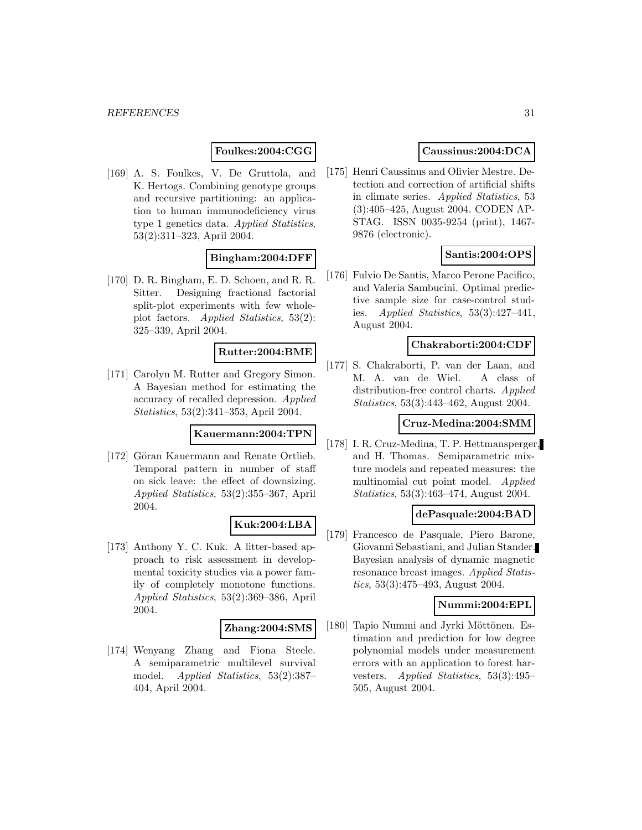### **Foulkes:2004:CGG**

[169] A. S. Foulkes, V. De Gruttola, and K. Hertogs. Combining genotype groups and recursive partitioning: an application to human immunodeficiency virus type 1 genetics data. Applied Statistics, 53(2):311–323, April 2004.

### **Bingham:2004:DFF**

[170] D. R. Bingham, E. D. Schoen, and R. R. Sitter. Designing fractional factorial split-plot experiments with few wholeplot factors. Applied Statistics, 53(2): 325–339, April 2004.

### **Rutter:2004:BME**

[171] Carolyn M. Rutter and Gregory Simon. A Bayesian method for estimating the accuracy of recalled depression. Applied Statistics, 53(2):341–353, April 2004.

#### **Kauermann:2004:TPN**

[172] Göran Kauermann and Renate Ortlieb. Temporal pattern in number of staff on sick leave: the effect of downsizing. Applied Statistics, 53(2):355–367, April 2004.

#### **Kuk:2004:LBA**

[173] Anthony Y. C. Kuk. A litter-based approach to risk assessment in developmental toxicity studies via a power family of completely monotone functions. Applied Statistics, 53(2):369–386, April 2004.

#### **Zhang:2004:SMS**

[174] Wenyang Zhang and Fiona Steele. A semiparametric multilevel survival model. Applied Statistics, 53(2):387– 404, April 2004.

# **Caussinus:2004:DCA**

[175] Henri Caussinus and Olivier Mestre. Detection and correction of artificial shifts in climate series. Applied Statistics, 53 (3):405–425, August 2004. CODEN AP-STAG. ISSN 0035-9254 (print), 1467- 9876 (electronic).

### **Santis:2004:OPS**

[176] Fulvio De Santis, Marco Perone Pacifico, and Valeria Sambucini. Optimal predictive sample size for case-control studies. Applied Statistics, 53(3):427–441, August 2004.

# **Chakraborti:2004:CDF**

[177] S. Chakraborti, P. van der Laan, and M. A. van de Wiel. A class of distribution-free control charts. Applied Statistics, 53(3):443–462, August 2004.

#### **Cruz-Medina:2004:SMM**

[178] I. R. Cruz-Medina, T. P. Hettmansperger, and H. Thomas. Semiparametric mixture models and repeated measures: the multinomial cut point model. Applied Statistics, 53(3):463–474, August 2004.

#### **dePasquale:2004:BAD**

[179] Francesco de Pasquale, Piero Barone, Giovanni Sebastiani, and Julian Stander. Bayesian analysis of dynamic magnetic resonance breast images. Applied Statistics, 53(3):475–493, August 2004.

#### **Nummi:2004:EPL**

[180] Tapio Nummi and Jyrki Möttönen. Estimation and prediction for low degree polynomial models under measurement errors with an application to forest harvesters. Applied Statistics, 53(3):495– 505, August 2004.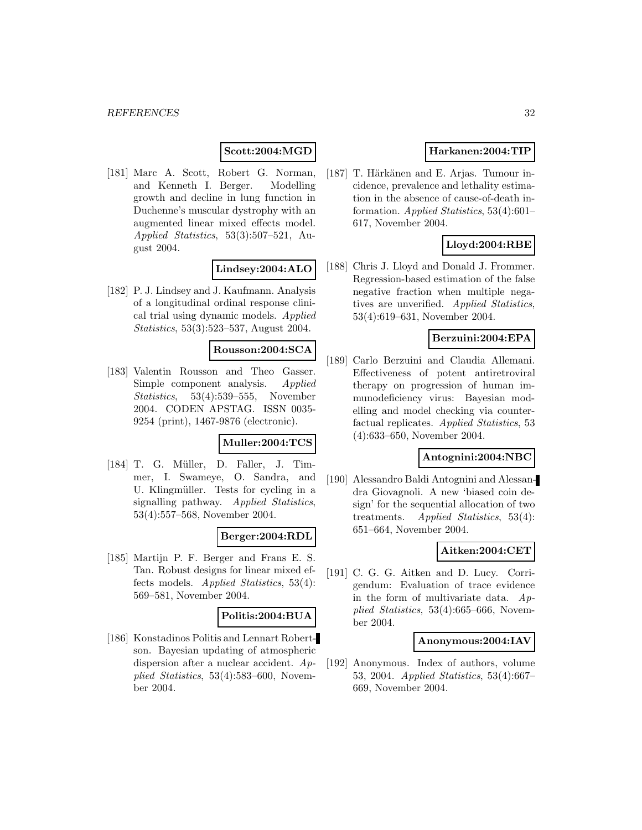# **Scott:2004:MGD**

[181] Marc A. Scott, Robert G. Norman, and Kenneth I. Berger. Modelling growth and decline in lung function in Duchenne's muscular dystrophy with an augmented linear mixed effects model. Applied Statistics, 53(3):507–521, August 2004.

### **Lindsey:2004:ALO**

[182] P. J. Lindsey and J. Kaufmann. Analysis of a longitudinal ordinal response clinical trial using dynamic models. Applied Statistics, 53(3):523–537, August 2004.

### **Rousson:2004:SCA**

[183] Valentin Rousson and Theo Gasser. Simple component analysis. Applied Statistics, 53(4):539–555, November 2004. CODEN APSTAG. ISSN 0035- 9254 (print), 1467-9876 (electronic).

#### **Muller:2004:TCS**

[184] T. G. Müller, D. Faller, J. Timmer, I. Swameye, O. Sandra, and U. Klingmüller. Tests for cycling in a signalling pathway. Applied Statistics, 53(4):557–568, November 2004.

### **Berger:2004:RDL**

[185] Martijn P. F. Berger and Frans E. S. Tan. Robust designs for linear mixed effects models. Applied Statistics, 53(4): 569–581, November 2004.

#### **Politis:2004:BUA**

[186] Konstadinos Politis and Lennart Robertson. Bayesian updating of atmospheric dispersion after a nuclear accident. Applied Statistics, 53(4):583–600, November 2004.

# **Harkanen:2004:TIP**

[187] T. Härkänen and E. Arjas. Tumour incidence, prevalence and lethality estimation in the absence of cause-of-death information. Applied Statistics, 53(4):601– 617, November 2004.

# **Lloyd:2004:RBE**

[188] Chris J. Lloyd and Donald J. Frommer. Regression-based estimation of the false negative fraction when multiple negatives are unverified. Applied Statistics, 53(4):619–631, November 2004.

### **Berzuini:2004:EPA**

[189] Carlo Berzuini and Claudia Allemani. Effectiveness of potent antiretroviral therapy on progression of human immunodeficiency virus: Bayesian modelling and model checking via counterfactual replicates. Applied Statistics, 53 (4):633–650, November 2004.

#### **Antognini:2004:NBC**

[190] Alessandro Baldi Antognini and Alessandra Giovagnoli. A new 'biased coin design' for the sequential allocation of two treatments. Applied Statistics, 53(4): 651–664, November 2004.

### **Aitken:2004:CET**

[191] C. G. G. Aitken and D. Lucy. Corrigendum: Evaluation of trace evidence in the form of multivariate data. Applied Statistics, 53(4):665–666, November 2004.

#### **Anonymous:2004:IAV**

[192] Anonymous. Index of authors, volume 53, 2004. Applied Statistics, 53(4):667– 669, November 2004.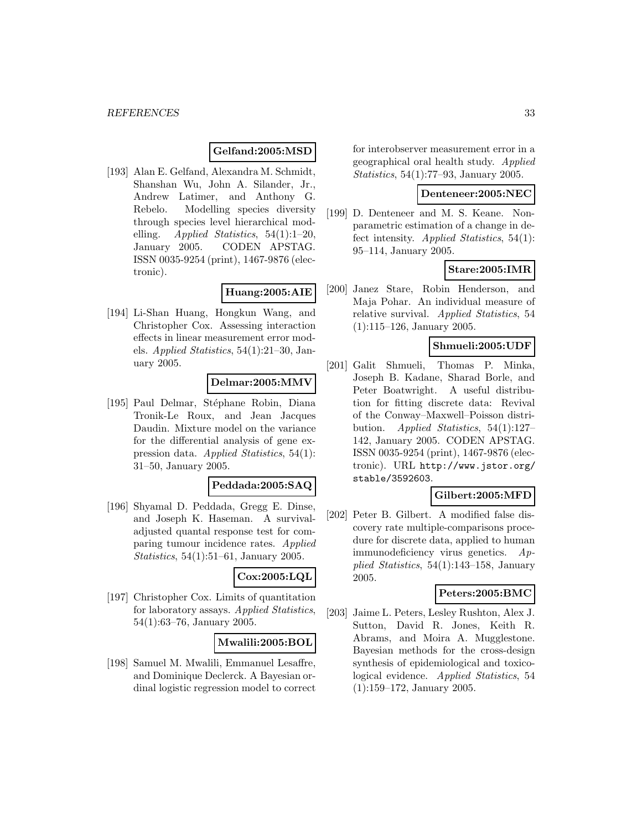### **Gelfand:2005:MSD**

[193] Alan E. Gelfand, Alexandra M. Schmidt, Shanshan Wu, John A. Silander, Jr., Andrew Latimer, and Anthony G. Rebelo. Modelling species diversity through species level hierarchical modelling. Applied Statistics,  $54(1):1-20$ , January 2005. CODEN APSTAG. ISSN 0035-9254 (print), 1467-9876 (electronic).

### **Huang:2005:AIE**

[194] Li-Shan Huang, Hongkun Wang, and Christopher Cox. Assessing interaction effects in linear measurement error models. Applied Statistics, 54(1):21–30, January 2005.

### **Delmar:2005:MMV**

[195] Paul Delmar, Stéphane Robin, Diana Tronik-Le Roux, and Jean Jacques Daudin. Mixture model on the variance for the differential analysis of gene expression data. Applied Statistics, 54(1): 31–50, January 2005.

#### **Peddada:2005:SAQ**

[196] Shyamal D. Peddada, Gregg E. Dinse, and Joseph K. Haseman. A survivaladjusted quantal response test for comparing tumour incidence rates. Applied Statistics, 54(1):51–61, January 2005.

# **Cox:2005:LQL**

[197] Christopher Cox. Limits of quantitation for laboratory assays. Applied Statistics, 54(1):63–76, January 2005.

### **Mwalili:2005:BOL**

[198] Samuel M. Mwalili, Emmanuel Lesaffre, and Dominique Declerck. A Bayesian ordinal logistic regression model to correct for interobserver measurement error in a geographical oral health study. Applied Statistics, 54(1):77–93, January 2005.

#### **Denteneer:2005:NEC**

[199] D. Denteneer and M. S. Keane. Nonparametric estimation of a change in defect intensity. Applied Statistics, 54(1): 95–114, January 2005.

### **Stare:2005:IMR**

[200] Janez Stare, Robin Henderson, and Maja Pohar. An individual measure of relative survival. Applied Statistics, 54 (1):115–126, January 2005.

### **Shmueli:2005:UDF**

[201] Galit Shmueli, Thomas P. Minka, Joseph B. Kadane, Sharad Borle, and Peter Boatwright. A useful distribution for fitting discrete data: Revival of the Conway–Maxwell–Poisson distribution. Applied Statistics, 54(1):127– 142, January 2005. CODEN APSTAG. ISSN 0035-9254 (print), 1467-9876 (electronic). URL http://www.jstor.org/ stable/3592603.

# **Gilbert:2005:MFD**

[202] Peter B. Gilbert. A modified false discovery rate multiple-comparisons procedure for discrete data, applied to human immunodeficiency virus genetics. Applied Statistics, 54(1):143–158, January 2005.

# **Peters:2005:BMC**

[203] Jaime L. Peters, Lesley Rushton, Alex J. Sutton, David R. Jones, Keith R. Abrams, and Moira A. Mugglestone. Bayesian methods for the cross-design synthesis of epidemiological and toxicological evidence. Applied Statistics, 54 (1):159–172, January 2005.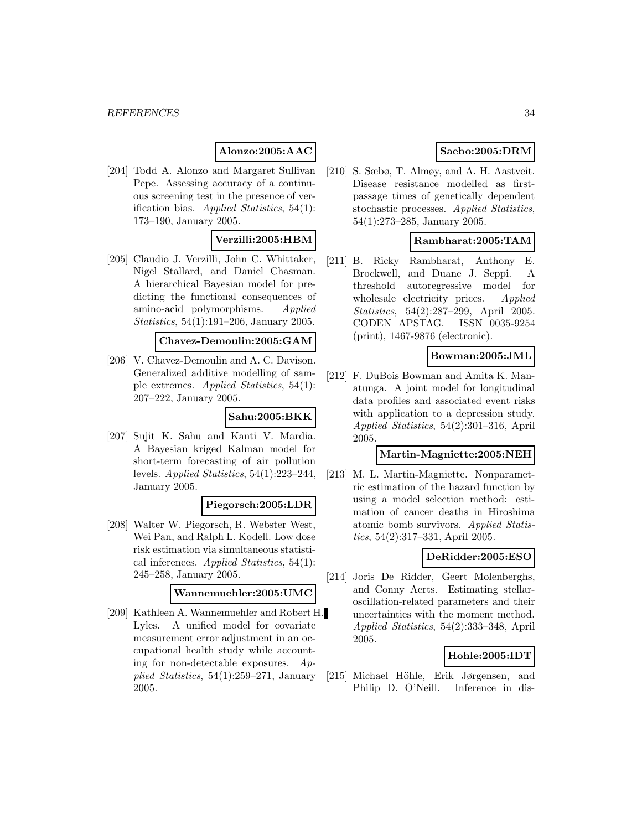# **Alonzo:2005:AAC**

[204] Todd A. Alonzo and Margaret Sullivan Pepe. Assessing accuracy of a continuous screening test in the presence of verification bias. Applied Statistics, 54(1): 173–190, January 2005.

### **Verzilli:2005:HBM**

[205] Claudio J. Verzilli, John C. Whittaker, Nigel Stallard, and Daniel Chasman. A hierarchical Bayesian model for predicting the functional consequences of amino-acid polymorphisms. Applied Statistics, 54(1):191–206, January 2005.

#### **Chavez-Demoulin:2005:GAM**

[206] V. Chavez-Demoulin and A. C. Davison. Generalized additive modelling of sample extremes. Applied Statistics, 54(1): 207–222, January 2005.

#### **Sahu:2005:BKK**

[207] Sujit K. Sahu and Kanti V. Mardia. A Bayesian kriged Kalman model for short-term forecasting of air pollution levels. Applied Statistics, 54(1):223–244, January 2005.

### **Piegorsch:2005:LDR**

[208] Walter W. Piegorsch, R. Webster West, Wei Pan, and Ralph L. Kodell. Low dose risk estimation via simultaneous statistical inferences. Applied Statistics, 54(1): 245–258, January 2005.

### **Wannemuehler:2005:UMC**

[209] Kathleen A. Wannemuehler and Robert H. Lyles. A unified model for covariate measurement error adjustment in an occupational health study while accounting for non-detectable exposures.  $Ap$ plied Statistics, 54(1):259–271, January 2005.

# **Saebo:2005:DRM**

[210] S. Sæbø, T. Almøy, and A. H. Aastveit. Disease resistance modelled as firstpassage times of genetically dependent stochastic processes. Applied Statistics, 54(1):273–285, January 2005.

### **Rambharat:2005:TAM**

[211] B. Ricky Rambharat, Anthony E. Brockwell, and Duane J. Seppi. A threshold autoregressive model for wholesale electricity prices. Applied Statistics, 54(2):287–299, April 2005. CODEN APSTAG. ISSN 0035-9254 (print), 1467-9876 (electronic).

#### **Bowman:2005:JML**

[212] F. DuBois Bowman and Amita K. Manatunga. A joint model for longitudinal data profiles and associated event risks with application to a depression study. Applied Statistics, 54(2):301–316, April 2005.

### **Martin-Magniette:2005:NEH**

[213] M. L. Martin-Magniette. Nonparametric estimation of the hazard function by using a model selection method: estimation of cancer deaths in Hiroshima atomic bomb survivors. Applied Statistics, 54(2):317–331, April 2005.

### **DeRidder:2005:ESO**

[214] Joris De Ridder, Geert Molenberghs, and Conny Aerts. Estimating stellaroscillation-related parameters and their uncertainties with the moment method. Applied Statistics, 54(2):333–348, April 2005.

#### **Hohle:2005:IDT**

[215] Michael Höhle, Erik Jørgensen, and Philip D. O'Neill. Inference in dis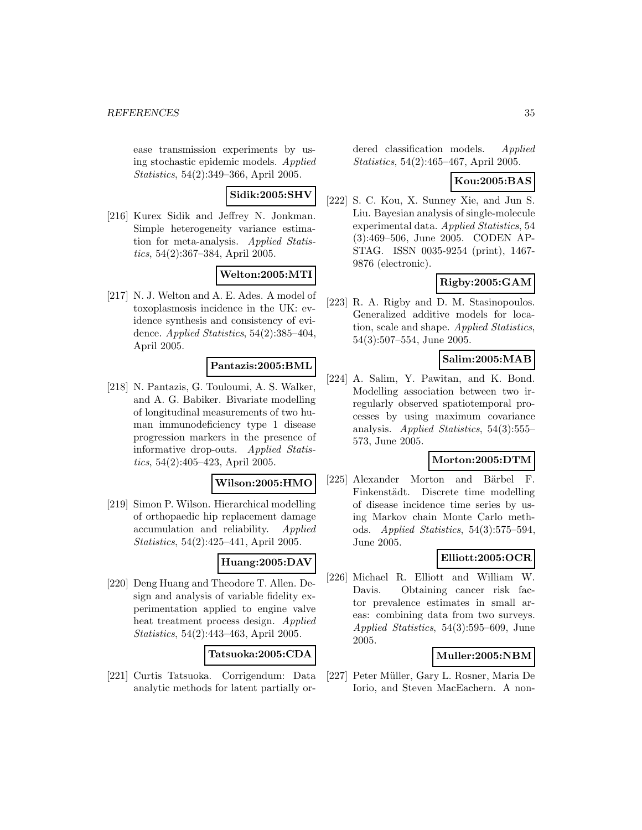ease transmission experiments by using stochastic epidemic models. Applied Statistics, 54(2):349–366, April 2005.

# **Sidik:2005:SHV**

[216] Kurex Sidik and Jeffrey N. Jonkman. Simple heterogeneity variance estimation for meta-analysis. Applied Statistics, 54(2):367–384, April 2005.

# **Welton:2005:MTI**

[217] N. J. Welton and A. E. Ades. A model of toxoplasmosis incidence in the UK: evidence synthesis and consistency of evidence. Applied Statistics, 54(2):385–404, April 2005.

# **Pantazis:2005:BML**

[218] N. Pantazis, G. Touloumi, A. S. Walker, and A. G. Babiker. Bivariate modelling of longitudinal measurements of two human immunodeficiency type 1 disease progression markers in the presence of informative drop-outs. Applied Statistics, 54(2):405–423, April 2005.

#### **Wilson:2005:HMO**

[219] Simon P. Wilson. Hierarchical modelling of orthopaedic hip replacement damage accumulation and reliability. Applied Statistics, 54(2):425–441, April 2005.

### **Huang:2005:DAV**

[220] Deng Huang and Theodore T. Allen. Design and analysis of variable fidelity experimentation applied to engine valve heat treatment process design. Applied Statistics, 54(2):443–463, April 2005.

### **Tatsuoka:2005:CDA**

[221] Curtis Tatsuoka. Corrigendum: Data analytic methods for latent partially ordered classification models. Applied Statistics, 54(2):465–467, April 2005.

### **Kou:2005:BAS**

[222] S. C. Kou, X. Sunney Xie, and Jun S. Liu. Bayesian analysis of single-molecule experimental data. Applied Statistics, 54 (3):469–506, June 2005. CODEN AP-STAG. ISSN 0035-9254 (print), 1467- 9876 (electronic).

# **Rigby:2005:GAM**

[223] R. A. Rigby and D. M. Stasinopoulos. Generalized additive models for location, scale and shape. Applied Statistics, 54(3):507–554, June 2005.

### **Salim:2005:MAB**

[224] A. Salim, Y. Pawitan, and K. Bond. Modelling association between two irregularly observed spatiotemporal processes by using maximum covariance analysis. Applied Statistics, 54(3):555– 573, June 2005.

### **Morton:2005:DTM**

[225] Alexander Morton and Bärbel F. Finkenstädt. Discrete time modelling of disease incidence time series by using Markov chain Monte Carlo methods. Applied Statistics, 54(3):575–594, June 2005.

# **Elliott:2005:OCR**

[226] Michael R. Elliott and William W. Davis. Obtaining cancer risk factor prevalence estimates in small areas: combining data from two surveys. Applied Statistics, 54(3):595–609, June 2005.

### **Muller:2005:NBM**

[227] Peter Müller, Gary L. Rosner, Maria De Iorio, and Steven MacEachern. A non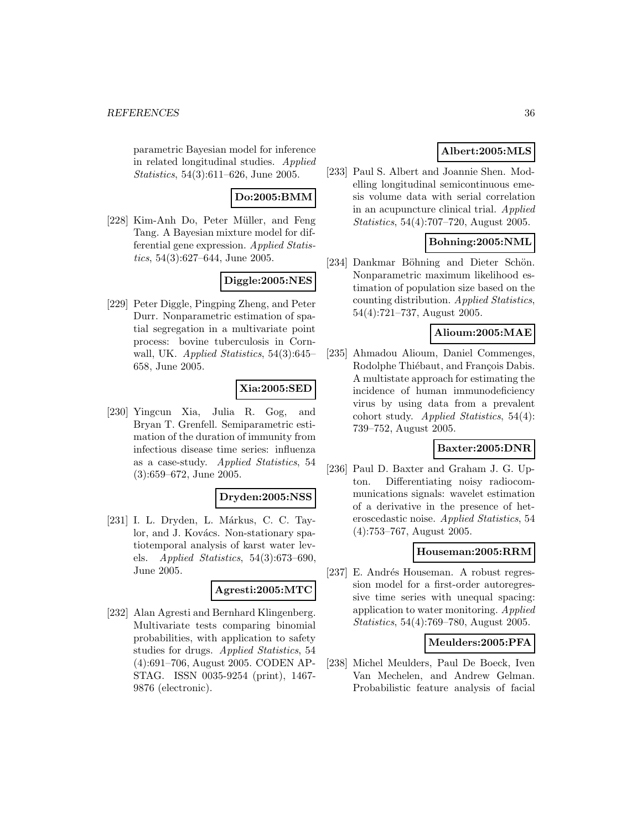parametric Bayesian model for inference in related longitudinal studies. Applied Statistics, 54(3):611–626, June 2005.

# **Do:2005:BMM**

[228] Kim-Anh Do, Peter Müller, and Feng Tang. A Bayesian mixture model for differential gene expression. Applied Statistics, 54(3):627–644, June 2005.

# **Diggle:2005:NES**

[229] Peter Diggle, Pingping Zheng, and Peter Durr. Nonparametric estimation of spatial segregation in a multivariate point process: bovine tuberculosis in Cornwall, UK. Applied Statistics, 54(3):645– 658, June 2005.

# **Xia:2005:SED**

[230] Yingcun Xia, Julia R. Gog, and Bryan T. Grenfell. Semiparametric estimation of the duration of immunity from infectious disease time series: influenza as a case-study. Applied Statistics, 54 (3):659–672, June 2005.

#### **Dryden:2005:NSS**

[231] I. L. Dryden, L. Márkus, C. C. Taylor, and J. Kovács. Non-stationary spatiotemporal analysis of karst water levels. Applied Statistics, 54(3):673–690, June 2005.

#### **Agresti:2005:MTC**

[232] Alan Agresti and Bernhard Klingenberg. Multivariate tests comparing binomial probabilities, with application to safety studies for drugs. Applied Statistics, 54 (4):691–706, August 2005. CODEN AP-STAG. ISSN 0035-9254 (print), 1467- 9876 (electronic).

# **Albert:2005:MLS**

[233] Paul S. Albert and Joannie Shen. Modelling longitudinal semicontinuous emesis volume data with serial correlation in an acupuncture clinical trial. Applied Statistics, 54(4):707–720, August 2005.

# **Bohning:2005:NML**

[234] Dankmar Böhning and Dieter Schön. Nonparametric maximum likelihood estimation of population size based on the counting distribution. Applied Statistics, 54(4):721–737, August 2005.

### **Alioum:2005:MAE**

[235] Ahmadou Alioum, Daniel Commenges, Rodolphe Thiébaut, and François Dabis. A multistate approach for estimating the incidence of human immunodeficiency virus by using data from a prevalent cohort study. Applied Statistics, 54(4): 739–752, August 2005.

## **Baxter:2005:DNR**

[236] Paul D. Baxter and Graham J. G. Upton. Differentiating noisy radiocommunications signals: wavelet estimation of a derivative in the presence of heteroscedastic noise. Applied Statistics, 54 (4):753–767, August 2005.

### **Houseman:2005:RRM**

[237] E. Andrés Houseman. A robust regression model for a first-order autoregressive time series with unequal spacing: application to water monitoring. Applied Statistics, 54(4):769–780, August 2005.

### **Meulders:2005:PFA**

[238] Michel Meulders, Paul De Boeck, Iven Van Mechelen, and Andrew Gelman. Probabilistic feature analysis of facial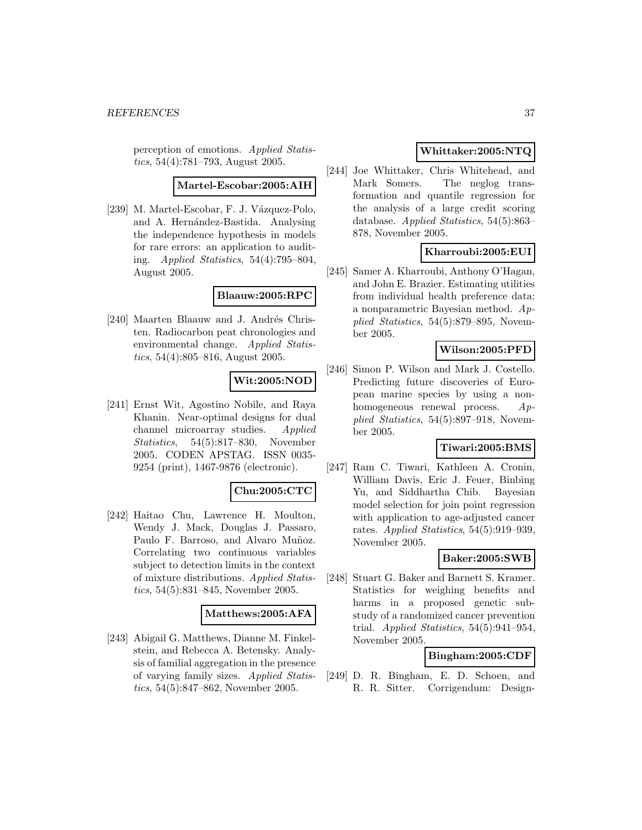perception of emotions. Applied Statistics, 54(4):781–793, August 2005.

**Martel-Escobar:2005:AIH**

[239] M. Martel-Escobar, F. J. Vázquez-Polo, and A. Hernández-Bastida. Analysing the independence hypothesis in models for rare errors: an application to auditing. Applied Statistics, 54(4):795–804, August 2005.

### **Blaauw:2005:RPC**

[240] Maarten Blaauw and J. Andrés Christen. Radiocarbon peat chronologies and environmental change. Applied Statistics, 54(4):805–816, August 2005.

# **Wit:2005:NOD**

[241] Ernst Wit, Agostino Nobile, and Raya Khanin. Near-optimal designs for dual channel microarray studies. Applied Statistics, 54(5):817–830, November 2005. CODEN APSTAG. ISSN 0035- 9254 (print), 1467-9876 (electronic).

#### **Chu:2005:CTC**

[242] Haitao Chu, Lawrence H. Moulton, Wendy J. Mack, Douglas J. Passaro, Paulo F. Barroso, and Alvaro Muñoz. Correlating two continuous variables subject to detection limits in the context of mixture distributions. Applied Statistics, 54(5):831–845, November 2005.

#### **Matthews:2005:AFA**

[243] Abigail G. Matthews, Dianne M. Finkelstein, and Rebecca A. Betensky. Analysis of familial aggregation in the presence of varying family sizes. Applied Statistics, 54(5):847–862, November 2005.

# **Whittaker:2005:NTQ**

[244] Joe Whittaker, Chris Whitehead, and Mark Somers. The neglog transformation and quantile regression for the analysis of a large credit scoring database. Applied Statistics, 54(5):863– 878, November 2005.

### **Kharroubi:2005:EUI**

[245] Samer A. Kharroubi, Anthony O'Hagan, and John E. Brazier. Estimating utilities from individual health preference data: a nonparametric Bayesian method. Applied Statistics, 54(5):879–895, November 2005.

### **Wilson:2005:PFD**

[246] Simon P. Wilson and Mark J. Costello. Predicting future discoveries of European marine species by using a nonhomogeneous renewal process. Applied Statistics, 54(5):897–918, November 2005.

### **Tiwari:2005:BMS**

[247] Ram C. Tiwari, Kathleen A. Cronin, William Davis, Eric J. Feuer, Binbing Yu, and Siddhartha Chib. Bayesian model selection for join point regression with application to age-adjusted cancer rates. Applied Statistics, 54(5):919–939, November 2005.

#### **Baker:2005:SWB**

[248] Stuart G. Baker and Barnett S. Kramer. Statistics for weighing benefits and harms in a proposed genetic substudy of a randomized cancer prevention trial. Applied Statistics, 54(5):941–954, November 2005.

## **Bingham:2005:CDF**

[249] D. R. Bingham, E. D. Schoen, and R. R. Sitter. Corrigendum: Design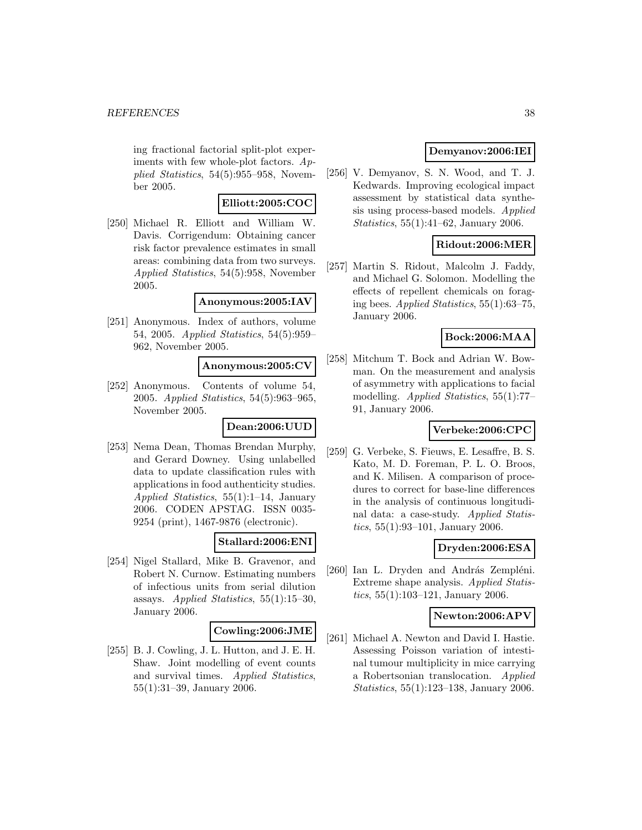ing fractional factorial split-plot experiments with few whole-plot factors. Applied Statistics, 54(5):955–958, November 2005.

### **Elliott:2005:COC**

[250] Michael R. Elliott and William W. Davis. Corrigendum: Obtaining cancer risk factor prevalence estimates in small areas: combining data from two surveys. Applied Statistics, 54(5):958, November 2005.

#### **Anonymous:2005:IAV**

[251] Anonymous. Index of authors, volume 54, 2005. Applied Statistics, 54(5):959– 962, November 2005.

### **Anonymous:2005:CV**

[252] Anonymous. Contents of volume 54, 2005. Applied Statistics, 54(5):963–965, November 2005.

# **Dean:2006:UUD**

[253] Nema Dean, Thomas Brendan Murphy, and Gerard Downey. Using unlabelled data to update classification rules with applications in food authenticity studies. Applied Statistics, 55(1):1–14, January 2006. CODEN APSTAG. ISSN 0035- 9254 (print), 1467-9876 (electronic).

#### **Stallard:2006:ENI**

[254] Nigel Stallard, Mike B. Gravenor, and Robert N. Curnow. Estimating numbers of infectious units from serial dilution assays. Applied Statistics, 55(1):15–30, January 2006.

#### **Cowling:2006:JME**

[255] B. J. Cowling, J. L. Hutton, and J. E. H. Shaw. Joint modelling of event counts and survival times. Applied Statistics, 55(1):31–39, January 2006.

### **Demyanov:2006:IEI**

[256] V. Demyanov, S. N. Wood, and T. J. Kedwards. Improving ecological impact assessment by statistical data synthesis using process-based models. Applied Statistics, 55(1):41–62, January 2006.

### **Ridout:2006:MER**

[257] Martin S. Ridout, Malcolm J. Faddy, and Michael G. Solomon. Modelling the effects of repellent chemicals on foraging bees. Applied Statistics, 55(1):63–75, January 2006.

#### **Bock:2006:MAA**

[258] Mitchum T. Bock and Adrian W. Bowman. On the measurement and analysis of asymmetry with applications to facial modelling. Applied Statistics, 55(1):77– 91, January 2006.

### **Verbeke:2006:CPC**

[259] G. Verbeke, S. Fieuws, E. Lesaffre, B. S. Kato, M. D. Foreman, P. L. O. Broos, and K. Milisen. A comparison of procedures to correct for base-line differences in the analysis of continuous longitudinal data: a case-study. Applied Statistics, 55(1):93–101, January 2006.

### **Dryden:2006:ESA**

[260] Ian L. Dryden and András Zempléni. Extreme shape analysis. Applied Statistics, 55(1):103–121, January 2006.

#### **Newton:2006:APV**

[261] Michael A. Newton and David I. Hastie. Assessing Poisson variation of intestinal tumour multiplicity in mice carrying a Robertsonian translocation. Applied Statistics, 55(1):123–138, January 2006.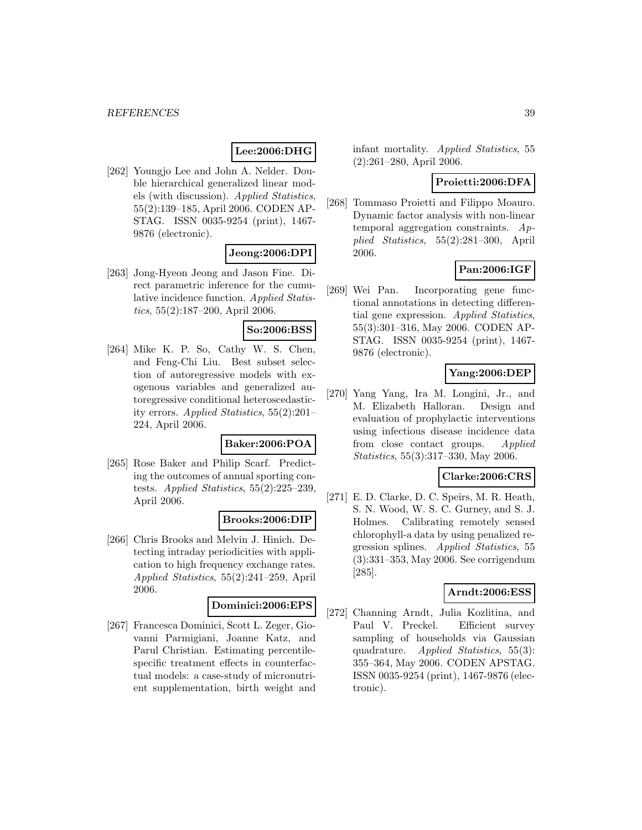# **Lee:2006:DHG**

[262] Youngjo Lee and John A. Nelder. Double hierarchical generalized linear models (with discussion). Applied Statistics, 55(2):139–185, April 2006. CODEN AP-STAG. ISSN 0035-9254 (print), 1467- 9876 (electronic).

# **Jeong:2006:DPI**

[263] Jong-Hyeon Jeong and Jason Fine. Direct parametric inference for the cumulative incidence function. Applied Statistics, 55(2):187–200, April 2006.

# **So:2006:BSS**

[264] Mike K. P. So, Cathy W. S. Chen, and Feng-Chi Liu. Best subset selection of autoregressive models with exogenous variables and generalized autoregressive conditional heteroscedasticity errors. Applied Statistics, 55(2):201– 224, April 2006.

#### **Baker:2006:POA**

[265] Rose Baker and Philip Scarf. Predicting the outcomes of annual sporting contests. Applied Statistics, 55(2):225–239, April 2006.

#### **Brooks:2006:DIP**

[266] Chris Brooks and Melvin J. Hinich. Detecting intraday periodicities with application to high frequency exchange rates. Applied Statistics, 55(2):241–259, April 2006.

# **Dominici:2006:EPS**

[267] Francesca Dominici, Scott L. Zeger, Giovanni Parmigiani, Joanne Katz, and Parul Christian. Estimating percentilespecific treatment effects in counterfactual models: a case-study of micronutrient supplementation, birth weight and infant mortality. Applied Statistics, 55 (2):261–280, April 2006.

### **Proietti:2006:DFA**

[268] Tommaso Proietti and Filippo Moauro. Dynamic factor analysis with non-linear temporal aggregation constraints. Applied Statistics, 55(2):281–300, April 2006.

### **Pan:2006:IGF**

[269] Wei Pan. Incorporating gene functional annotations in detecting differential gene expression. Applied Statistics, 55(3):301–316, May 2006. CODEN AP-STAG. ISSN 0035-9254 (print), 1467- 9876 (electronic).

# **Yang:2006:DEP**

[270] Yang Yang, Ira M. Longini, Jr., and M. Elizabeth Halloran. Design and evaluation of prophylactic interventions using infectious disease incidence data from close contact groups. Applied Statistics, 55(3):317–330, May 2006.

#### **Clarke:2006:CRS**

[271] E. D. Clarke, D. C. Speirs, M. R. Heath, S. N. Wood, W. S. C. Gurney, and S. J. Holmes. Calibrating remotely sensed chlorophyll-a data by using penalized regression splines. Applied Statistics, 55 (3):331–353, May 2006. See corrigendum [285].

#### **Arndt:2006:ESS**

[272] Channing Arndt, Julia Kozlitina, and Paul V. Preckel. Efficient survey sampling of households via Gaussian quadrature. Applied Statistics, 55(3): 355–364, May 2006. CODEN APSTAG. ISSN 0035-9254 (print), 1467-9876 (electronic).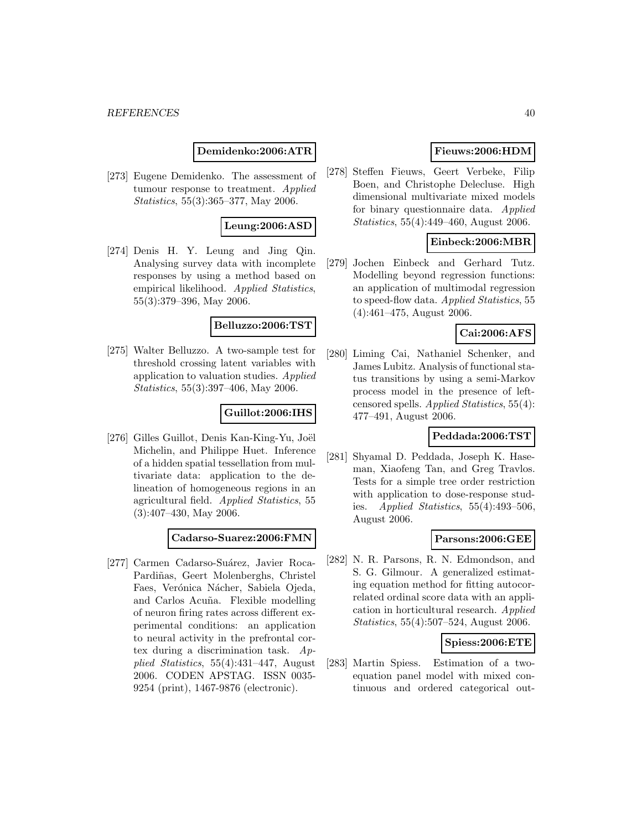**Demidenko:2006:ATR**

[273] Eugene Demidenko. The assessment of tumour response to treatment. Applied Statistics, 55(3):365–377, May 2006.

#### **Leung:2006:ASD**

[274] Denis H. Y. Leung and Jing Qin. Analysing survey data with incomplete responses by using a method based on empirical likelihood. Applied Statistics, 55(3):379–396, May 2006.

#### **Belluzzo:2006:TST**

[275] Walter Belluzzo. A two-sample test for threshold crossing latent variables with application to valuation studies. Applied Statistics, 55(3):397–406, May 2006.

# **Guillot:2006:IHS**

[276] Gilles Guillot, Denis Kan-King-Yu, Joël Michelin, and Philippe Huet. Inference of a hidden spatial tessellation from multivariate data: application to the delineation of homogeneous regions in an agricultural field. Applied Statistics, 55 (3):407–430, May 2006.

**Cadarso-Suarez:2006:FMN**

[277] Carmen Cadarso-Suárez, Javier Roca-Pardiñas, Geert Molenberghs, Christel Faes, Verónica Nácher, Sabiela Ojeda, and Carlos Acu˜na. Flexible modelling of neuron firing rates across different experimental conditions: an application to neural activity in the prefrontal cortex during a discrimination task. Applied Statistics, 55(4):431–447, August 2006. CODEN APSTAG. ISSN 0035- 9254 (print), 1467-9876 (electronic).

# **Fieuws:2006:HDM**

[278] Steffen Fieuws, Geert Verbeke, Filip Boen, and Christophe Delecluse. High dimensional multivariate mixed models for binary questionnaire data. Applied Statistics, 55(4):449–460, August 2006.

### **Einbeck:2006:MBR**

[279] Jochen Einbeck and Gerhard Tutz. Modelling beyond regression functions: an application of multimodal regression to speed-flow data. Applied Statistics, 55 (4):461–475, August 2006.

### **Cai:2006:AFS**

[280] Liming Cai, Nathaniel Schenker, and James Lubitz. Analysis of functional status transitions by using a semi-Markov process model in the presence of leftcensored spells. Applied Statistics, 55(4): 477–491, August 2006.

#### **Peddada:2006:TST**

[281] Shyamal D. Peddada, Joseph K. Haseman, Xiaofeng Tan, and Greg Travlos. Tests for a simple tree order restriction with application to dose-response studies. Applied Statistics,  $55(4):493-506$ , August 2006.

#### **Parsons:2006:GEE**

[282] N. R. Parsons, R. N. Edmondson, and S. G. Gilmour. A generalized estimating equation method for fitting autocorrelated ordinal score data with an application in horticultural research. Applied Statistics, 55(4):507–524, August 2006.

## **Spiess:2006:ETE**

[283] Martin Spiess. Estimation of a twoequation panel model with mixed continuous and ordered categorical out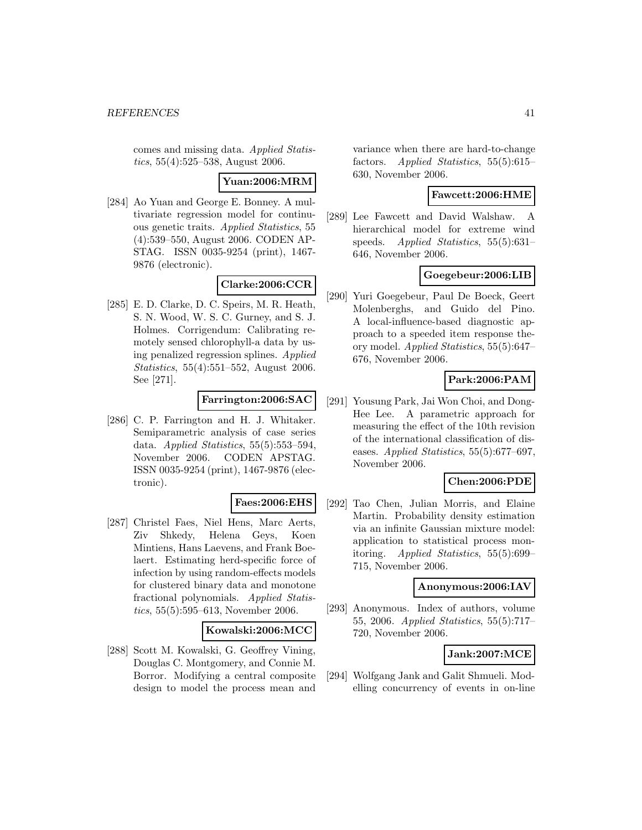comes and missing data. Applied Statistics, 55(4):525–538, August 2006.

**Yuan:2006:MRM**

[284] Ao Yuan and George E. Bonney. A multivariate regression model for continuous genetic traits. Applied Statistics, 55 (4):539–550, August 2006. CODEN AP-STAG. ISSN 0035-9254 (print), 1467- 9876 (electronic).

# **Clarke:2006:CCR**

[285] E. D. Clarke, D. C. Speirs, M. R. Heath, S. N. Wood, W. S. C. Gurney, and S. J. Holmes. Corrigendum: Calibrating remotely sensed chlorophyll-a data by using penalized regression splines. Applied Statistics, 55(4):551–552, August 2006. See [271].

### **Farrington:2006:SAC**

[286] C. P. Farrington and H. J. Whitaker. Semiparametric analysis of case series data. Applied Statistics, 55(5):553–594, November 2006. CODEN APSTAG. ISSN 0035-9254 (print), 1467-9876 (electronic).

#### **Faes:2006:EHS**

[287] Christel Faes, Niel Hens, Marc Aerts, Ziv Shkedy, Helena Geys, Koen Mintiens, Hans Laevens, and Frank Boelaert. Estimating herd-specific force of infection by using random-effects models for clustered binary data and monotone fractional polynomials. Applied Statistics, 55(5):595–613, November 2006.

#### **Kowalski:2006:MCC**

[288] Scott M. Kowalski, G. Geoffrey Vining, Douglas C. Montgomery, and Connie M. Borror. Modifying a central composite design to model the process mean and

variance when there are hard-to-change factors. Applied Statistics, 55(5):615– 630, November 2006.

#### **Fawcett:2006:HME**

[289] Lee Fawcett and David Walshaw. A hierarchical model for extreme wind speeds. Applied Statistics, 55(5):631– 646, November 2006.

### **Goegebeur:2006:LIB**

[290] Yuri Goegebeur, Paul De Boeck, Geert Molenberghs, and Guido del Pino. A local-influence-based diagnostic approach to a speeded item response theory model. Applied Statistics, 55(5):647– 676, November 2006.

# **Park:2006:PAM**

[291] Yousung Park, Jai Won Choi, and Dong-Hee Lee. A parametric approach for measuring the effect of the 10th revision of the international classification of diseases. Applied Statistics, 55(5):677–697, November 2006.

#### **Chen:2006:PDE**

[292] Tao Chen, Julian Morris, and Elaine Martin. Probability density estimation via an infinite Gaussian mixture model: application to statistical process monitoring. Applied Statistics, 55(5):699– 715, November 2006.

### **Anonymous:2006:IAV**

[293] Anonymous. Index of authors, volume 55, 2006. Applied Statistics, 55(5):717– 720, November 2006.

### **Jank:2007:MCE**

[294] Wolfgang Jank and Galit Shmueli. Modelling concurrency of events in on-line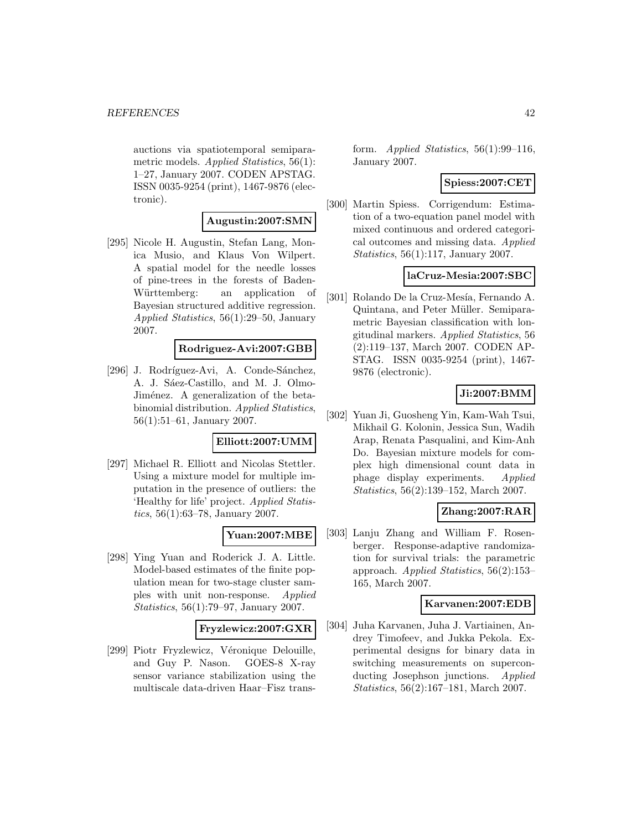auctions via spatiotemporal semiparametric models. Applied Statistics, 56(1): 1–27, January 2007. CODEN APSTAG. ISSN 0035-9254 (print), 1467-9876 (electronic).

### **Augustin:2007:SMN**

[295] Nicole H. Augustin, Stefan Lang, Monica Musio, and Klaus Von Wilpert. A spatial model for the needle losses of pine-trees in the forests of Baden-Württemberg: an application of Bayesian structured additive regression. Applied Statistics, 56(1):29–50, January 2007.

### **Rodriguez-Avi:2007:GBB**

[296] J. Rodríguez-Avi, A. Conde-Sánchez, A. J. Sáez-Castillo, and M. J. Olmo-Jiménez. A generalization of the betabinomial distribution. Applied Statistics, 56(1):51–61, January 2007.

#### **Elliott:2007:UMM**

[297] Michael R. Elliott and Nicolas Stettler. Using a mixture model for multiple imputation in the presence of outliers: the 'Healthy for life' project. Applied Statistics, 56(1):63–78, January 2007.

# **Yuan:2007:MBE**

[298] Ying Yuan and Roderick J. A. Little. Model-based estimates of the finite population mean for two-stage cluster samples with unit non-response. Applied Statistics, 56(1):79–97, January 2007.

#### **Fryzlewicz:2007:GXR**

[299] Piotr Fryzlewicz, Véronique Delouille, and Guy P. Nason. GOES-8 X-ray sensor variance stabilization using the multiscale data-driven Haar–Fisz transform. Applied Statistics,  $56(1):99-116$ , January 2007.

# **Spiess:2007:CET**

[300] Martin Spiess. Corrigendum: Estimation of a two-equation panel model with mixed continuous and ordered categorical outcomes and missing data. Applied Statistics, 56(1):117, January 2007.

### **laCruz-Mesia:2007:SBC**

[301] Rolando De la Cruz-Mesía, Fernando A. Quintana, and Peter Müller. Semiparametric Bayesian classification with longitudinal markers. Applied Statistics, 56 (2):119–137, March 2007. CODEN AP-STAG. ISSN 0035-9254 (print), 1467- 9876 (electronic).

# **Ji:2007:BMM**

[302] Yuan Ji, Guosheng Yin, Kam-Wah Tsui, Mikhail G. Kolonin, Jessica Sun, Wadih Arap, Renata Pasqualini, and Kim-Anh Do. Bayesian mixture models for complex high dimensional count data in phage display experiments. Applied Statistics, 56(2):139–152, March 2007.

# **Zhang:2007:RAR**

[303] Lanju Zhang and William F. Rosenberger. Response-adaptive randomization for survival trials: the parametric approach. Applied Statistics, 56(2):153– 165, March 2007.

## **Karvanen:2007:EDB**

[304] Juha Karvanen, Juha J. Vartiainen, Andrey Timofeev, and Jukka Pekola. Experimental designs for binary data in switching measurements on superconducting Josephson junctions. Applied Statistics, 56(2):167–181, March 2007.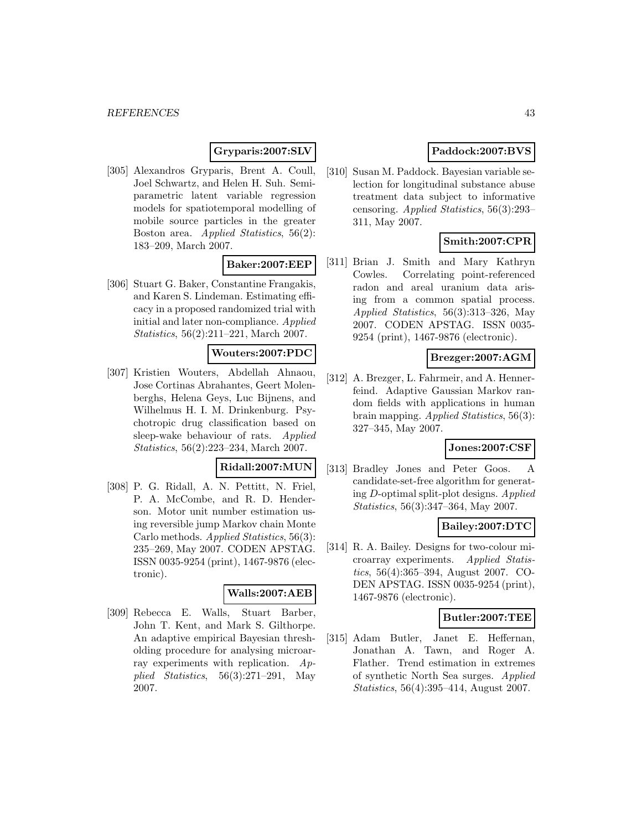# **Gryparis:2007:SLV**

[305] Alexandros Gryparis, Brent A. Coull, Joel Schwartz, and Helen H. Suh. Semiparametric latent variable regression models for spatiotemporal modelling of mobile source particles in the greater Boston area. Applied Statistics, 56(2): 183–209, March 2007.

### **Baker:2007:EEP**

[306] Stuart G. Baker, Constantine Frangakis, and Karen S. Lindeman. Estimating efficacy in a proposed randomized trial with initial and later non-compliance. Applied Statistics, 56(2):211–221, March 2007.

#### **Wouters:2007:PDC**

[307] Kristien Wouters, Abdellah Ahnaou, Jose Cortinas Abrahantes, Geert Molenberghs, Helena Geys, Luc Bijnens, and Wilhelmus H. I. M. Drinkenburg. Psychotropic drug classification based on sleep-wake behaviour of rats. Applied Statistics, 56(2):223–234, March 2007.

#### **Ridall:2007:MUN**

[308] P. G. Ridall, A. N. Pettitt, N. Friel, P. A. McCombe, and R. D. Henderson. Motor unit number estimation using reversible jump Markov chain Monte Carlo methods. Applied Statistics, 56(3): 235–269, May 2007. CODEN APSTAG. ISSN 0035-9254 (print), 1467-9876 (electronic).

#### **Walls:2007:AEB**

[309] Rebecca E. Walls, Stuart Barber, John T. Kent, and Mark S. Gilthorpe. An adaptive empirical Bayesian thresholding procedure for analysing microarray experiments with replication.  $Ap$ plied Statistics,  $56(3):271-291$ , May 2007.

# **Paddock:2007:BVS**

[310] Susan M. Paddock. Bayesian variable selection for longitudinal substance abuse treatment data subject to informative censoring. Applied Statistics, 56(3):293– 311, May 2007.

# **Smith:2007:CPR**

[311] Brian J. Smith and Mary Kathryn Cowles. Correlating point-referenced radon and areal uranium data arising from a common spatial process. Applied Statistics, 56(3):313–326, May 2007. CODEN APSTAG. ISSN 0035- 9254 (print), 1467-9876 (electronic).

### **Brezger:2007:AGM**

[312] A. Brezger, L. Fahrmeir, and A. Hennerfeind. Adaptive Gaussian Markov random fields with applications in human brain mapping. Applied Statistics, 56(3): 327–345, May 2007.

#### **Jones:2007:CSF**

[313] Bradley Jones and Peter Goos. A candidate-set-free algorithm for generating D-optimal split-plot designs. Applied Statistics, 56(3):347–364, May 2007.

#### **Bailey:2007:DTC**

[314] R. A. Bailey. Designs for two-colour microarray experiments. Applied Statistics, 56(4):365–394, August 2007. CO-DEN APSTAG. ISSN 0035-9254 (print), 1467-9876 (electronic).

#### **Butler:2007:TEE**

[315] Adam Butler, Janet E. Heffernan, Jonathan A. Tawn, and Roger A. Flather. Trend estimation in extremes of synthetic North Sea surges. Applied Statistics, 56(4):395–414, August 2007.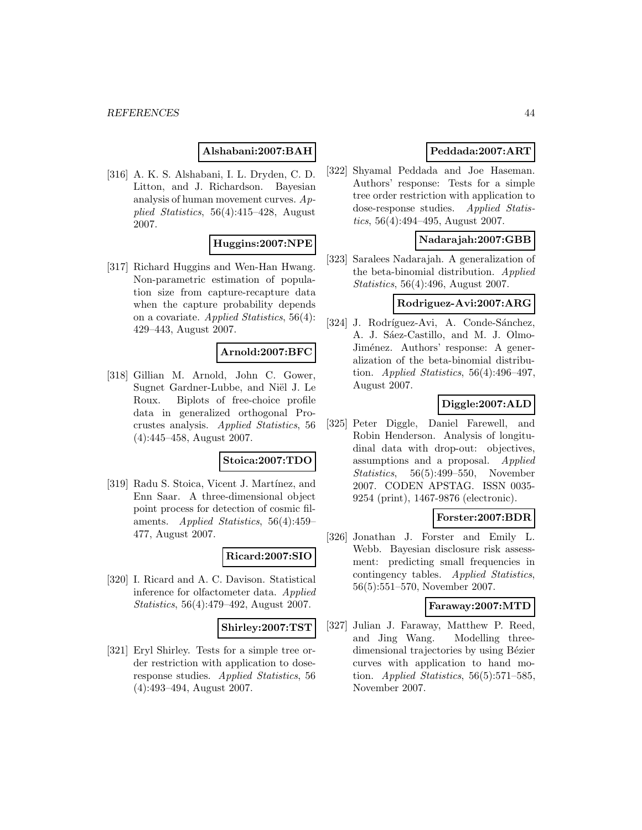### **Alshabani:2007:BAH**

[316] A. K. S. Alshabani, I. L. Dryden, C. D. Litton, and J. Richardson. Bayesian analysis of human movement curves. Applied Statistics, 56(4):415–428, August 2007.

#### **Huggins:2007:NPE**

[317] Richard Huggins and Wen-Han Hwang. Non-parametric estimation of population size from capture-recapture data when the capture probability depends on a covariate. Applied Statistics, 56(4): 429–443, August 2007.

### **Arnold:2007:BFC**

[318] Gillian M. Arnold, John C. Gower, Sugnet Gardner-Lubbe, and Niël J. Le Roux. Biplots of free-choice profile data in generalized orthogonal Procrustes analysis. Applied Statistics, 56 (4):445–458, August 2007.

### **Stoica:2007:TDO**

[319] Radu S. Stoica, Vicent J. Martínez, and Enn Saar. A three-dimensional object point process for detection of cosmic filaments. Applied Statistics, 56(4):459– 477, August 2007.

#### **Ricard:2007:SIO**

[320] I. Ricard and A. C. Davison. Statistical inference for olfactometer data. Applied Statistics, 56(4):479–492, August 2007.

#### **Shirley:2007:TST**

[321] Eryl Shirley. Tests for a simple tree order restriction with application to doseresponse studies. Applied Statistics, 56 (4):493–494, August 2007.

### **Peddada:2007:ART**

[322] Shyamal Peddada and Joe Haseman. Authors' response: Tests for a simple tree order restriction with application to dose-response studies. Applied Statistics,  $56(4):494-495$ , August 2007.

#### **Nadarajah:2007:GBB**

[323] Saralees Nadarajah. A generalization of the beta-binomial distribution. Applied Statistics, 56(4):496, August 2007.

### **Rodriguez-Avi:2007:ARG**

[324] J. Rodríguez-Avi, A. Conde-Sánchez, A. J. Sáez-Castillo, and M. J. Olmo-Jiménez. Authors' response: A generalization of the beta-binomial distribution. Applied Statistics,  $56(4):496-497$ , August 2007.

### **Diggle:2007:ALD**

[325] Peter Diggle, Daniel Farewell, and Robin Henderson. Analysis of longitudinal data with drop-out: objectives, assumptions and a proposal. Applied Statistics, 56(5):499–550, November 2007. CODEN APSTAG. ISSN 0035- 9254 (print), 1467-9876 (electronic).

# **Forster:2007:BDR**

[326] Jonathan J. Forster and Emily L. Webb. Bayesian disclosure risk assessment: predicting small frequencies in contingency tables. Applied Statistics, 56(5):551–570, November 2007.

#### **Faraway:2007:MTD**

[327] Julian J. Faraway, Matthew P. Reed, and Jing Wang. Modelling threedimensional trajectories by using Bézier curves with application to hand motion. Applied Statistics,  $56(5):571-585$ , November 2007.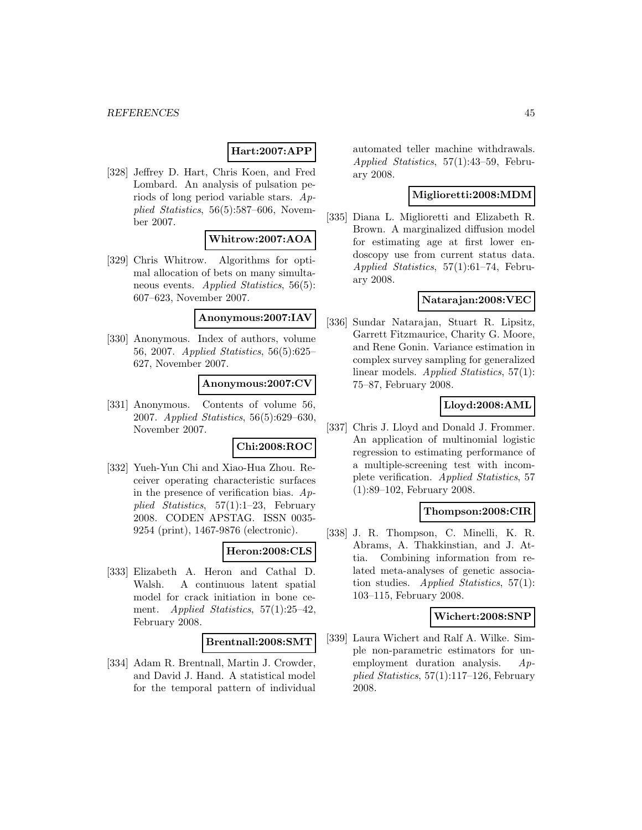# **Hart:2007:APP**

[328] Jeffrey D. Hart, Chris Koen, and Fred Lombard. An analysis of pulsation periods of long period variable stars. Applied Statistics, 56(5):587–606, November 2007.

#### **Whitrow:2007:AOA**

[329] Chris Whitrow. Algorithms for optimal allocation of bets on many simultaneous events. Applied Statistics, 56(5): 607–623, November 2007.

#### **Anonymous:2007:IAV**

[330] Anonymous. Index of authors, volume 56, 2007. Applied Statistics, 56(5):625– 627, November 2007.

#### **Anonymous:2007:CV**

[331] Anonymous. Contents of volume 56, 2007. Applied Statistics, 56(5):629–630, November 2007.

#### **Chi:2008:ROC**

[332] Yueh-Yun Chi and Xiao-Hua Zhou. Receiver operating characteristic surfaces in the presence of verification bias.  $Ap$ plied Statistics,  $57(1):1-23$ , February 2008. CODEN APSTAG. ISSN 0035- 9254 (print), 1467-9876 (electronic).

#### **Heron:2008:CLS**

[333] Elizabeth A. Heron and Cathal D. Walsh. A continuous latent spatial model for crack initiation in bone cement. Applied Statistics, 57(1):25-42, February 2008.

#### **Brentnall:2008:SMT**

[334] Adam R. Brentnall, Martin J. Crowder, and David J. Hand. A statistical model for the temporal pattern of individual automated teller machine withdrawals. Applied Statistics, 57(1):43–59, February 2008.

### **Miglioretti:2008:MDM**

[335] Diana L. Miglioretti and Elizabeth R. Brown. A marginalized diffusion model for estimating age at first lower endoscopy use from current status data. Applied Statistics, 57(1):61–74, February 2008.

### **Natarajan:2008:VEC**

[336] Sundar Natarajan, Stuart R. Lipsitz, Garrett Fitzmaurice, Charity G. Moore, and Rene Gonin. Variance estimation in complex survey sampling for generalized linear models. Applied Statistics, 57(1): 75–87, February 2008.

#### **Lloyd:2008:AML**

[337] Chris J. Lloyd and Donald J. Frommer. An application of multinomial logistic regression to estimating performance of a multiple-screening test with incomplete verification. Applied Statistics, 57 (1):89–102, February 2008.

#### **Thompson:2008:CIR**

[338] J. R. Thompson, C. Minelli, K. R. Abrams, A. Thakkinstian, and J. Attia. Combining information from related meta-analyses of genetic association studies. Applied Statistics,  $57(1)$ : 103–115, February 2008.

#### **Wichert:2008:SNP**

[339] Laura Wichert and Ralf A. Wilke. Simple non-parametric estimators for unemployment duration analysis. Applied Statistics,  $57(1):117-126$ , February 2008.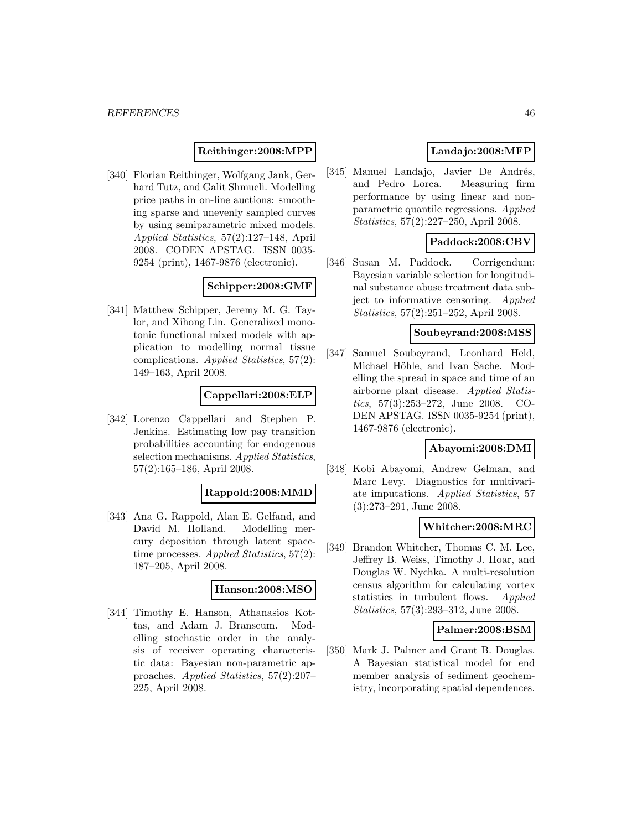#### **Reithinger:2008:MPP**

[340] Florian Reithinger, Wolfgang Jank, Gerhard Tutz, and Galit Shmueli. Modelling price paths in on-line auctions: smoothing sparse and unevenly sampled curves by using semiparametric mixed models. Applied Statistics, 57(2):127–148, April 2008. CODEN APSTAG. ISSN 0035- 9254 (print), 1467-9876 (electronic).

### **Schipper:2008:GMF**

[341] Matthew Schipper, Jeremy M. G. Taylor, and Xihong Lin. Generalized monotonic functional mixed models with application to modelling normal tissue complications. Applied Statistics, 57(2): 149–163, April 2008.

#### **Cappellari:2008:ELP**

[342] Lorenzo Cappellari and Stephen P. Jenkins. Estimating low pay transition probabilities accounting for endogenous selection mechanisms. Applied Statistics, 57(2):165–186, April 2008.

#### **Rappold:2008:MMD**

[343] Ana G. Rappold, Alan E. Gelfand, and David M. Holland. Modelling mercury deposition through latent spacetime processes. Applied Statistics, 57(2): 187–205, April 2008.

#### **Hanson:2008:MSO**

[344] Timothy E. Hanson, Athanasios Kottas, and Adam J. Branscum. Modelling stochastic order in the analysis of receiver operating characteristic data: Bayesian non-parametric approaches. Applied Statistics, 57(2):207– 225, April 2008.

# **Landajo:2008:MFP**

[345] Manuel Landajo, Javier De Andrés, and Pedro Lorca. Measuring firm performance by using linear and nonparametric quantile regressions. Applied Statistics, 57(2):227–250, April 2008.

### **Paddock:2008:CBV**

[346] Susan M. Paddock. Corrigendum: Bayesian variable selection for longitudinal substance abuse treatment data subject to informative censoring. Applied Statistics, 57(2):251–252, April 2008.

#### **Soubeyrand:2008:MSS**

[347] Samuel Soubeyrand, Leonhard Held, Michael Höhle, and Ivan Sache. Modelling the spread in space and time of an airborne plant disease. Applied Statistics, 57(3):253–272, June 2008. CO-DEN APSTAG. ISSN 0035-9254 (print), 1467-9876 (electronic).

### **Abayomi:2008:DMI**

[348] Kobi Abayomi, Andrew Gelman, and Marc Levy. Diagnostics for multivariate imputations. Applied Statistics, 57 (3):273–291, June 2008.

#### **Whitcher:2008:MRC**

[349] Brandon Whitcher, Thomas C. M. Lee, Jeffrey B. Weiss, Timothy J. Hoar, and Douglas W. Nychka. A multi-resolution census algorithm for calculating vortex statistics in turbulent flows. *Applied* Statistics, 57(3):293–312, June 2008.

#### **Palmer:2008:BSM**

[350] Mark J. Palmer and Grant B. Douglas. A Bayesian statistical model for end member analysis of sediment geochemistry, incorporating spatial dependences.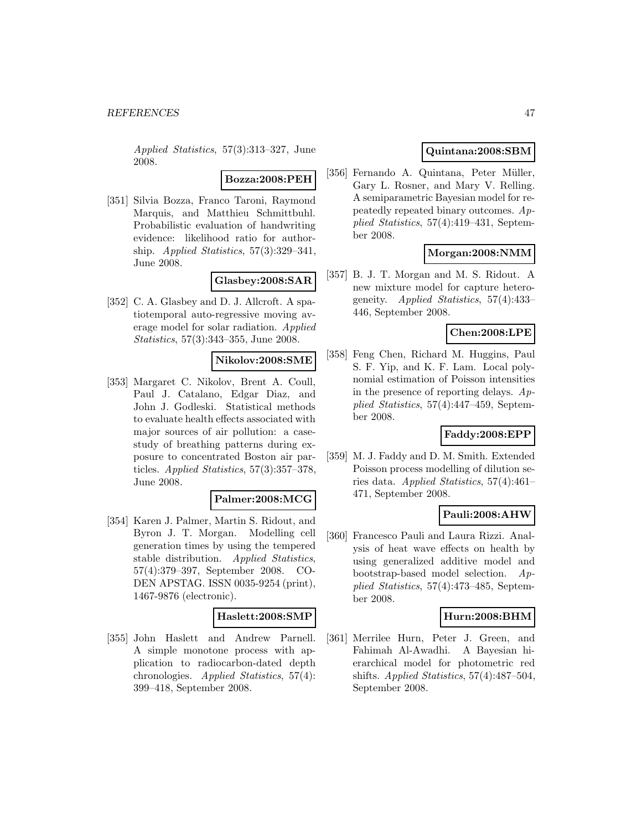Applied Statistics, 57(3):313–327, June 2008.

#### **Bozza:2008:PEH**

[351] Silvia Bozza, Franco Taroni, Raymond Marquis, and Matthieu Schmittbuhl. Probabilistic evaluation of handwriting evidence: likelihood ratio for authorship. Applied Statistics,  $57(3):329-341$ , June 2008.

### **Glasbey:2008:SAR**

[352] C. A. Glasbey and D. J. Allcroft. A spatiotemporal auto-regressive moving average model for solar radiation. Applied Statistics, 57(3):343–355, June 2008.

#### **Nikolov:2008:SME**

[353] Margaret C. Nikolov, Brent A. Coull, Paul J. Catalano, Edgar Diaz, and John J. Godleski. Statistical methods to evaluate health effects associated with major sources of air pollution: a casestudy of breathing patterns during exposure to concentrated Boston air particles. Applied Statistics, 57(3):357–378, June 2008.

#### **Palmer:2008:MCG**

[354] Karen J. Palmer, Martin S. Ridout, and Byron J. T. Morgan. Modelling cell generation times by using the tempered stable distribution. Applied Statistics, 57(4):379–397, September 2008. CO-DEN APSTAG. ISSN 0035-9254 (print), 1467-9876 (electronic).

#### **Haslett:2008:SMP**

[355] John Haslett and Andrew Parnell. A simple monotone process with application to radiocarbon-dated depth chronologies. Applied Statistics, 57(4): 399–418, September 2008.

# **Quintana:2008:SBM**

[356] Fernando A. Quintana, Peter Müller, Gary L. Rosner, and Mary V. Relling. A semiparametric Bayesian model for repeatedly repeated binary outcomes. Applied Statistics, 57(4):419–431, September 2008.

### **Morgan:2008:NMM**

[357] B. J. T. Morgan and M. S. Ridout. A new mixture model for capture heterogeneity. Applied Statistics, 57(4):433– 446, September 2008.

### **Chen:2008:LPE**

[358] Feng Chen, Richard M. Huggins, Paul S. F. Yip, and K. F. Lam. Local polynomial estimation of Poisson intensities in the presence of reporting delays.  $Ap$ plied Statistics, 57(4):447–459, September 2008.

### **Faddy:2008:EPP**

[359] M. J. Faddy and D. M. Smith. Extended Poisson process modelling of dilution series data. Applied Statistics, 57(4):461– 471, September 2008.

#### **Pauli:2008:AHW**

[360] Francesco Pauli and Laura Rizzi. Analysis of heat wave effects on health by using generalized additive model and bootstrap-based model selection. Applied Statistics, 57(4):473–485, September 2008.

### **Hurn:2008:BHM**

[361] Merrilee Hurn, Peter J. Green, and Fahimah Al-Awadhi. A Bayesian hierarchical model for photometric red shifts. Applied Statistics, 57(4):487–504, September 2008.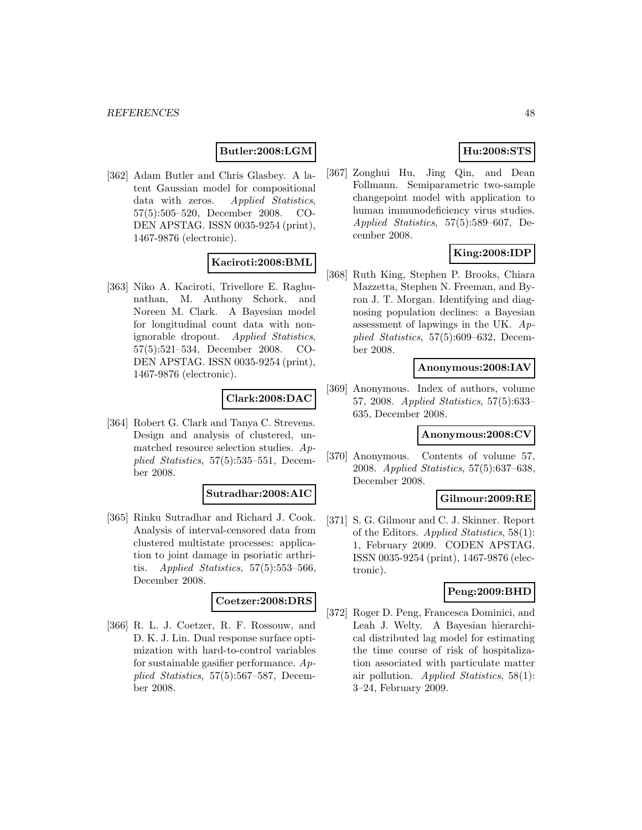### **Butler:2008:LGM**

[362] Adam Butler and Chris Glasbey. A latent Gaussian model for compositional data with zeros. Applied Statistics, 57(5):505–520, December 2008. CO-DEN APSTAG. ISSN 0035-9254 (print), 1467-9876 (electronic).

### **Kaciroti:2008:BML**

[363] Niko A. Kaciroti, Trivellore E. Raghunathan, M. Anthony Schork, and Noreen M. Clark. A Bayesian model for longitudinal count data with nonignorable dropout. Applied Statistics, 57(5):521–534, December 2008. CO-DEN APSTAG. ISSN 0035-9254 (print), 1467-9876 (electronic).

# **Clark:2008:DAC**

[364] Robert G. Clark and Tanya C. Strevens. Design and analysis of clustered, unmatched resource selection studies. Applied Statistics, 57(5):535–551, December 2008.

#### **Sutradhar:2008:AIC**

[365] Rinku Sutradhar and Richard J. Cook. Analysis of interval-censored data from clustered multistate processes: application to joint damage in psoriatic arthritis. Applied Statistics,  $57(5):553-566$ , December 2008.

### **Coetzer:2008:DRS**

[366] R. L. J. Coetzer, R. F. Rossouw, and D. K. J. Lin. Dual response surface optimization with hard-to-control variables for sustainable gasifier performance.  $Ap$ plied Statistics, 57(5):567–587, December 2008.

# **Hu:2008:STS**

[367] Zonghui Hu, Jing Qin, and Dean Follmann. Semiparametric two-sample changepoint model with application to human immunodeficiency virus studies. Applied Statistics, 57(5):589–607, December 2008.

# **King:2008:IDP**

[368] Ruth King, Stephen P. Brooks, Chiara Mazzetta, Stephen N. Freeman, and Byron J. T. Morgan. Identifying and diagnosing population declines: a Bayesian assessment of lapwings in the UK.  $Ap$ plied Statistics, 57(5):609–632, December 2008.

#### **Anonymous:2008:IAV**

[369] Anonymous. Index of authors, volume 57, 2008. Applied Statistics, 57(5):633– 635, December 2008.

#### **Anonymous:2008:CV**

[370] Anonymous. Contents of volume 57, 2008. Applied Statistics, 57(5):637–638, December 2008.

#### **Gilmour:2009:RE**

[371] S. G. Gilmour and C. J. Skinner. Report of the Editors. Applied Statistics, 58(1): 1, February 2009. CODEN APSTAG. ISSN 0035-9254 (print), 1467-9876 (electronic).

#### **Peng:2009:BHD**

[372] Roger D. Peng, Francesca Dominici, and Leah J. Welty. A Bayesian hierarchical distributed lag model for estimating the time course of risk of hospitalization associated with particulate matter air pollution. Applied Statistics,  $58(1)$ : 3–24, February 2009.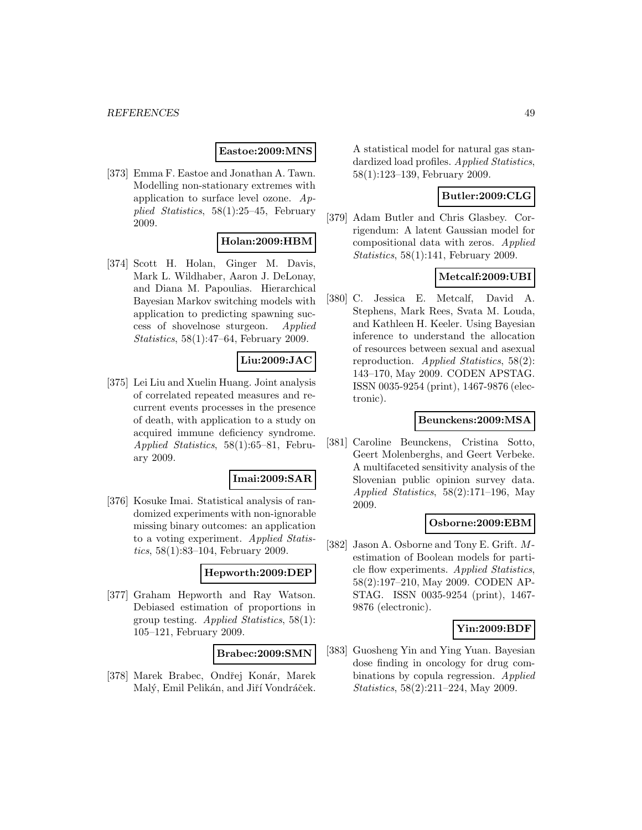### **Eastoe:2009:MNS**

[373] Emma F. Eastoe and Jonathan A. Tawn. Modelling non-stationary extremes with application to surface level ozone. Applied Statistics, 58(1):25–45, February 2009.

# **Holan:2009:HBM**

[374] Scott H. Holan, Ginger M. Davis, Mark L. Wildhaber, Aaron J. DeLonay, and Diana M. Papoulias. Hierarchical Bayesian Markov switching models with application to predicting spawning success of shovelnose sturgeon. Applied Statistics, 58(1):47–64, February 2009.

# **Liu:2009:JAC**

[375] Lei Liu and Xuelin Huang. Joint analysis of correlated repeated measures and recurrent events processes in the presence of death, with application to a study on acquired immune deficiency syndrome. Applied Statistics, 58(1):65–81, February 2009.

#### **Imai:2009:SAR**

[376] Kosuke Imai. Statistical analysis of randomized experiments with non-ignorable missing binary outcomes: an application to a voting experiment. Applied Statistics, 58(1):83–104, February 2009.

### **Hepworth:2009:DEP**

[377] Graham Hepworth and Ray Watson. Debiased estimation of proportions in group testing. Applied Statistics, 58(1): 105–121, February 2009.

#### **Brabec:2009:SMN**

[378] Marek Brabec, Ondřej Konár, Marek Malý, Emil Pelikán, and Jiří Vondráček.

A statistical model for natural gas standardized load profiles. Applied Statistics, 58(1):123–139, February 2009.

# **Butler:2009:CLG**

[379] Adam Butler and Chris Glasbey. Corrigendum: A latent Gaussian model for compositional data with zeros. Applied Statistics, 58(1):141, February 2009.

# **Metcalf:2009:UBI**

[380] C. Jessica E. Metcalf, David A. Stephens, Mark Rees, Svata M. Louda, and Kathleen H. Keeler. Using Bayesian inference to understand the allocation of resources between sexual and asexual reproduction. Applied Statistics, 58(2): 143–170, May 2009. CODEN APSTAG. ISSN 0035-9254 (print), 1467-9876 (electronic).

#### **Beunckens:2009:MSA**

[381] Caroline Beunckens, Cristina Sotto, Geert Molenberghs, and Geert Verbeke. A multifaceted sensitivity analysis of the Slovenian public opinion survey data. Applied Statistics, 58(2):171–196, May 2009.

#### **Osborne:2009:EBM**

[382] Jason A. Osborne and Tony E. Grift. Mestimation of Boolean models for particle flow experiments. Applied Statistics, 58(2):197–210, May 2009. CODEN AP-STAG. ISSN 0035-9254 (print), 1467- 9876 (electronic).

# **Yin:2009:BDF**

[383] Guosheng Yin and Ying Yuan. Bayesian dose finding in oncology for drug combinations by copula regression. Applied Statistics, 58(2):211–224, May 2009.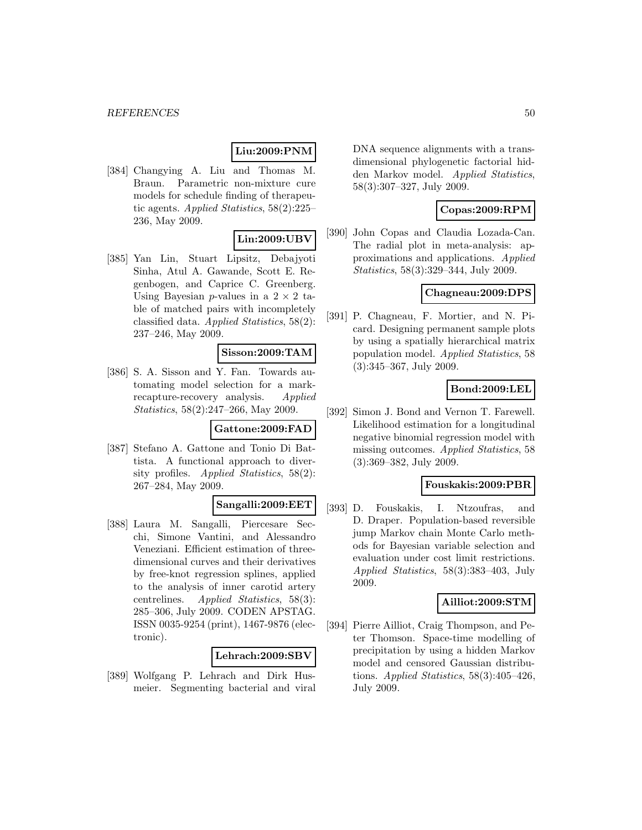# **Liu:2009:PNM**

[384] Changying A. Liu and Thomas M. Braun. Parametric non-mixture cure models for schedule finding of therapeutic agents. Applied Statistics, 58(2):225– 236, May 2009.

# **Lin:2009:UBV**

[385] Yan Lin, Stuart Lipsitz, Debajyoti Sinha, Atul A. Gawande, Scott E. Regenbogen, and Caprice C. Greenberg. Using Bayesian *p*-values in a  $2 \times 2$  table of matched pairs with incompletely classified data. Applied Statistics, 58(2): 237–246, May 2009.

#### **Sisson:2009:TAM**

[386] S. A. Sisson and Y. Fan. Towards automating model selection for a markrecapture-recovery analysis. Applied Statistics, 58(2):247–266, May 2009.

#### **Gattone:2009:FAD**

[387] Stefano A. Gattone and Tonio Di Battista. A functional approach to diversity profiles. Applied Statistics, 58(2): 267–284, May 2009.

# **Sangalli:2009:EET**

[388] Laura M. Sangalli, Piercesare Secchi, Simone Vantini, and Alessandro Veneziani. Efficient estimation of threedimensional curves and their derivatives by free-knot regression splines, applied to the analysis of inner carotid artery centrelines. Applied Statistics, 58(3): 285–306, July 2009. CODEN APSTAG. ISSN 0035-9254 (print), 1467-9876 (electronic).

### **Lehrach:2009:SBV**

[389] Wolfgang P. Lehrach and Dirk Husmeier. Segmenting bacterial and viral DNA sequence alignments with a transdimensional phylogenetic factorial hidden Markov model. Applied Statistics, 58(3):307–327, July 2009.

### **Copas:2009:RPM**

[390] John Copas and Claudia Lozada-Can. The radial plot in meta-analysis: approximations and applications. Applied Statistics, 58(3):329–344, July 2009.

### **Chagneau:2009:DPS**

[391] P. Chagneau, F. Mortier, and N. Picard. Designing permanent sample plots by using a spatially hierarchical matrix population model. Applied Statistics, 58 (3):345–367, July 2009.

#### **Bond:2009:LEL**

[392] Simon J. Bond and Vernon T. Farewell. Likelihood estimation for a longitudinal negative binomial regression model with missing outcomes. Applied Statistics, 58 (3):369–382, July 2009.

### **Fouskakis:2009:PBR**

[393] D. Fouskakis, I. Ntzoufras, and D. Draper. Population-based reversible jump Markov chain Monte Carlo methods for Bayesian variable selection and evaluation under cost limit restrictions. Applied Statistics, 58(3):383–403, July 2009.

#### **Ailliot:2009:STM**

[394] Pierre Ailliot, Craig Thompson, and Peter Thomson. Space-time modelling of precipitation by using a hidden Markov model and censored Gaussian distributions. Applied Statistics,  $58(3):405-426$ , July 2009.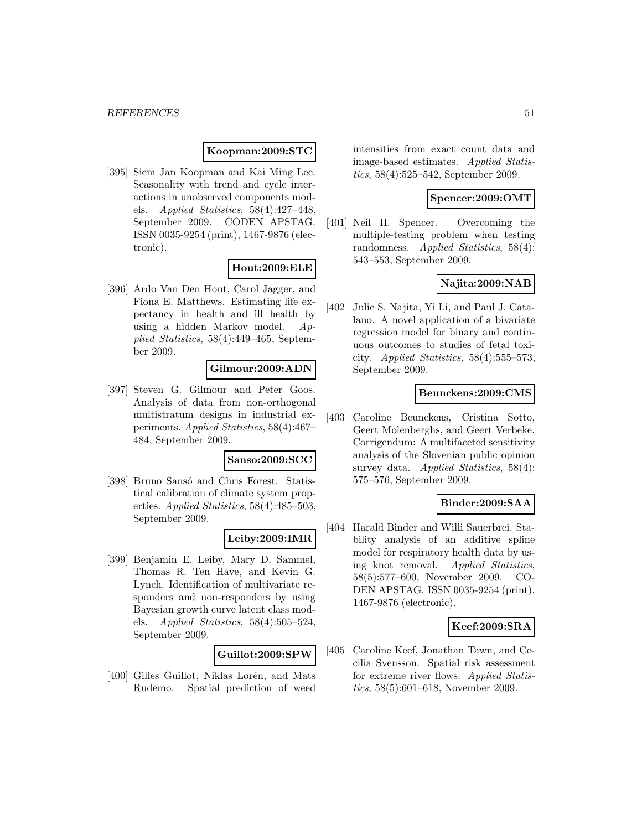### **Koopman:2009:STC**

[395] Siem Jan Koopman and Kai Ming Lee. Seasonality with trend and cycle interactions in unobserved components models. Applied Statistics, 58(4):427–448, September 2009. CODEN APSTAG. ISSN 0035-9254 (print), 1467-9876 (electronic).

#### **Hout:2009:ELE**

[396] Ardo Van Den Hout, Carol Jagger, and Fiona E. Matthews. Estimating life expectancy in health and ill health by using a hidden Markov model. Applied Statistics, 58(4):449–465, September 2009.

### **Gilmour:2009:ADN**

[397] Steven G. Gilmour and Peter Goos. Analysis of data from non-orthogonal multistratum designs in industrial experiments. Applied Statistics, 58(4):467– 484, September 2009.

#### **Sanso:2009:SCC**

[398] Bruno Sansó and Chris Forest. Statistical calibration of climate system properties. Applied Statistics, 58(4):485–503, September 2009.

#### **Leiby:2009:IMR**

[399] Benjamin E. Leiby, Mary D. Sammel, Thomas R. Ten Have, and Kevin G. Lynch. Identification of multivariate responders and non-responders by using Bayesian growth curve latent class models. Applied Statistics, 58(4):505–524, September 2009.

#### **Guillot:2009:SPW**

[400] Gilles Guillot, Niklas Lorén, and Mats Rudemo. Spatial prediction of weed intensities from exact count data and image-based estimates. Applied Statistics, 58(4):525–542, September 2009.

#### **Spencer:2009:OMT**

[401] Neil H. Spencer. Overcoming the multiple-testing problem when testing randomness. Applied Statistics, 58(4): 543–553, September 2009.

### **Najita:2009:NAB**

[402] Julie S. Najita, Yi Li, and Paul J. Catalano. A novel application of a bivariate regression model for binary and continuous outcomes to studies of fetal toxicity. Applied Statistics,  $58(4):555-573$ , September 2009.

#### **Beunckens:2009:CMS**

[403] Caroline Beunckens, Cristina Sotto, Geert Molenberghs, and Geert Verbeke. Corrigendum: A multifaceted sensitivity analysis of the Slovenian public opinion survey data. Applied Statistics,  $58(4)$ : 575–576, September 2009.

### **Binder:2009:SAA**

[404] Harald Binder and Willi Sauerbrei. Stability analysis of an additive spline model for respiratory health data by using knot removal. Applied Statistics, 58(5):577–600, November 2009. CO-DEN APSTAG. ISSN 0035-9254 (print), 1467-9876 (electronic).

### **Keef:2009:SRA**

[405] Caroline Keef, Jonathan Tawn, and Cecilia Svensson. Spatial risk assessment for extreme river flows. Applied Statistics, 58(5):601–618, November 2009.